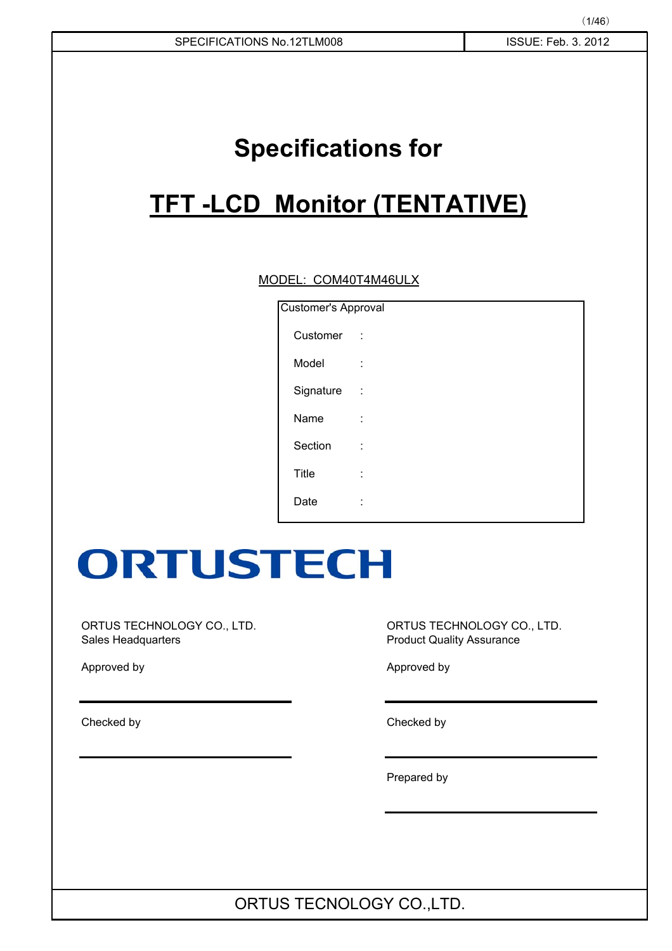# **Specifications for**

# **TFT -LCD Monitor (TENTATIVE)**

### MODEL: COM40T4M46ULX

| Customer's Approval |          |
|---------------------|----------|
| Customer            | $\sim$ 1 |
| Model               | t        |
| Signature           | ÷        |
| Name                | İ.       |
| Section             | İ        |
| <b>Title</b>        | ٠<br>ä,  |
| Date                | ٠        |

# **ORTUSTECH**

ORTUS TECHNOLOGY CO., LTD. **ORTUS TECHNOLOGY CO., LTD.** Sales Headquarters **Product Quality Assurance** 

Checked by Checked by

Approved by Approved by Approved by Approved by Approved by Approved by Approved by Approved by Approved by Approved by  $\mathcal{A}$ 

Prepared by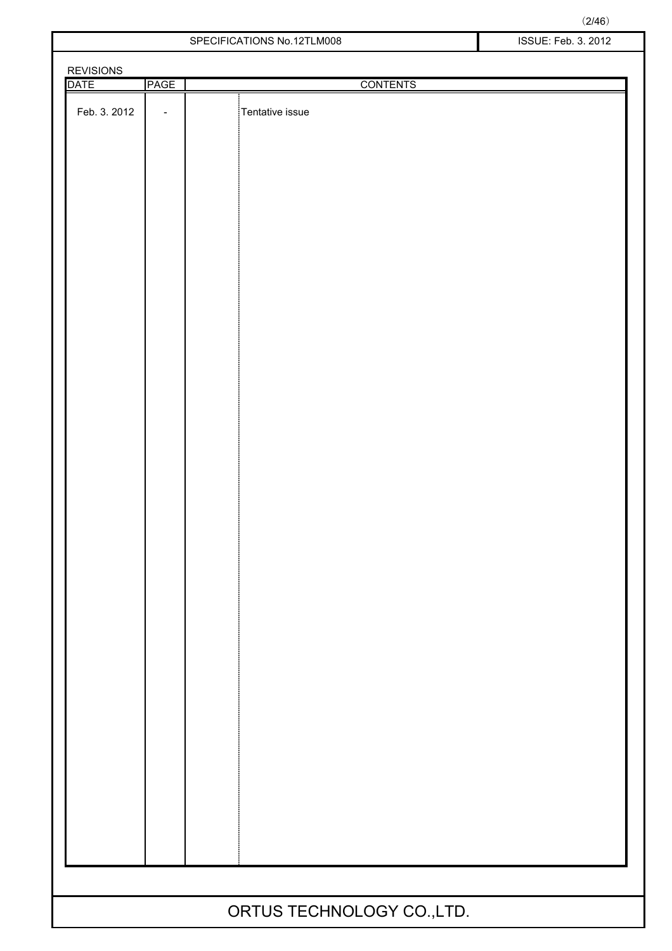| <b>REVISIONS</b> |                   |                 |
|------------------|-------------------|-----------------|
| <b>DATE</b>      | <b>PAGE</b>       | <b>CONTENTS</b> |
| Feb. 3. 2012     | $\qquad \qquad -$ | Tentative issue |
|                  |                   |                 |
|                  |                   |                 |
|                  |                   |                 |
|                  |                   |                 |
|                  |                   |                 |
|                  |                   |                 |
|                  |                   |                 |
|                  |                   |                 |
|                  |                   |                 |
|                  |                   |                 |
|                  |                   |                 |
|                  |                   |                 |
|                  |                   |                 |
|                  |                   |                 |
|                  |                   |                 |
|                  |                   |                 |
|                  |                   |                 |
|                  |                   |                 |
|                  |                   |                 |
|                  |                   |                 |
|                  |                   |                 |
|                  |                   |                 |
|                  |                   |                 |
|                  |                   |                 |
|                  |                   |                 |
|                  |                   |                 |
|                  |                   |                 |
|                  |                   |                 |
|                  |                   |                 |
|                  |                   |                 |
|                  |                   |                 |
|                  |                   |                 |
|                  |                   |                 |
|                  |                   |                 |
|                  |                   |                 |
|                  |                   |                 |
|                  |                   |                 |
|                  |                   |                 |
|                  |                   |                 |
|                  |                   |                 |
|                  |                   |                 |
|                  |                   |                 |
|                  |                   |                 |
|                  |                   |                 |
|                  |                   |                 |
|                  |                   |                 |
|                  |                   |                 |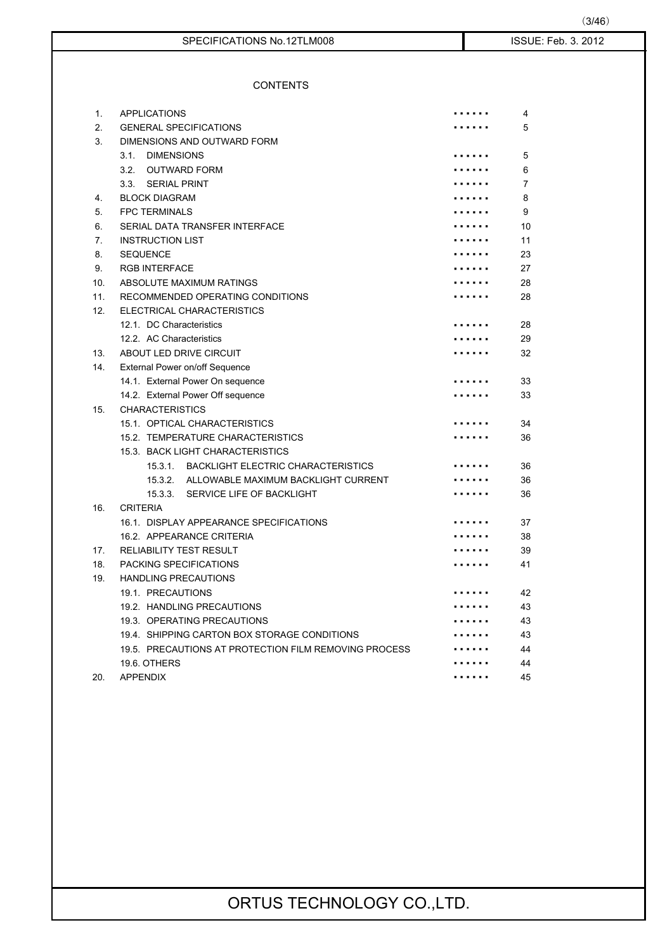| SPECIFICATIONS No.12TLM008 |  |
|----------------------------|--|
|                            |  |

### **CONTENTS**

| 1.             | <b>APPLICATIONS</b>                                   | 4              |
|----------------|-------------------------------------------------------|----------------|
| 2.             | <b>GENERAL SPECIFICATIONS</b>                         | 5              |
| 3.             | DIMENSIONS AND OUTWARD FORM                           |                |
|                | 3.1.<br><b>DIMENSIONS</b>                             | 5              |
|                | 3.2. OUTWARD FORM                                     | 6              |
|                | 3.3. SERIAL PRINT                                     | $\overline{7}$ |
| 4.             | <b>BLOCK DIAGRAM</b>                                  | 8              |
| 5.             | <b>FPC TERMINALS</b>                                  | 9              |
| 6.             | SERIAL DATA TRANSFER INTERFACE                        | 10             |
| 7 <sub>1</sub> | <b>INSTRUCTION LIST</b>                               | 11             |
| 8.             | <b>SEQUENCE</b>                                       | 23             |
| 9.             | <b>RGB INTERFACE</b>                                  | 27             |
| 10.            | ABSOLUTE MAXIMUM RATINGS                              | 28             |
| 11.            | RECOMMENDED OPERATING CONDITIONS                      | 28             |
| 12.            | ELECTRICAL CHARACTERISTICS                            |                |
|                | 12.1. DC Characteristics                              | 28             |
|                | 12.2. AC Characteristics                              | 29             |
| 13.            | <b>ABOUT LED DRIVE CIRCUIT</b>                        | 32             |
| 14.            | External Power on/off Sequence                        |                |
|                | 14.1. External Power On sequence                      | 33             |
|                | 14.2. External Power Off sequence                     | 33             |
| 15.            | <b>CHARACTERISTICS</b>                                |                |
|                | 15.1. OPTICAL CHARACTERISTICS                         | 34             |
|                | 15.2. TEMPERATURE CHARACTERISTICS                     | 36             |
|                | 15.3. BACK LIGHT CHARACTERISTICS                      |                |
|                | 15.3.1. BACKLIGHT ELECTRIC CHARACTERISTICS            | 36             |
|                | 15.3.2. ALLOWABLE MAXIMUM BACKLIGHT CURRENT           | 36             |
|                | SERVICE LIFE OF BACKLIGHT<br>15.3.3.                  | 36             |
| 16.            | <b>CRITERIA</b>                                       |                |
|                | 16.1. DISPLAY APPEARANCE SPECIFICATIONS               | 37             |
|                | 16.2. APPEARANCE CRITERIA                             | 38             |
| 17.            | <b>RELIABILITY TEST RESULT</b>                        | 39             |
| 18.            | PACKING SPECIFICATIONS                                | 41             |
| 19.            | <b>HANDLING PRECAUTIONS</b>                           |                |
|                | 19.1. PRECAUTIONS                                     | 42             |
|                | 19.2. HANDLING PRECAUTIONS                            | 43             |
|                | 19.3. OPERATING PRECAUTIONS                           | 43             |
|                | 19.4 SHIPPING CARTON BOX STORAGE CONDITIONS           | 43             |
|                | 19.5. PRECAUTIONS AT PROTECTION FILM REMOVING PROCESS | 44             |
|                | 19.6. OTHERS                                          | 44             |
| 20.            | <b>APPENDIX</b>                                       | 45             |

ISSUE: Feb. 3. 2012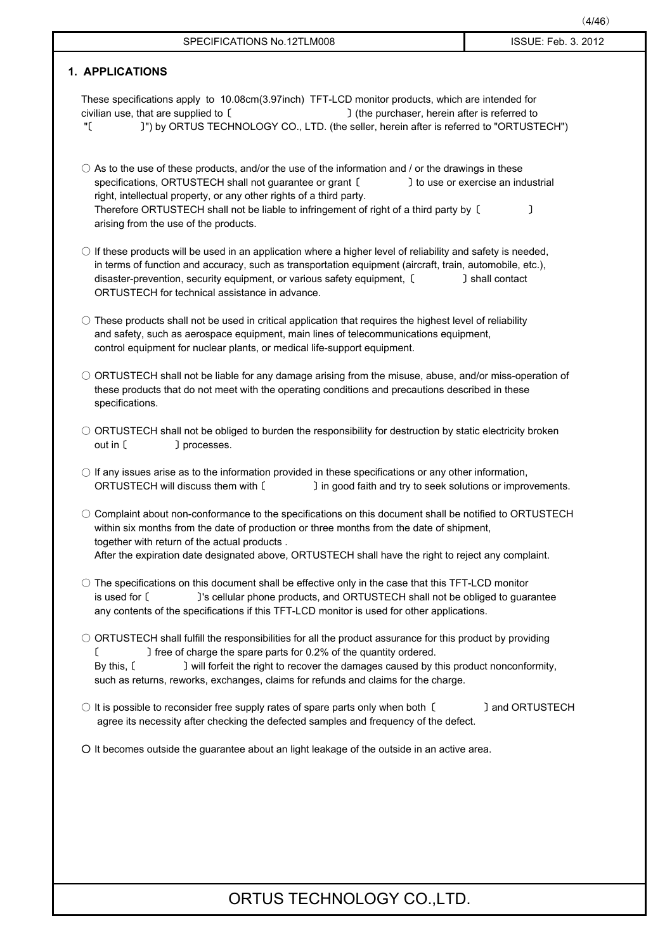| (4/46)              |
|---------------------|
| ISSUE: Feb. 3. 2012 |
|                     |
|                     |

# **1. APPLICATIONS** These specifications apply to 10.08cm(3.97inch) TFT-LCD monitor products, which are intended for civilian use, that are supplied to [  $\Box$   $\Box$  (the purchaser, herein after is referred to "䈀䇭䇭䇭䇭䇭䇭䇭䈁") by ORTUS TECHNOLOGY CO., LTD. (the seller, herein after is referred to "ORTUSTECH")  $\bigcirc$  As to the use of these products, and/or the use of the information and / or the drawings in these specifications, ORTUSTECH shall not guarantee or grant [ J to use or exercise an industrial right, intellectual property, or any other rights of a third party. Therefore ORTUSTECH shall not be liable to infringement of right of a third party by [ arising from the use of the products.  $\circ$  If these products will be used in an application where a higher level of reliability and safety is needed, in terms of function and accuracy, such as transportation equipment (aircraft, train, automobile, etc.), disaster-prevention, security equipment, or various safety equipment, [ ] shall contact ORTUSTECH for technical assistance in advance.  $\bigcirc$  These products shall not be used in critical application that requires the highest level of reliability and safety, such as aerospace equipment, main lines of telecommunications equipment, control equipment for nuclear plants, or medical life-support equipment. 䂾 ORTUSTECH shall not be liable for any damage arising from the misuse, abuse, and/or miss-operation of these products that do not meet with the operating conditions and precautions described in these specifications.  $\circ$  ORTUSTECH shall not be obliged to burden the responsibility for destruction by static electricity broken out in [  $\Box$  processes.  $\bigcirc$  If any issues arise as to the information provided in these specifications or any other information, ORTUSTECH will discuss them with [  $\qquad$  ] in good faith and try to seek solutions or improvements. 䂾 Complaint about non-conformance to the specifications on this document shall be notified to ORTUSTECH within six months from the date of production or three months from the date of shipment, together with return of the actual products . After the expiration date designated above, ORTUSTECH shall have the right to reject any complaint.  $\circ$  The specifications on this document shall be effective only in the case that this TFT-LCD monitor is used for [ ]'s cellular phone products, and ORTUSTECH shall not be obliged to guarantee any contents of the specifications if this TFT-LCD monitor is used for other applications. 䂾 ORTUSTECH shall fulfill the responsibilities for all the product assurance for this product by providing 䈀䇭䇭䇭䇭䇭䇭䇭䈁 free of charge the spare parts for 0.2% of the quantity ordered. By this, [  $\Box$  will forfeit the right to recover the damages caused by this product nonconformity, such as returns, reworks, exchanges, claims for refunds and claims for the charge.  $\circ$  It is possible to reconsider free supply rates of spare parts only when both  $\circ$  ] and ORTUSTECH agree its necessity after checking the defected samples and frequency of the defect. 䂾 It becomes outside the guarantee about an light leakage of the outside in an active area.

SPECIFICATIONS No. 12TLM008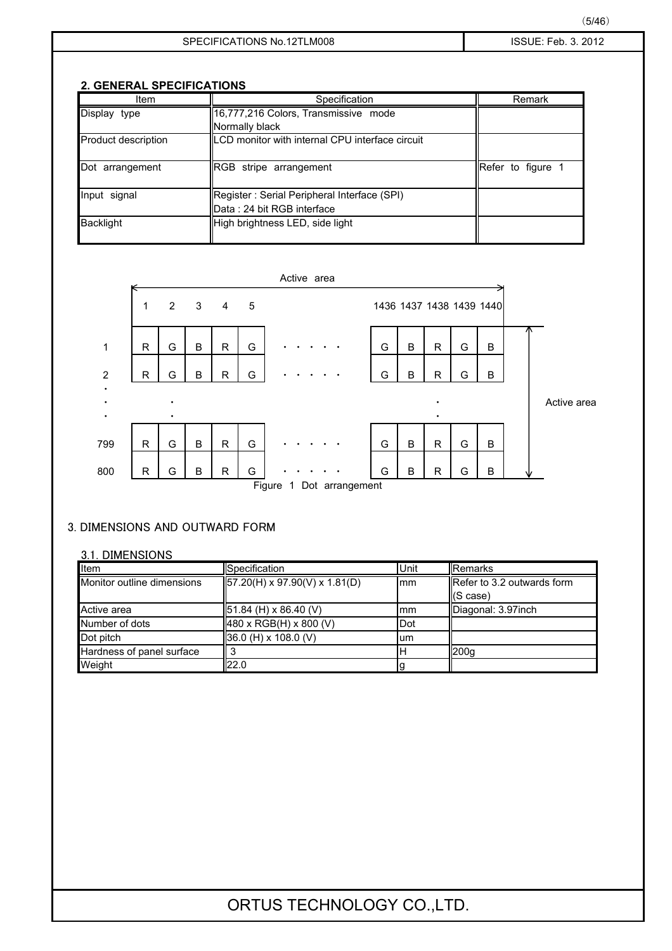### **2. GENERAL SPECIFICATIONS**

| Item                | Specification                                   | Remark                   |
|---------------------|-------------------------------------------------|--------------------------|
| Display type        | 16,777,216 Colors, Transmissive mode            |                          |
|                     | Normally black                                  |                          |
| Product description | LCD monitor with internal CPU interface circuit |                          |
| Dot arrangement     | <b>RGB</b> stripe arrangement                   | <b>Refer to figure 1</b> |
| Input signal        | Register: Serial Peripheral Interface (SPI)     |                          |
|                     | Data: 24 bit RGB interface                      |                          |
| <b>Backlight</b>    | High brightness LED, side light                 |                          |



### 3. DIMENSIONS AND OUTWARD FORM

### 3.1. DIMENSIONS

| Item                       | <b>ISpecification</b>                      | Unit        | Remarks                    |
|----------------------------|--------------------------------------------|-------------|----------------------------|
| Monitor outline dimensions | $157.20(H) \times 97.90(V) \times 1.81(D)$ | Imm         | Refer to 3.2 outwards form |
|                            |                                            |             | $(S \, case)$              |
| Active area                | 51.84 (H) x 86.40 (V)                      | Imm         | Diagonal: 3.97inch         |
| Number of dots             | 480 x RGB(H) x 800 (V)                     | <b>IDot</b> |                            |
| Dot pitch                  | 36.0 (H) x 108.0 (V)                       | lum         |                            |
| Hardness of panel surface  |                                            | ΙH          | 200q                       |
| Weight                     | 122.0                                      |             |                            |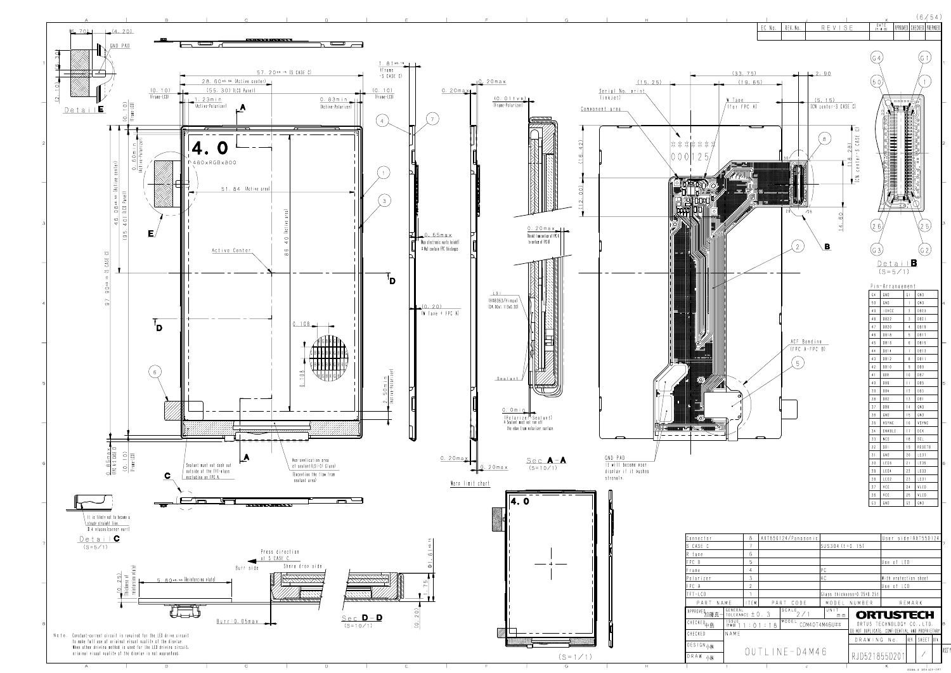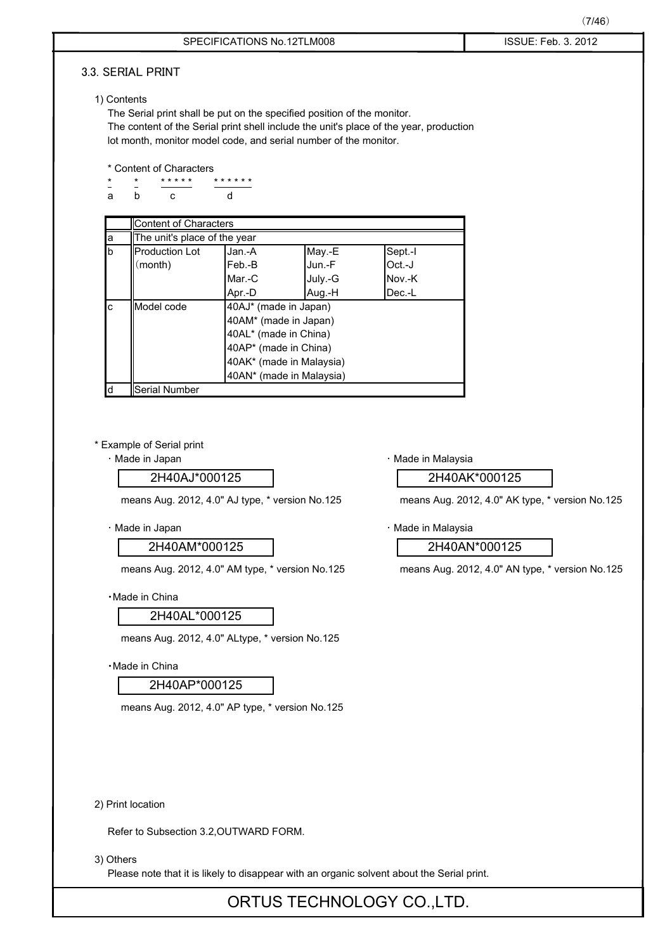|             |                                                                         |                                                |         |                                                                                            | (7/46)                                                                                 |
|-------------|-------------------------------------------------------------------------|------------------------------------------------|---------|--------------------------------------------------------------------------------------------|----------------------------------------------------------------------------------------|
|             |                                                                         | SPECIFICATIONS No.12TLM008                     |         |                                                                                            | ISSUE: Feb. 3. 2012                                                                    |
|             | 3.3. SERIAL PRINT                                                       |                                                |         |                                                                                            |                                                                                        |
|             |                                                                         |                                                |         |                                                                                            |                                                                                        |
| 1) Contents |                                                                         |                                                |         |                                                                                            |                                                                                        |
|             | The Serial print shall be put on the specified position of the monitor. |                                                |         |                                                                                            |                                                                                        |
|             | lot month, monitor model code, and serial number of the monitor.        |                                                |         | The content of the Serial print shell include the unit's place of the year, production     |                                                                                        |
|             |                                                                         |                                                |         |                                                                                            |                                                                                        |
|             | * Content of Characters                                                 |                                                |         |                                                                                            |                                                                                        |
|             | * * * * *<br>$\star$                                                    | * * * * * *                                    |         |                                                                                            | · Made in Malaysia<br>2H40AK*000125<br>means Aug. 2012, 4.0" AK type, * version No.125 |
| a           | C<br>b                                                                  | d                                              |         |                                                                                            |                                                                                        |
|             | <b>Content of Characters</b>                                            |                                                |         |                                                                                            |                                                                                        |
| а           | The unit's place of the year                                            |                                                |         |                                                                                            |                                                                                        |
| b           | <b>Production Lot</b>                                                   | Jan.-A                                         | May.-E  | Sept.-I                                                                                    |                                                                                        |
|             | (month)                                                                 | Feb.-B                                         | Jun.-F  | Oct.-J                                                                                     |                                                                                        |
|             |                                                                         | Mar.-C                                         | July.-G | Nov.-K                                                                                     |                                                                                        |
|             |                                                                         | Apr.-D                                         | Aug.-H  | Dec.-L                                                                                     |                                                                                        |
| c           | Model code                                                              | 40AJ* (made in Japan)<br>40AM* (made in Japan) |         |                                                                                            |                                                                                        |
|             |                                                                         | 40AL* (made in China)                          |         |                                                                                            |                                                                                        |
|             |                                                                         | 40AP* (made in China)                          |         |                                                                                            |                                                                                        |
|             |                                                                         | 40AK* (made in Malaysia)                       |         |                                                                                            |                                                                                        |
|             |                                                                         | 40AN* (made in Malaysia)                       |         |                                                                                            |                                                                                        |
| d           | Serial Number                                                           |                                                |         |                                                                                            |                                                                                        |
|             | 2H40AJ*000125<br>means Aug. 2012, 4.0" AJ type, * version No.125        |                                                |         |                                                                                            |                                                                                        |
|             |                                                                         |                                                |         |                                                                                            |                                                                                        |
|             | · Made in Japan                                                         |                                                |         | · Made in Malaysia                                                                         |                                                                                        |
|             | 2H40AM*000125                                                           |                                                |         |                                                                                            | 2H40AN*000125                                                                          |
|             | means Aug. 2012, 4.0" AM type, * version No.125                         |                                                |         |                                                                                            | means Aug. 2012, 4.0" AN type, * version No.125                                        |
|             | ·Made in China                                                          |                                                |         |                                                                                            |                                                                                        |
|             | 2H40AL*000125                                                           |                                                |         |                                                                                            |                                                                                        |
|             | means Aug. 2012, 4.0" ALtype, * version No.125                          |                                                |         |                                                                                            |                                                                                        |
|             | · Made in China                                                         |                                                |         |                                                                                            |                                                                                        |
|             | 2H40AP*000125                                                           |                                                |         |                                                                                            |                                                                                        |
|             | means Aug. 2012, 4.0" AP type, * version No.125                         |                                                |         |                                                                                            |                                                                                        |
|             |                                                                         |                                                |         |                                                                                            |                                                                                        |
|             |                                                                         |                                                |         |                                                                                            |                                                                                        |
|             |                                                                         |                                                |         |                                                                                            |                                                                                        |
|             |                                                                         |                                                |         |                                                                                            |                                                                                        |
|             |                                                                         |                                                |         |                                                                                            |                                                                                        |
|             | 2) Print location                                                       |                                                |         |                                                                                            |                                                                                        |
|             | Refer to Subsection 3.2, OUTWARD FORM.                                  |                                                |         |                                                                                            |                                                                                        |
| 3) Others   |                                                                         |                                                |         |                                                                                            |                                                                                        |
|             |                                                                         |                                                |         | Please note that it is likely to disappear with an organic solvent about the Serial print. |                                                                                        |
|             |                                                                         |                                                |         |                                                                                            |                                                                                        |
|             |                                                                         |                                                |         | ORTUS TECHNOLOGY CO., LTD.                                                                 |                                                                                        |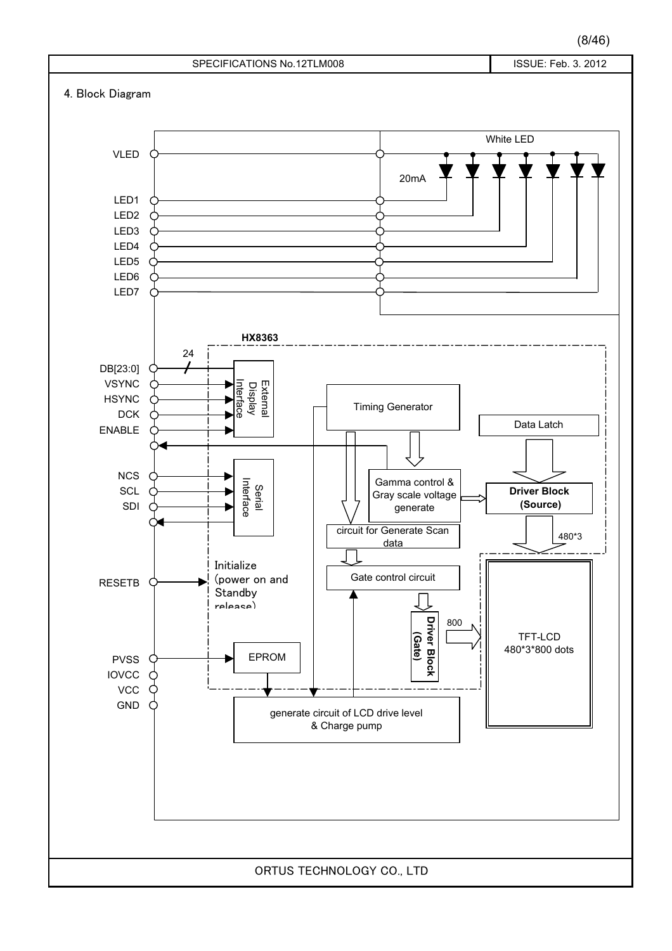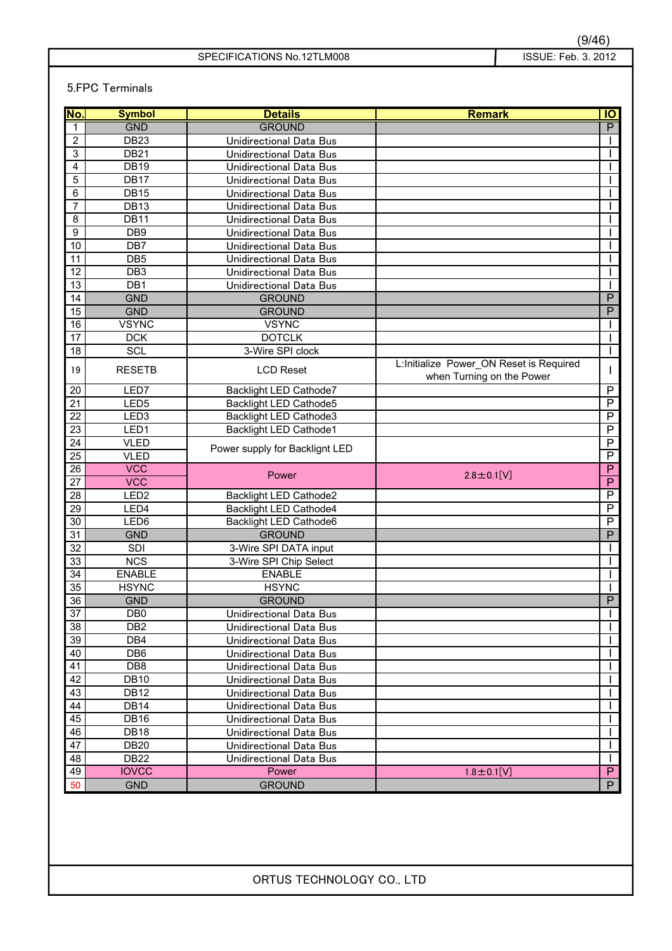### 5.FPC Terminals

| No.             | <b>Symbol</b>    | <b>Details</b>                 | <b>Remark</b>                            | IO                      |
|-----------------|------------------|--------------------------------|------------------------------------------|-------------------------|
| 1               | <b>GND</b>       | <b>GROUND</b>                  |                                          | P                       |
| $\overline{2}$  | <b>DB23</b>      | Unidirectional Data Bus        |                                          |                         |
| 3               | <b>DB21</b>      | <b>Unidirectional Data Bus</b> |                                          |                         |
| $\overline{4}$  | <b>DB19</b>      | Unidirectional Data Bus        |                                          |                         |
| 5               | DB17             | Unidirectional Data Bus        |                                          |                         |
| 6               | <b>DB15</b>      | Unidirectional Data Bus        |                                          |                         |
| $\overline{7}$  | DB <sub>13</sub> | Unidirectional Data Bus        |                                          |                         |
| 8               | <b>DB11</b>      | Unidirectional Data Bus        |                                          |                         |
| 9               | DB <sub>9</sub>  | Unidirectional Data Bus        |                                          |                         |
| 10              | DB7              | <b>Unidirectional Data Bus</b> |                                          |                         |
| $\overline{11}$ | DB <sub>5</sub>  | Unidirectional Data Bus        |                                          |                         |
| $\overline{12}$ | DB <sub>3</sub>  | Unidirectional Data Bus        |                                          |                         |
| 13              | DB <sub>1</sub>  | Unidirectional Data Bus        |                                          |                         |
| 14              | <b>GND</b>       | <b>GROUND</b>                  |                                          | $\overline{P}$          |
| $\overline{15}$ | <b>GND</b>       | <b>GROUND</b>                  |                                          | $\overline{P}$          |
| 16              | <b>VSYNC</b>     | <b>VSYNC</b>                   |                                          |                         |
| 17              | <b>DCK</b>       | <b>DOTCLK</b>                  |                                          |                         |
| 18              | <b>SCL</b>       | 3-Wire SPI clock               |                                          |                         |
| 19              | <b>RESETB</b>    | <b>LCD Reset</b>               | L: Initialize Power ON Reset is Required | L                       |
| 20              | LED7             | Backlight LED Cathode7         | when Turning on the Power                | $\overline{P}$          |
| 21              | LED <sub>5</sub> | <b>Backlight LED Cathode5</b>  |                                          | $\overline{P}$          |
| 22              | LED <sub>3</sub> | <b>Backlight LED Cathode3</b>  |                                          | $\overline{\mathsf{P}}$ |
| $\overline{23}$ | LED1             | <b>Backlight LED Cathode1</b>  |                                          | $\overline{\mathsf{P}}$ |
| $\overline{24}$ | <b>VLED</b>      |                                |                                          | $\overline{\mathsf{P}}$ |
| 25              | <b>VLED</b>      | Power supply for Backlignt LED |                                          | $\overline{P}$          |
| 26              | <b>VCC</b>       |                                |                                          | $\overline{P}$          |
| 27              | <b>VCC</b>       | Power                          | $2.8 \pm 0.1$ [V]                        | $\overline{P}$          |
| 28              | LED <sub>2</sub> | Backlight LED Cathode2         |                                          | $\overline{P}$          |
| 29              | LED4             | Backlight LED Cathode4         |                                          | $\overline{P}$          |
| $\overline{30}$ | LED <sub>6</sub> | Backlight LED Cathode6         |                                          | $\overline{P}$          |
| 31              | <b>GND</b>       | <b>GROUND</b>                  |                                          | $\overline{P}$          |
| $\overline{32}$ | SDI              | 3-Wire SPI DATA input          |                                          |                         |
| 33              | <b>NCS</b>       | 3-Wire SPI Chip Select         |                                          |                         |
| 34              | <b>ENABLE</b>    | <b>ENABLE</b>                  |                                          |                         |
| 35              | <b>HSYNC</b>     | <b>HSYNC</b>                   |                                          |                         |
| 36              | <b>GND</b>       | <b>GROUND</b>                  |                                          | $\overline{P}$          |
| $\overline{37}$ | DB0              | Unidirectional Data Bus        |                                          | $\mathbf{I}$            |
| 38              | DB <sub>2</sub>  | Unidirectional Data Bus        |                                          |                         |
| 39              | DB4              | Unidirectional Data Bus        |                                          |                         |
| 40              | DB <sub>6</sub>  | Unidirectional Data Bus        |                                          |                         |
| 41              | DB <sub>8</sub>  | Unidirectional Data Bus        |                                          |                         |
| 42              | <b>DB10</b>      | Unidirectional Data Bus        |                                          |                         |
| 43              | <b>DB12</b>      | Unidirectional Data Bus        |                                          |                         |
| 44              | <b>DB14</b>      | Unidirectional Data Bus        |                                          |                         |
| 45              | <b>DB16</b>      | Unidirectional Data Bus        |                                          |                         |
| 46              | <b>DB18</b>      | Unidirectional Data Bus        |                                          |                         |
| 47              | <b>DB20</b>      | Unidirectional Data Bus        |                                          |                         |
| 48              | <b>DB22</b>      | Unidirectional Data Bus        |                                          |                         |
| 49              | <b>IOVCC</b>     | Power                          | $1.8 \pm 0.1$ [V]                        | $\overline{P}$          |
| 50              | <b>GND</b>       | <b>GROUND</b>                  |                                          | P.                      |
|                 |                  |                                |                                          |                         |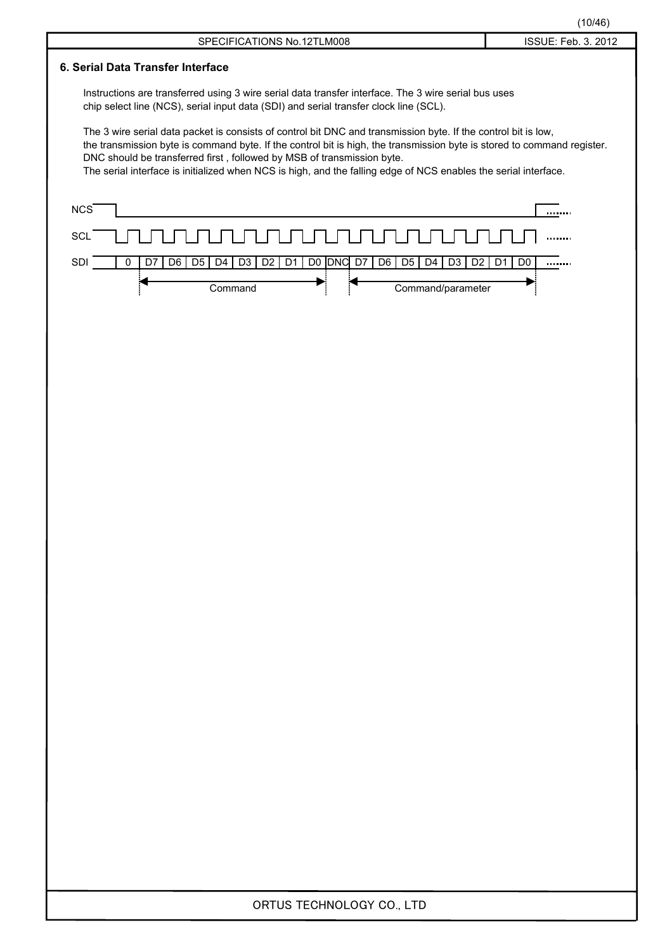|                                                                                                                                                                                                                                                                                                                                                                                                                                        | (10/46)                          |
|----------------------------------------------------------------------------------------------------------------------------------------------------------------------------------------------------------------------------------------------------------------------------------------------------------------------------------------------------------------------------------------------------------------------------------------|----------------------------------|
| SPECIFICATIONS No.12TLM008                                                                                                                                                                                                                                                                                                                                                                                                             | ISSUE: Feb. 3. 2012              |
| 6. Serial Data Transfer Interface                                                                                                                                                                                                                                                                                                                                                                                                      |                                  |
| Instructions are transferred using 3 wire serial data transfer interface. The 3 wire serial bus uses<br>chip select line (NCS), serial input data (SDI) and serial transfer clock line (SCL).                                                                                                                                                                                                                                          |                                  |
| The 3 wire serial data packet is consists of control bit DNC and transmission byte. If the control bit is low,<br>the transmission byte is command byte. If the control bit is high, the transmission byte is stored to command register.<br>DNC should be transferred first, followed by MSB of transmission byte.<br>The serial interface is initialized when NCS is high, and the falling edge of NCS enables the serial interface. |                                  |
| <b>NCS</b>                                                                                                                                                                                                                                                                                                                                                                                                                             |                                  |
| <b>SCL</b>                                                                                                                                                                                                                                                                                                                                                                                                                             |                                  |
| SDI<br>D <sub>5</sub><br>D <sub>4</sub><br>D <sub>3</sub><br>D <sub>2</sub><br>D <sub>1</sub><br><b>DNC</b><br>D7<br>D <sub>6</sub><br>D5<br>D <sub>4</sub><br>D <sub>3</sub><br>D <sub>2</sub><br>D7<br>D <sub>6</sub><br>D <sub>0</sub><br>0                                                                                                                                                                                         | D <sub>1</sub><br>D <sub>0</sub> |
| Command/parameter<br>Command                                                                                                                                                                                                                                                                                                                                                                                                           |                                  |
|                                                                                                                                                                                                                                                                                                                                                                                                                                        |                                  |
|                                                                                                                                                                                                                                                                                                                                                                                                                                        |                                  |
|                                                                                                                                                                                                                                                                                                                                                                                                                                        |                                  |
|                                                                                                                                                                                                                                                                                                                                                                                                                                        |                                  |
|                                                                                                                                                                                                                                                                                                                                                                                                                                        |                                  |
|                                                                                                                                                                                                                                                                                                                                                                                                                                        |                                  |
|                                                                                                                                                                                                                                                                                                                                                                                                                                        |                                  |
|                                                                                                                                                                                                                                                                                                                                                                                                                                        |                                  |
|                                                                                                                                                                                                                                                                                                                                                                                                                                        |                                  |
|                                                                                                                                                                                                                                                                                                                                                                                                                                        |                                  |
|                                                                                                                                                                                                                                                                                                                                                                                                                                        |                                  |
|                                                                                                                                                                                                                                                                                                                                                                                                                                        |                                  |
|                                                                                                                                                                                                                                                                                                                                                                                                                                        |                                  |
|                                                                                                                                                                                                                                                                                                                                                                                                                                        |                                  |
|                                                                                                                                                                                                                                                                                                                                                                                                                                        |                                  |
|                                                                                                                                                                                                                                                                                                                                                                                                                                        |                                  |
|                                                                                                                                                                                                                                                                                                                                                                                                                                        |                                  |
|                                                                                                                                                                                                                                                                                                                                                                                                                                        |                                  |
|                                                                                                                                                                                                                                                                                                                                                                                                                                        |                                  |
|                                                                                                                                                                                                                                                                                                                                                                                                                                        |                                  |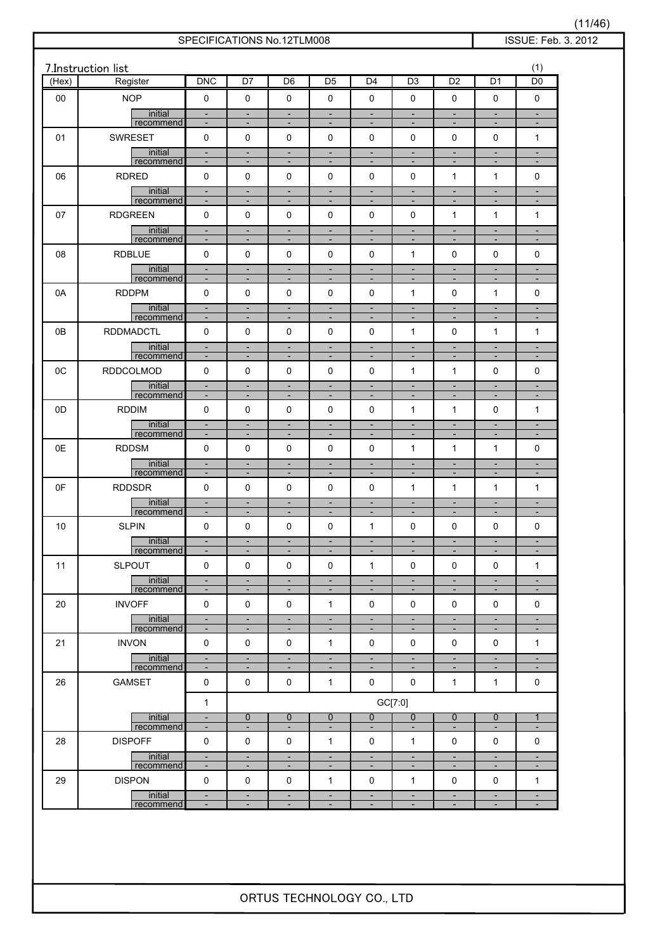| (Hex)  | 7.Instruction list<br>Register | <b>DNC</b>                                           | D7                                                   | D <sub>6</sub>                                       | D <sub>5</sub>                                       | D <sub>4</sub>                                       | D <sub>3</sub>                                       | D <sub>2</sub>                                       | $\overline{D1}$                                      | (1)<br>D <sub>0</sub>                                |
|--------|--------------------------------|------------------------------------------------------|------------------------------------------------------|------------------------------------------------------|------------------------------------------------------|------------------------------------------------------|------------------------------------------------------|------------------------------------------------------|------------------------------------------------------|------------------------------------------------------|
| $00\,$ | <b>NOP</b>                     | 0                                                    | $\pmb{0}$                                            | $\mathbf 0$                                          | $\mathbf 0$                                          | $\mathbf 0$                                          | 0                                                    | 0                                                    | 0                                                    | 0                                                    |
|        | initial<br>recommend           | $\overline{\phantom{a}}$<br>$\overline{\phantom{a}}$ | $\blacksquare$<br>٠                                  | $\overline{\phantom{a}}$                             | $\overline{\phantom{a}}$                             | $\overline{\phantom{a}}$<br>$\overline{\phantom{a}}$ | $\overline{\phantom{a}}$<br>٠                        | $\overline{\phantom{a}}$<br>$\overline{\phantom{a}}$ | $\overline{\phantom{a}}$<br>٠                        | $\blacksquare$<br>$\overline{\phantom{a}}$           |
| 01     | <b>SWRESET</b>                 | $\mathbf 0$                                          | 0                                                    | $\mathbf 0$                                          | $\mathbf 0$                                          | 0                                                    | 0                                                    | 0                                                    | 0                                                    | $\mathbf{1}$                                         |
|        | initial                        | $\overline{\phantom{a}}$                             | $\blacksquare$                                       | ÷,                                                   | Ξ                                                    | $\overline{\phantom{a}}$                             | $\blacksquare$                                       | Ξ                                                    | $\overline{\phantom{a}}$                             | $\blacksquare$                                       |
| 06     | recommend<br><b>RDRED</b>      | $\overline{\phantom{a}}$<br>$\mathbf 0$              | ٠<br>0                                               | $\overline{\phantom{a}}$<br>$\mathbf 0$              | $\overline{\phantom{a}}$<br>$\mathbf 0$              | ÷<br>0                                               | $\overline{\phantom{a}}$<br>0                        | ٠<br>1                                               | $\overline{\phantom{a}}$<br>1                        | $\overline{\phantom{a}}$<br>0                        |
|        | initial                        | $\overline{\phantom{a}}$                             | $\overline{\phantom{a}}$                             | ÷,                                                   | $\blacksquare$                                       | $\overline{\phantom{a}}$                             | $\overline{\phantom{a}}$                             | Ξ                                                    | Ξ                                                    | $\overline{\phantom{a}}$                             |
|        | recommend                      | $\overline{\phantom{a}}$                             | $\overline{\phantom{a}}$                             | $\overline{\phantom{a}}$                             | $\overline{\phantom{a}}$                             | $\overline{\phantom{a}}$                             | $\overline{\phantom{a}}$                             | $\overline{\phantom{a}}$                             | $\overline{\phantom{a}}$                             | $\overline{\phantom{a}}$                             |
| 07     | <b>RDGREEN</b><br>initial      | $\mathbf 0$<br>$\frac{1}{2}$                         | 0<br>$\overline{\phantom{a}}$                        | $\mathbf 0$<br>$\overline{\phantom{a}}$              | $\mathbf 0$<br>$\blacksquare$                        | 0<br>$\overline{\phantom{a}}$                        | 0<br>$\blacksquare$                                  | 1<br>$\overline{\phantom{a}}$                        | 1<br>$\blacksquare$                                  | 1<br>$\overline{\phantom{a}}$                        |
|        | recommend                      | $\overline{\phantom{a}}$                             | $\overline{\phantom{a}}$                             | $\overline{\phantom{a}}$                             | $\overline{\phantom{a}}$                             | $\overline{\phantom{a}}$                             | $\overline{\phantom{a}}$                             | $\overline{\phantom{a}}$                             | $\overline{\phantom{a}}$                             | $\overline{\phantom{a}}$                             |
| 08     | <b>RDBLUE</b>                  | $\mathbf 0$                                          | 0                                                    | $\mathbf 0$                                          | $\mathbf 0$                                          | 0                                                    | $\mathbf{1}$                                         | 0                                                    | 0                                                    | 0                                                    |
|        | initial<br>recommend           | $\overline{\phantom{a}}$<br>$\overline{\phantom{a}}$ | $\overline{\phantom{a}}$<br>$\overline{\phantom{a}}$ | $\overline{\phantom{a}}$<br>$\overline{\phantom{a}}$ | ÷,<br>$\overline{\phantom{a}}$                       | $\overline{\phantom{a}}$<br>$\overline{\phantom{a}}$ | $\blacksquare$<br>٠                                  | $\overline{\phantom{a}}$<br>$\overline{\phantom{a}}$ | $\overline{\phantom{a}}$<br>$\overline{\phantom{a}}$ | $\overline{\phantom{a}}$<br>$\overline{\phantom{a}}$ |
| 0A     | <b>RDDPM</b>                   | 0                                                    | 0                                                    | $\mathbf 0$                                          | 0                                                    | 0                                                    | $\mathbf{1}$                                         | 0                                                    | $\mathbf{1}$                                         | 0                                                    |
|        | initial<br>recommend           | $\blacksquare$<br>$\overline{\phantom{a}}$           | $\overline{\phantom{a}}$<br>$\overline{\phantom{a}}$ | ÷,<br>$\overline{\phantom{a}}$                       | $\overline{\phantom{a}}$<br>$\overline{\phantom{a}}$ | $\overline{\phantom{a}}$<br>$\overline{\phantom{a}}$ | $\overline{\phantom{a}}$<br>$\overline{\phantom{a}}$ | $\overline{\phantom{a}}$<br>$\overline{\phantom{a}}$ | ÷,<br>$\overline{\phantom{a}}$                       | $\overline{\phantom{a}}$<br>$\overline{\phantom{a}}$ |
| 0B     | <b>RDDMADCTL</b>               | 0                                                    | 0                                                    | $\mathbf 0$                                          | $\mathbf 0$                                          | 0                                                    | $\mathbf{1}$                                         | 0                                                    | $\mathbf{1}$                                         | $\mathbf{1}$                                         |
|        | initial<br>recommend           | $\overline{\phantom{a}}$<br>$\overline{\phantom{a}}$ | $\overline{\phantom{a}}$<br>$\blacksquare$           | $\overline{\phantom{a}}$<br>$\overline{\phantom{a}}$ | $\overline{\phantom{a}}$<br>$\overline{\phantom{a}}$ | $\overline{\phantom{a}}$<br>$\overline{\phantom{a}}$ | $\overline{\phantom{a}}$<br>$\overline{\phantom{a}}$ | $\overline{\phantom{a}}$<br>$\overline{\phantom{a}}$ | $\overline{\phantom{a}}$<br>$\overline{\phantom{a}}$ | $\overline{\phantom{a}}$<br>$\overline{\phantom{a}}$ |
| 0C     | RDDCOLMOD                      | $\mathbf 0$                                          | 0                                                    | $\mathbf 0$                                          | $\mathbf 0$                                          | 0                                                    | $\mathbf{1}$                                         | 1                                                    | 0                                                    | 0                                                    |
|        | initial                        | ÷,                                                   | $\overline{\phantom{a}}$                             | ÷,                                                   | $\overline{\phantom{a}}$                             | $\overline{\phantom{a}}$                             | $\blacksquare$                                       | $\overline{\phantom{a}}$                             | $\overline{\phantom{a}}$                             | $\blacksquare$                                       |
| 0D     | recommend<br><b>RDDIM</b>      | $\overline{\phantom{a}}$<br>$\mathbf 0$              | $\overline{\phantom{a}}$<br>0                        | $\overline{\phantom{a}}$<br>$\mathbf 0$              | $\overline{\phantom{a}}$<br>$\mathbf 0$              | $\overline{\phantom{a}}$<br>0                        | $\overline{\phantom{a}}$<br>$\mathbf{1}$             | $\overline{\phantom{a}}$<br>$\mathbf{1}$             | $\overline{\phantom{a}}$<br>0                        | $\overline{\phantom{a}}$<br>$\mathbf{1}$             |
|        | initial                        | $\overline{\phantom{a}}$                             | $\overline{\phantom{a}}$                             | $\overline{\phantom{a}}$                             | $\blacksquare$                                       | $\blacksquare$                                       | $\blacksquare$                                       | $\overline{\phantom{a}}$                             | $\overline{\phantom{a}}$                             | $\overline{\phantom{a}}$                             |
|        | recommend<br><b>RDDSM</b>      | $\overline{\phantom{a}}$<br>0                        | $\overline{\phantom{a}}$<br>0                        | $\overline{\phantom{a}}$<br>$\mathbf 0$              | $\overline{\phantom{a}}$<br>$\mathbf 0$              | $\overline{\phantom{a}}$<br>0                        | $\overline{\phantom{a}}$<br>$\mathbf{1}$             | ٠<br>$\mathbf{1}$                                    | $\overline{\phantom{a}}$<br>1                        | $\overline{\phantom{a}}$<br>0                        |
| 0E     | initial                        | $\overline{\phantom{a}}$                             | $\overline{\phantom{a}}$                             | $\overline{\phantom{a}}$                             | $\overline{\phantom{a}}$                             | $\blacksquare$                                       | $\overline{\phantom{a}}$                             | $\blacksquare$                                       | $\blacksquare$                                       | $\overline{\phantom{a}}$                             |
|        | recommend                      | $\overline{\phantom{a}}$                             | $\blacksquare$                                       | $\overline{\phantom{a}}$                             | $\overline{\phantom{a}}$                             | $\overline{\phantom{a}}$                             | $\overline{\phantom{a}}$                             | $\overline{\phantom{a}}$                             | $\overline{\phantom{a}}$                             | $\overline{\phantom{a}}$                             |
| 0F     | <b>RDDSDR</b><br>initial       | 0                                                    | 0<br>$\overline{\phantom{a}}$                        | $\mathbf 0$<br>$\overline{\phantom{a}}$              | 0<br>$\overline{\phantom{a}}$                        | 0                                                    | $\mathbf{1}$<br>$\overline{\phantom{a}}$             | 1<br>$\overline{\phantom{a}}$                        | $\mathbf{1}$<br>$\overline{\phantom{a}}$             | $\mathbf{1}$                                         |
|        | recommend                      | $\overline{\phantom{a}}$<br>$\overline{\phantom{a}}$ | $\overline{\phantom{a}}$                             | ÷,                                                   | $\overline{\phantom{a}}$                             | ٠<br>÷                                               | $\overline{\phantom{a}}$                             | ÷                                                    | $\overline{\phantom{a}}$                             | $\overline{\phantom{a}}$<br>$\overline{\phantom{a}}$ |
| 10     | <b>SLPIN</b>                   | 0                                                    | 0                                                    | $\mathbf 0$                                          | $\mathbf 0$                                          | 1                                                    | 0                                                    | 0                                                    | 0                                                    | 0                                                    |
|        | <u>initial</u><br>recommend    | $\overline{\phantom{a}}$                             | $\overline{\phantom{a}}$                             | $\overline{\phantom{a}}$                             | $\overline{\phantom{a}}$                             | $\overline{\phantom{a}}$                             | $\overline{\phantom{a}}$                             | $\overline{\phantom{a}}$                             | $\overline{\phantom{a}}$                             | $\overline{\phantom{a}}$                             |
| 11     | <b>SLPOUT</b>                  | 0                                                    | 0                                                    | 0                                                    | $\mathbf 0$                                          | $\mathbf{1}$                                         | 0                                                    | 0                                                    | 0                                                    | $\mathbf{1}$                                         |
|        | initial<br>recommend           | $\overline{\phantom{a}}$<br>-                        | $\overline{\phantom{a}}$<br>٠                        | $\overline{\phantom{a}}$<br>$\overline{\phantom{a}}$ | $\overline{\phantom{a}}$<br>-                        | $\overline{\phantom{a}}$<br>$\overline{\phantom{a}}$ | ٠<br>$\overline{\phantom{a}}$                        | $\overline{\phantom{a}}$                             | $\overline{\phantom{a}}$<br>٠                        | $\overline{\phantom{a}}$<br>٠                        |
| 20     | <b>INVOFF</b>                  | 0                                                    | 0                                                    | $\mathbf 0$                                          | 1                                                    | 0                                                    | 0                                                    | 0                                                    | 0                                                    | 0                                                    |
|        | initial                        | $\overline{\phantom{a}}$<br>$\overline{\phantom{a}}$ | $\overline{\phantom{a}}$<br>$\overline{\phantom{a}}$ | $\overline{\phantom{a}}$<br>$\overline{\phantom{a}}$ | ÷,<br>$\overline{\phantom{a}}$                       | $\blacksquare$<br>$\overline{\phantom{a}}$           | $\overline{\phantom{a}}$<br>$\overline{\phantom{a}}$ | $\overline{\phantom{a}}$<br>$\overline{\phantom{a}}$ | $\blacksquare$<br>$\overline{\phantom{a}}$           | $\overline{\phantom{a}}$<br>$\overline{\phantom{a}}$ |
| 21     | recommend<br><b>INVON</b>      | 0                                                    | 0                                                    | 0                                                    | 1                                                    | 0                                                    | 0                                                    | 0                                                    | 0                                                    | 1                                                    |
|        | initial                        | $\overline{\phantom{a}}$                             | $\overline{\phantom{a}}$                             | $\overline{\phantom{a}}$                             | $\overline{\phantom{a}}$                             | $\overline{\phantom{a}}$                             | $\overline{\phantom{a}}$                             | $\overline{\phantom{a}}$                             | $\overline{\phantom{a}}$                             | $\overline{\phantom{a}}$                             |
| 26     | recommend<br>GAMSET            | $\overline{\phantom{a}}$<br>0                        | $\overline{\phantom{a}}$<br>0                        | $\qquad \qquad \blacksquare$<br>$\mathbf 0$          | $\overline{\phantom{a}}$<br>1                        | ٠<br>0                                               | $\overline{\phantom{a}}$<br>0                        | $\overline{\phantom{a}}$<br>1                        | $\overline{\phantom{a}}$<br>$\mathbf 1$              | $\overline{\phantom{a}}$<br>0                        |
|        |                                |                                                      |                                                      |                                                      |                                                      |                                                      |                                                      |                                                      |                                                      |                                                      |
|        | initial                        | $\mathbf{1}$<br>$\overline{\phantom{a}}$             | $\mathbf 0$                                          | $\mathbf 0$                                          | $\overline{0}$                                       | $\mathbf 0$                                          | GC[7:0]<br>$\overline{0}$                            | 0                                                    | $\overline{0}$                                       | $\mathbf{1}$                                         |
|        | recommend                      | $\overline{\phantom{a}}$                             | $\overline{\phantom{a}}$                             | $\qquad \qquad \blacksquare$                         | $\overline{\phantom{a}}$                             | $\overline{\phantom{a}}$                             | ÷                                                    |                                                      | $\overline{\phantom{a}}$                             | $\overline{\phantom{a}}$                             |
| 28     | <b>DISPOFF</b>                 | 0                                                    | 0                                                    | 0                                                    | 1                                                    | 0                                                    | $\mathbf{1}$                                         | 0                                                    | 0                                                    | 0                                                    |
|        | initial<br>recommend           | $\overline{\phantom{a}}$<br>$\overline{\phantom{a}}$ | $\overline{\phantom{a}}$<br>٠                        | $\overline{\phantom{a}}$<br>$\overline{\phantom{a}}$ | $\overline{\phantom{a}}$<br>$\overline{\phantom{a}}$ | $\overline{\phantom{a}}$<br>$\overline{\phantom{a}}$ | $\overline{\phantom{a}}$<br>$\overline{\phantom{a}}$ | $\overline{\phantom{a}}$                             | $\overline{\phantom{a}}$<br>$\overline{\phantom{a}}$ | $\overline{\phantom{a}}$<br>$\overline{\phantom{a}}$ |
| 29     | <b>DISPON</b>                  | 0                                                    | 0                                                    | $\mathbf 0$                                          | 1                                                    | 0                                                    | $\mathbf{1}$                                         | 0                                                    | 0                                                    | 1                                                    |
|        | initial<br>recommend           | $\overline{\phantom{a}}$<br>$\overline{\phantom{a}}$ | $\overline{\phantom{a}}$<br>$\blacksquare$           | $\overline{\phantom{a}}$<br>$\overline{\phantom{a}}$ | $\overline{\phantom{a}}$<br>$\blacksquare$           | $\overline{\phantom{a}}$<br>$\overline{\phantom{a}}$ | $\overline{\phantom{a}}$<br>$\blacksquare$           | $\overline{\phantom{a}}$<br>$\overline{\phantom{a}}$ | $\overline{\phantom{a}}$<br>$\overline{\phantom{a}}$ | $\overline{\phantom{a}}$<br>$\blacksquare$           |

 $(11/46)$ <br>3. 2012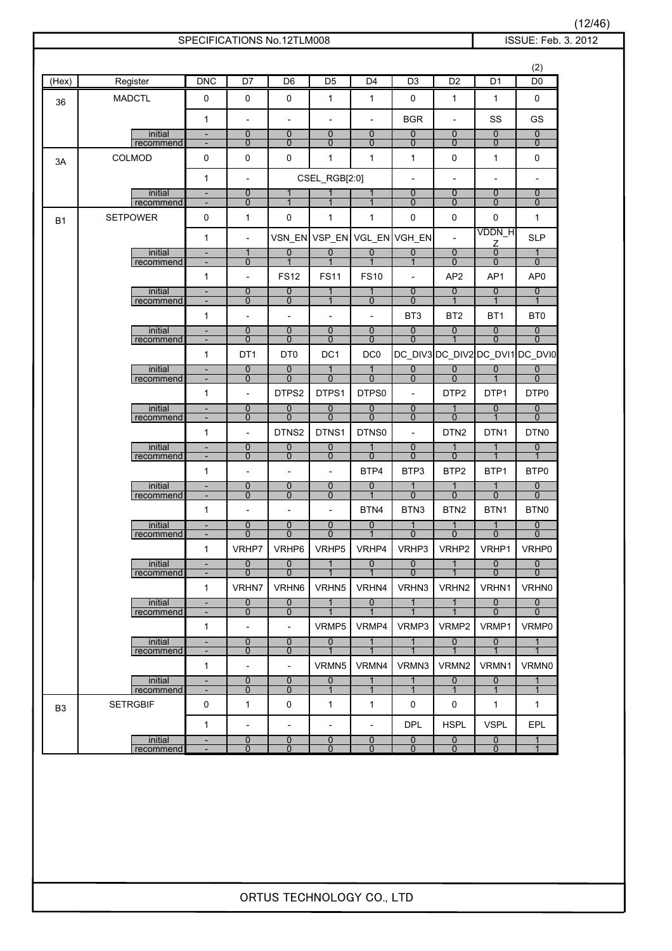|                |                              |                                                      | SPECIFICATIONS No.12TLM008                 |                                          |                                         |                                |                                            |                                    |                                | ISSUE: Feb. 3. 2012              |
|----------------|------------------------------|------------------------------------------------------|--------------------------------------------|------------------------------------------|-----------------------------------------|--------------------------------|--------------------------------------------|------------------------------------|--------------------------------|----------------------------------|
|                |                              |                                                      |                                            |                                          |                                         |                                |                                            |                                    |                                | (2)                              |
| (Hex)          | Register                     | <b>DNC</b>                                           | D <sub>7</sub>                             | D <sub>6</sub>                           | D <sub>5</sub>                          | D <sub>4</sub>                 | D3                                         | D <sub>2</sub>                     | D <sub>1</sub>                 | D <sub>0</sub>                   |
| 36             | <b>MADCTL</b>                | 0                                                    | 0                                          | 0                                        | $\mathbf{1}$                            | $\mathbf 1$                    | 0                                          | 1                                  | $\mathbf{1}$                   | 0                                |
|                |                              | $\mathbf{1}$                                         | $\overline{\phantom{a}}$                   | $\overline{\phantom{a}}$                 | $\overline{\phantom{a}}$                | $\overline{\phantom{a}}$       | <b>BGR</b>                                 | $\overline{\phantom{a}}$           | SS                             | GS                               |
|                | initial<br>recommend         | $\blacksquare$<br>$\overline{\phantom{a}}$           | $\overline{0}$<br>$\mathbf{0}$             | $\overline{0}$<br>$\mathbf{0}$           | $\overline{0}$<br>0                     | $\overline{0}$<br>$\mathbf{0}$ | $\overline{0}$<br>$\overline{0}$           | $\overline{0}$<br>$\mathbf{0}$     | $\pmb{0}$<br>$\mathbf 0$       | $\overline{0}$<br>$\mathbf{0}$   |
| 3A             | COLMOD                       | 0                                                    | 0                                          | 0                                        | 1                                       | $\mathbf{1}$                   | $\mathbf{1}$                               | $\pmb{0}$                          | $\mathbf{1}$                   | 0                                |
|                |                              | $\mathbf{1}$                                         | $\overline{\phantom{a}}$                   |                                          | CSEL_RGB[2:0]                           |                                | $\overline{\phantom{a}}$                   |                                    | $\overline{\phantom{0}}$       | $\overline{a}$                   |
|                | initial                      | $\overline{\phantom{a}}$                             | 0                                          | $\mathbf 1$                              | 1                                       | $\mathbf{1}$                   | $\overline{0}$                             | 0                                  | $\overline{0}$                 | $\overline{0}$                   |
|                | recommend<br><b>SETPOWER</b> | 0                                                    | $\mathbf 0$<br>$\mathbf{1}$                | $\mathbf{1}$<br>0                        | $\mathbf{1}$<br>$\mathbf{1}$            | $\mathbf 1$<br>$\mathbf{1}$    | $\mathbf 0$<br>$\pmb{0}$                   | 0<br>0                             | $\mathbf 0$<br>$\pmb{0}$       | 0<br>$\mathbf{1}$                |
| <b>B1</b>      |                              |                                                      |                                            |                                          |                                         |                                |                                            |                                    | VDDN_H                         |                                  |
|                | initial                      | $\mathbf{1}$                                         | $\overline{\phantom{a}}$<br>1              | $\overline{0}$                           | $\overline{0}$                          | $\overline{0}$                 | VSN_EN VSP_EN VGL_EN VGH_EN<br>0           | $\overline{0}$                     | Ζ<br>0                         | <b>SLP</b><br>$\mathbf{1}$       |
|                | recommend                    | $\overline{\phantom{a}}$                             | $\mathbf 0$                                | $\overline{1}$                           | $\overline{1}$                          | $\overline{1}$                 | $\overline{1}$                             | $\mathbf{0}$                       | $\mathbf{0}$                   | $\mathbf{0}$                     |
|                | initial                      | $\mathbf{1}$<br>$\overline{\phantom{a}}$             | $\overline{\phantom{a}}$<br>$\overline{0}$ | <b>FS12</b><br>$\mathbf 0$               | <b>FS11</b><br>$\mathbf{1}$             | <b>FS10</b>                    | $\overline{\phantom{a}}$<br>$\overline{0}$ | AP <sub>2</sub><br>$\overline{0}$  | AP1<br>$\overline{0}$          | AP <sub>0</sub><br>$\mathbf{0}$  |
|                | recommend                    | $\overline{\phantom{a}}$                             | $\mathbf 0$                                | $\mathbf 0$                              | $\mathbf{1}$                            | $\mathbf 0$                    | $\overline{0}$                             | $\overline{1}$                     | $\mathbf{1}$                   | $\mathbf{1}$                     |
|                |                              | $\mathbf{1}$                                         | $\overline{\phantom{a}}$                   | $\blacksquare$                           | $\overline{\phantom{a}}$                | $\overline{\phantom{a}}$       | BT <sub>3</sub>                            | BT <sub>2</sub>                    | BT <sub>1</sub>                | BT <sub>0</sub>                  |
|                | initial<br>recommend         | $\blacksquare$<br>$\overline{\phantom{a}}$           | $\overline{0}$<br>$\mathbf{0}$             | $\mathbf 0$<br>$\mathbf{0}$              | $\overline{0}$<br>$\mathbf{0}$          | $\overline{0}$<br>$\mathbf{0}$ | $\overline{0}$<br>$\overline{0}$           | $\overline{0}$<br>$\mathbf{1}$     | $\pmb{0}$<br>$\Omega$          | $\overline{0}$<br>$\mathbf{0}$   |
|                |                              | $\mathbf{1}$                                         | DT <sub>1</sub>                            | DT <sub>0</sub>                          | DC1                                     | DC <sub>0</sub>                |                                            | DC_DIV3 DC_DIV2 DC_DVI1 DC_DVI0    |                                |                                  |
|                | initial<br>recommend         | $\overline{\phantom{a}}$<br>$\overline{\phantom{a}}$ | $\overline{0}$<br>$\mathbf 0$              | $\overline{0}$<br>$\overline{0}$         | $\overline{1}$<br>$\overline{0}$        | $\mathbf{1}$<br>$\mathbf 0$    | $\overline{0}$<br>$\overline{0}$           | $\overline{0}$<br>$\overline{0}$   | $\overline{0}$<br>$\mathbf{1}$ | $\overline{0}$<br>$\mathbf{0}$   |
|                |                              | $\mathbf{1}$                                         | $\overline{a}$                             | DTPS2                                    | DTPS1                                   | DTPS0                          | $\overline{\phantom{a}}$                   | DTP <sub>2</sub>                   | DTP1                           | DTP0                             |
|                | initial<br>recommend         | $\overline{\phantom{a}}$<br>$\overline{\phantom{a}}$ | $\overline{0}$<br>$\overline{0}$           | $\overline{0}$<br>$\Omega$               | $\overline{0}$<br>$\overline{0}$        | 0<br>$\overline{0}$            | $\overline{0}$<br>$\overline{0}$           | $\mathbf{1}$<br>$\mathbf{0}$       | $\overline{0}$<br>$\mathbf{1}$ | $\overline{0}$<br>$\overline{0}$ |
|                |                              | $\mathbf{1}$                                         | $\overline{\phantom{a}}$                   | DTNS2                                    | DTNS1                                   | DTNS0                          | $\overline{\phantom{a}}$                   | DTN <sub>2</sub>                   | DTN1                           | DTN0                             |
|                | initial                      | $\overline{\phantom{a}}$<br>$\overline{\phantom{a}}$ | $\overline{0}$<br>$\mathbf 0$              | $\overline{0}$<br>$\overline{0}$         | $\overline{0}$<br>$\overline{0}$        | $\mathbf 1$<br>$\mathbf 0$     | $\pmb{0}$<br>$\overline{0}$                | $\mathbf{1}$<br>$\mathbf 0$        | $\overline{1}$                 | $\overline{0}$                   |
|                | recommend                    | 1                                                    | $\overline{\phantom{a}}$                   | $\overline{\phantom{a}}$                 | $\overline{\phantom{a}}$                | BTP4                           | BTP3                                       | BTP2                               | BTP1                           | BTP0                             |
|                | initial                      | $\blacksquare$                                       | $\overline{0}$                             | $\overline{0}$                           | $\overline{0}$                          | $\overline{0}$                 | $\mathbf{1}$                               | $\mathbf{1}$                       | $\mathbf{1}$                   | $\overline{0}$                   |
|                | recommend                    | $\overline{\phantom{a}}$<br>$\mathbf{1}$             | $\mathbf 0$<br>$\overline{\phantom{a}}$    | $\mathbf{0}$<br>$\overline{\phantom{a}}$ | $\mathbf 0$<br>$\overline{\phantom{a}}$ | BTN4                           | $\overline{0}$<br>BTN3                     | $\overline{0}$<br>BTN <sub>2</sub> | $\overline{0}$<br>BTN1         | $\overline{0}$<br>BTN0           |
|                | initial                      | $\qquad \qquad \blacksquare$                         | $\overline{0}$                             | 0                                        | 0                                       | $\overline{0}$                 | 1                                          | 1                                  | 1                              | $\overline{0}$                   |
|                | recommend                    | $\mathbf{1}$                                         | $\overline{0}$                             | $\overline{0}$<br>VRHP6                  | $\overline{0}$                          |                                | $\overline{0}$                             | $\overline{0}$<br>VRHP2            | $\overline{0}$<br>VRHP1        | $\overline{0}$                   |
|                | initial                      | $\blacksquare$                                       | VRHP7<br>$\overline{0}$                    | $\overline{0}$                           | VRHP5<br>$\mathbf{1}$                   | VRHP4<br>$\overline{0}$        | VRHP3<br>$\overline{0}$                    | $\mathbf{1}$                       | $\overline{0}$                 | VRHP0<br>$\overline{0}$          |
|                | recommend                    | $\blacksquare$                                       | $\overline{0}$                             | $\mathbf{0}$                             | $\overline{1}$                          | $\mathbf{1}$                   | $\overline{0}$                             | $\mathbf{1}$                       | $\mathbf{0}$                   | $\mathbf{0}$                     |
|                | initial                      | $\mathbf{1}$<br>$\overline{\phantom{a}}$             | VRHN7<br>$\overline{0}$                    | VRHN6<br>$\overline{0}$                  | VRHN5<br>$\overline{1}$                 | VRHN4<br>$\overline{0}$        | VRHN3<br>$\overline{1}$                    | VRHN <sub>2</sub><br>$\mathbf{1}$  | VRHN1<br>$\overline{0}$        | VRHN0<br>$\overline{0}$          |
|                | recommend                    | $\overline{\phantom{a}}$                             | 0                                          | $\mathbf{0}$                             | $\mathbf{1}$                            | $\overline{1}$                 | $\mathbf 1$                                | 1                                  | $\mathbf 0$                    | $\mathbf 0$                      |
|                |                              | $\mathbf{1}$                                         | $\overline{\phantom{a}}$                   | $\overline{\phantom{a}}$                 | VRMP5                                   | VRMP4                          | VRMP3                                      | VRMP2                              | VRMP1                          | VRMP0                            |
|                | initial<br>recommend         | $\overline{\phantom{a}}$<br>$\overline{\phantom{a}}$ | $\overline{0}$<br>0                        | $\overline{0}$<br>$\mathbf{0}$           | $\overline{0}$<br>$\mathbf{1}$          | $\mathbf{1}$<br>$\mathbf 1$    | $\mathbf{1}$                               | $\overline{0}$                     | $\overline{0}$                 | $\mathbf{1}$                     |
|                |                              | $\mathbf{1}$                                         | $\overline{\phantom{a}}$                   | $\overline{a}$                           | VRMN5                                   | VRMN4                          | VRMN3                                      | VRMN2                              | VRMN1                          | VRMN0                            |
|                | initial<br>recommend         |                                                      | $\overline{0}$<br>$\mathbf{0}$             | $\overline{0}$<br>$\mathbf{0}$           | $\overline{0}$<br>$\mathbf{1}$          | $\mathbf{1}$<br>$\mathbf{1}$   | 1<br>$\mathbf{1}$                          | $\overline{0}$<br>$\mathbf{1}$     | $\overline{0}$<br>$\mathbf{1}$ | $\mathbf{1}$<br>$\mathbf{1}$     |
| B <sub>3</sub> | <b>SETRGBIF</b>              | 0                                                    | 1                                          | 0                                        | 1                                       | $\mathbf{1}$                   | 0                                          | 0                                  | $\mathbf{1}$                   | 1                                |
|                |                              | $\mathbf{1}$                                         | $\overline{\phantom{a}}$                   | $\overline{\phantom{a}}$                 | $\overline{\phantom{a}}$                | $\overline{\phantom{a}}$       | DPL                                        | <b>HSPL</b>                        | <b>VSPL</b>                    | EPL                              |
|                | initial                      | $\overline{\phantom{a}}$                             | 0                                          | 0<br>$\Omega$                            | 0<br>$\mathbf{0}$                       | 0<br>$\Omega$                  | $\overline{0}$                             | $\overline{0}$<br>$\mathbf{0}$     | $\overline{0}$<br>$\mathbf{0}$ | 1                                |
|                | recommend                    | $\overline{\phantom{a}}$                             | $\mathbf{0}$                               |                                          |                                         |                                | $\mathbf{0}$                               |                                    |                                |                                  |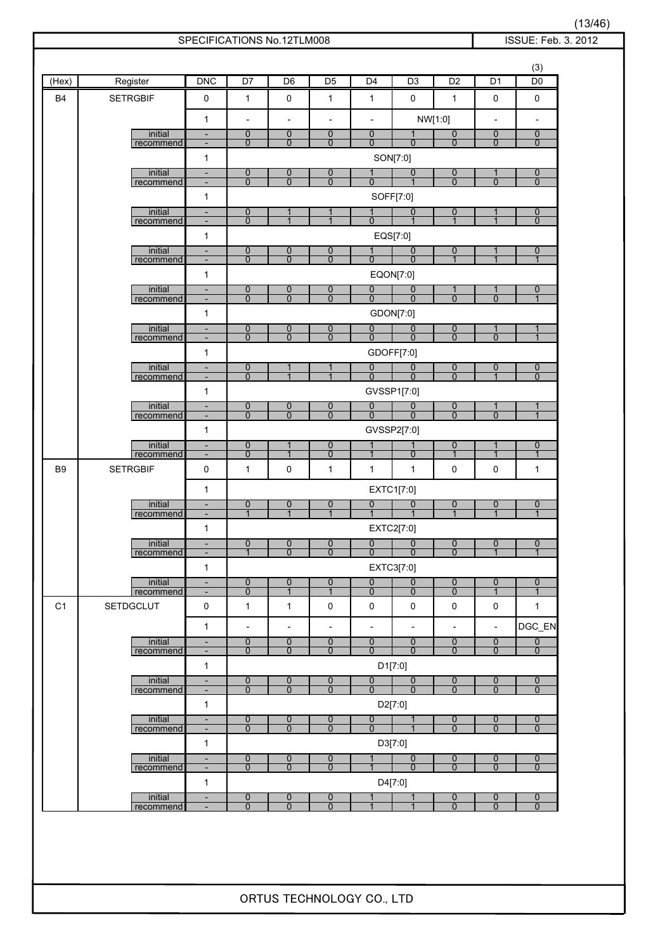|                |                        |                                                      |                                | SPECIFICATIONS No.12TLM008                 |                                            |                                            |                                            |                                            |                                            | ISSUE: Feb. 3. 2012              |
|----------------|------------------------|------------------------------------------------------|--------------------------------|--------------------------------------------|--------------------------------------------|--------------------------------------------|--------------------------------------------|--------------------------------------------|--------------------------------------------|----------------------------------|
|                |                        |                                                      |                                |                                            |                                            |                                            |                                            |                                            |                                            | (3)                              |
| (Hex)          | Register               | DNC                                                  | D7                             | D <sub>6</sub>                             | $\overline{D5}$                            | D <sub>4</sub>                             | D <sub>3</sub>                             | D <sub>2</sub>                             | D <sub>1</sub>                             | D <sub>0</sub>                   |
| B <sub>4</sub> | <b>SETRGBIF</b>        | 0                                                    | $\mathbf{1}$                   | $\pmb{0}$                                  | $\mathbf{1}$                               | $\mathbf{1}$                               | $\mathbf 0$                                | $\mathbf{1}$                               | 0                                          | $\mathbf 0$                      |
|                |                        | $\mathbf{1}$                                         | $\overline{\phantom{a}}$       | $\overline{\phantom{a}}$                   | $\overline{a}$                             | $\overline{\phantom{a}}$                   |                                            | NW[1:0]                                    | $\overline{\phantom{a}}$                   | $\overline{\phantom{a}}$         |
|                | initial<br>recommend   | $\overline{\phantom{a}}$<br>$\overline{\phantom{a}}$ | $\overline{0}$<br>$\mathbf 0$  | $\overline{0}$<br>$\mathbf 0$              | $\overline{0}$<br>0                        | $\mathbf 0$<br>$\mathbf{0}$                | $\mathbf{1}$<br>$\Omega$                   | $\overline{0}$<br>$\overline{0}$           | $\mathbf 0$<br>$\mathbf 0$                 | $\mathbf 0$<br>$\mathbf 0$       |
|                |                        | $\mathbf{1}$                                         |                                |                                            |                                            |                                            | SON[7:0]                                   |                                            |                                            |                                  |
|                | initial                | $\overline{\phantom{a}}$                             | $\overline{0}$                 | 0                                          | $\boldsymbol{0}$                           | 1                                          | $\overline{0}$                             | $\overline{0}$                             | $\mathbf{1}$                               | $\overline{0}$                   |
|                | recommend              | $\overline{\phantom{a}}$<br>$\mathbf{1}$             | $\mathbf 0$                    | $\mathbf{0}$                               | $\Omega$                                   | $\mathbf{0}$                               | 1<br>SOFF[7:0]                             | $\mathbf{0}$                               | $\mathbf{0}$                               | $\mathbf{0}$                     |
|                | initial                | $\overline{\phantom{a}}$                             | 0                              |                                            | 1                                          |                                            | $\mathbf 0$                                | $\overline{0}$                             | 1                                          | $\mathbf 0$                      |
|                | recommend              | $\overline{\phantom{a}}$                             | $\mathbf 0$                    |                                            |                                            | $\Omega$                                   |                                            | $\overline{1}$                             | $\mathbf{1}$                               | $\mathbf{0}$                     |
|                | initial                | $\mathbf{1}$<br>$\overline{\phantom{a}}$             | $\boldsymbol{0}$               |                                            | $\boldsymbol{0}$                           |                                            | EQS[7:0]<br>$\mathbf 0$                    | $\overline{0}$                             | 1                                          | $\boldsymbol{0}$                 |
|                | recommend              | $\overline{\phantom{a}}$                             | $\overline{0}$                 | $\frac{0}{0}$                              | $\overline{0}$                             | $\mathbf{0}$                               | $\Omega$                                   | $\overline{1}$                             | $\mathbf{1}$                               | 1                                |
|                |                        | $\mathbf{1}$                                         |                                |                                            |                                            |                                            | EQON[7:0]                                  |                                            |                                            |                                  |
|                | initial<br>recommend   | $\overline{\phantom{a}}$<br>$\overline{\phantom{a}}$ | $\mathbf 0$<br>$\Omega$        | 0<br>$\overline{0}$                        | $\overline{0}$<br>$\overline{0}$           | $\overline{0}$<br>$\overline{0}$           | $\overline{0}$<br>$\mathbf{0}$             | 1<br>$\Omega$                              | 1<br>$\overline{0}$                        | $\mathbf 0$<br>$\overline{1}$    |
|                |                        | $\mathbf{1}$                                         |                                |                                            |                                            |                                            | GDON[7:0]                                  |                                            |                                            |                                  |
|                | initial<br>recommend   | $\overline{\phantom{a}}$<br>$\overline{\phantom{a}}$ | $\overline{0}$<br>$\mathbf 0$  | $\mathbf 0$<br>$\overline{0}$              | $\overline{0}$<br>$\mathbf{0}$             | $\overline{0}$<br>$\mathbf{0}$             | $\overline{0}$<br>$\mathbf{0}$             | $\mathbf 0$<br>$\overline{0}$              | 1<br>$\mathbf{0}$                          | $\mathbf 1$<br>$\overline{1}$    |
|                |                        | $\mathbf{1}$                                         |                                |                                            |                                            |                                            | GDOFF[7:0]                                 |                                            |                                            |                                  |
|                | initial<br>recommend   | $\overline{\phantom{a}}$<br>$\overline{\phantom{a}}$ | 0<br>$\mathbf 0$               | 1<br>$\mathbf{1}$                          | 1<br>$\mathbf{1}$                          | $\overline{0}$<br>$\mathbf{0}$             | $\overline{0}$<br>$\Omega$                 | $\overline{0}$<br>$\overline{0}$           | $\overline{0}$<br>$\mathbf{1}$             | $\overline{0}$<br>$\mathbf{0}$   |
|                |                        | $\mathbf{1}$                                         |                                |                                            |                                            |                                            | GVSSP1[7:0]                                |                                            |                                            |                                  |
|                | initial                | $\overline{\phantom{a}}$                             | $\overline{0}$                 | 0                                          | $\overline{0}$                             | $\overline{0}$                             | $\mathbf 0$                                | $\overline{0}$                             | $\mathbf{1}$                               | 1                                |
|                | recommend              | $\blacksquare$<br>$\mathbf{1}$                       | $\mathbf 0$                    | $\overline{0}$                             | $\overline{0}$                             | $\overline{0}$                             | $\mathbf{0}$                               | $\overline{0}$                             | $\overline{0}$                             | $\mathbf{1}$                     |
|                | initial                | $\overline{\phantom{a}}$                             | $\overline{0}$                 | 1                                          | $\overline{0}$                             |                                            | GVSSP2[7:0]<br>1                           | $\overline{0}$                             | $\mathbf{1}$                               | $\overline{0}$                   |
|                | recommend              | $\blacksquare$                                       | 0                              | $\mathbf 1$                                | $\mathbf 0$                                | $\mathbf{1}$                               | $\mathbf 0$                                | $\mathbf{1}$                               | $\mathbf{1}$                               | $\mathbf{1}$                     |
| B <sub>9</sub> | <b>SETRGBIF</b>        | $\mathbf 0$                                          | 1                              | 0                                          | 1                                          | $\mathbf{1}$                               | $\mathbf{1}$                               | 0                                          | 0                                          | 1                                |
|                |                        | $\mathbf{1}$                                         |                                |                                            |                                            |                                            | EXTC1[7:0]                                 |                                            |                                            |                                  |
|                | initial<br>recommend   | $\blacksquare$<br>$\overline{\phantom{a}}$           | $\overline{0}$<br>$\mathbf{1}$ | 0<br>$\mathbf{1}$                          | 0<br>$\mathbf{1}$                          | $\overline{0}$<br>$\mathbf{1}$             | $\mathbf 0$<br>$\mathbf 1$                 | $\overline{0}$<br>$\overline{1}$           | $\overline{0}$<br>$\mathbf{1}$             | $\overline{0}$<br>$\mathbf{1}$   |
|                |                        | $\mathbf{1}$                                         |                                |                                            |                                            |                                            | EXTC2[7:0]                                 |                                            |                                            |                                  |
|                | initial<br>recommend   | ٠<br>$\overline{a}$                                  | 0<br>$\mathbf 1$               | $\overline{0}$<br>$\Omega$                 | $\overline{0}$<br>$\overline{0}$           | 0<br>$\Omega$                              | 0<br>$\Omega$                              | $\overline{0}$<br>$\overline{0}$           | $\mathbf 0$<br>$\mathbf{1}$                | $\mathbf 0$<br>1                 |
|                |                        | $\mathbf{1}$                                         |                                |                                            |                                            |                                            | EXTC3[7:0]                                 |                                            |                                            |                                  |
|                | initial                | $\overline{\phantom{a}}$                             | 0                              | 0                                          | $\boldsymbol{0}$                           | $\overline{0}$                             | $\boldsymbol{0}$                           | $\overline{0}$                             | $\boldsymbol{0}$                           | $\boldsymbol{0}$                 |
| C <sub>1</sub> | recommend<br>SETDGCLUT | $\overline{\phantom{a}}$<br>$\pmb{0}$                | $\mathbf 0$<br>$\mathbf{1}$    | $\mathbf{1}$<br>$\mathbf{1}$               | $\mathbf{1}$<br>0                          | $\overline{0}$<br>$\pmb{0}$                | $\mathbf 0$<br>$\pmb{0}$                   | $\overline{0}$<br>$\pmb{0}$                | $\mathbf{1}$<br>$\mathsf 0$                | $\mathbf{1}$<br>$\mathbf{1}$     |
|                |                        |                                                      |                                |                                            |                                            |                                            |                                            |                                            |                                            |                                  |
|                | initial                | $\mathbf{1}$<br>$\overline{\phantom{a}}$             | $\overline{\phantom{a}}$<br>0  | $\overline{\phantom{a}}$<br>$\overline{0}$ | $\overline{\phantom{a}}$<br>$\overline{0}$ | $\overline{\phantom{a}}$<br>$\overline{0}$ | $\overline{\phantom{a}}$<br>$\overline{0}$ | $\overline{\phantom{a}}$<br>$\overline{0}$ | $\overline{\phantom{a}}$<br>$\overline{0}$ | DGC_EN<br>$\overline{0}$         |
|                | recommend              | $\blacksquare$                                       | $\mathbf 0$                    | $\mathbf{0}$                               | $\mathbf{0}$                               | $\mathbf{0}$                               | $\mathbf 0$                                | $\mathbf{0}$                               | $\mathbf{0}$                               | $\mathbf 0$                      |
|                |                        | $\mathbf{1}$                                         |                                |                                            |                                            |                                            | D1[7:0]                                    |                                            |                                            |                                  |
|                | initial<br>recommend   | $\blacksquare$<br>$\overline{\phantom{a}}$           | $\overline{0}$<br>$\mathbf{0}$ | $\overline{0}$<br>$\mathbf{0}$             | $\boldsymbol{0}$<br>$\mathbf{0}$           | 0<br>$\overline{0}$                        | $\overline{0}$<br>$\mathbf{0}$             | $\overline{0}$<br>$\overline{0}$           | $\overline{0}$<br>$\mathbf{0}$             | $\overline{0}$<br>$\mathbf{0}$   |
|                |                        | $\mathbf{1}$                                         |                                |                                            |                                            |                                            | D2[7:0]                                    |                                            |                                            |                                  |
|                | initial<br>recommend   | $\overline{\phantom{a}}$<br>$\overline{\phantom{a}}$ | 0<br>$\mathbf 0$               | 0<br>$\overline{0}$                        | 0<br>$\overline{0}$                        | 0<br>$\mathbf{0}$                          | 1<br>$\mathbf{1}$                          | $\overline{0}$<br>$\overline{0}$           | $\overline{0}$<br>$\mathbf 0$              | $\overline{0}$<br>$\mathbf{0}$   |
|                |                        | $\mathbf{1}$                                         |                                |                                            |                                            |                                            | D3[7:0]                                    |                                            |                                            |                                  |
|                | initial<br>recommend   | $\blacksquare$<br>$\blacksquare$                     | $\mathbf 0$<br>$\overline{0}$  | 0<br>$\overline{0}$                        | 0<br>$\overline{0}$                        |                                            | $\overline{0}$<br>$\overline{0}$           | $\overline{0}$<br>$\overline{0}$           | $\overline{0}$<br>$\overline{0}$           | $\overline{0}$<br>$\overline{0}$ |
|                |                        | $\mathbf{1}$                                         |                                |                                            |                                            |                                            | D4[7:0]                                    |                                            |                                            |                                  |
|                | initial                | $\overline{\phantom{a}}$                             | $\overline{0}$                 | 0                                          | $\boldsymbol{0}$<br>$\overline{0}$         |                                            | $\mathbf{1}$                               | $\overline{0}$                             | $\overline{0}$                             | $\overline{0}$                   |
|                | recommend              | $\overline{\phantom{a}}$                             | $\Omega$                       | $\overline{0}$                             |                                            |                                            |                                            | $\overline{0}$                             | $\overline{0}$                             | $\overline{0}$                   |
|                |                        |                                                      |                                | ORTUS TECHNOLOGY CO., LTD                  |                                            |                                            |                                            |                                            |                                            |                                  |

(13/46)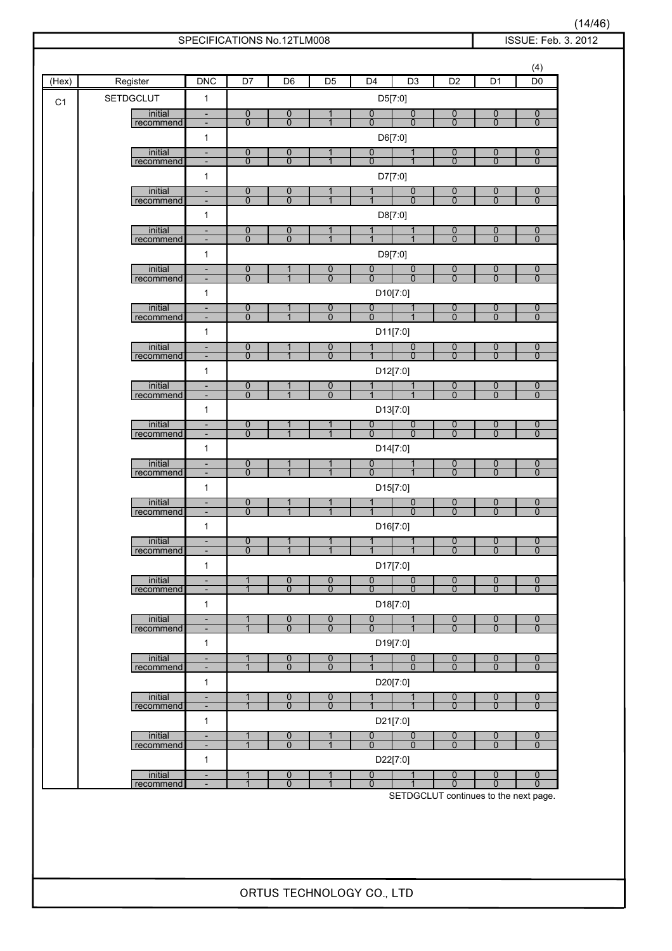| C1 | <b>SETDGCLUT</b><br>initial<br>recommend<br>initial<br>recommend<br>initial<br>recommend<br>initial<br>recommend<br>initial<br>recommend<br>initial<br>recommend<br>initial<br>recommend<br>initial<br>recommend<br>initial<br>recommend<br>initial<br>recommend | $\mathbf{1}$<br>$\overline{\phantom{a}}$<br>-<br>$\mathbf{1}$<br>$\overline{\phantom{a}}$<br>$\overline{\phantom{a}}$<br>$\mathbf{1}$<br>$\qquad \qquad \blacksquare$<br>$\overline{\phantom{a}}$<br>$\mathbf{1}$<br>$\blacksquare$<br>$\overline{\phantom{a}}$<br>$\mathbf{1}$<br>$\overline{\phantom{a}}$<br>$\qquad \qquad \blacksquare$<br>$\mathbf{1}$<br>$\overline{\phantom{a}}$<br>$\overline{\phantom{a}}$<br>$\mathbf{1}$<br>$\overline{\phantom{a}}$<br>$\overline{\phantom{a}}$<br>$\mathbf{1}$<br>$\blacksquare$<br>$\overline{\phantom{a}}$<br>$\mathbf{1}$<br>$\overline{\phantom{a}}$<br>$\overline{\phantom{a}}$<br>$\mathbf{1}$<br>$\overline{\phantom{a}}$<br>$\overline{\phantom{a}}$<br>$\mathbf{1}$ | 0<br>$\overline{0}$<br>$\overline{0}$<br>$\overline{0}$<br>$\overline{0}$<br>$\overline{0}$<br>$\overline{0}$<br>$\mathbf{0}$<br>$\overline{0}$<br>$\overline{0}$<br>$\overline{0}$<br>$\overline{0}$<br>$\overline{0}$<br>$\Omega$<br>$\overline{0}$<br>$\overline{0}$<br>0<br>$\overline{0}$<br>$\overline{0}$<br>$\overline{0}$ | $\mathbf 0$<br>$\overline{0}$<br>$\overline{0}$<br>$\overline{0}$<br>$\mathbf 0$<br>$\overline{0}$<br>$\boldsymbol{0}$<br>$\overline{0}$<br>1<br>$\overline{1}$<br>1<br>$\overline{1}$<br>1<br>$\overline{1}$<br>1<br>$\overline{1}$<br>1<br>1<br>1<br>$\overline{1}$ | $\mathbf{1}$<br>$\mathbf 1$<br>$\overline{1}$<br>$\mathbf{1}$<br>$\mathbf{1}$<br>0<br>$\overline{0}$<br>0<br>$\overline{0}$<br>0<br>$\overline{0}$<br>$\overline{0}$<br>$\overline{0}$ | $\mathbf 0$<br>$\Omega$<br>D6[7:0]<br>0<br>$\overline{0}$<br>D7[7:0]<br>$\mathbf 1$<br>$\mathbf{1}$<br>$\mathbf{1}$<br>D9[7:0]<br>0<br>$\overline{0}$<br>0<br>$\overline{0}$<br>1<br>$\overline{1}$<br>$\mathbf{1}$<br>$\overline{0}$<br>$\overline{0}$<br>D14[7:0] | D5[7:0]<br>$\overline{0}$<br>$\overline{0}$<br>$\overline{0}$<br>$\overline{0}$<br>D8[7:0]<br>1<br>$\mathbf{1}$<br>$\overline{0}$<br>$\overline{0}$<br>D10[7:0]<br>1<br>$\mathbf{1}$<br>D11[7:0]<br>$\overline{0}$<br>$\Omega$<br>D12[7:0]<br>1<br>D13[7:0]<br>$\overline{0}$<br>$\overline{0}$ | 0<br>$\overline{0}$<br>0<br>$\overline{0}$<br>0<br>$\overline{0}$<br>0<br>$\overline{0}$<br>$\overline{0}$<br>$\overline{0}$<br>$\frac{0}{0}$<br>$\overline{0}$<br>$\overline{0}$<br>$\overline{0}$<br>$\overline{0}$<br>$\overline{0}$<br>$\overline{0}$ | $\overline{0}$<br>$\overline{0}$<br>$\overline{0}$<br>$\overline{0}$<br>$\overline{0}$<br>$\overline{0}$<br>$\overline{0}$<br>$\overline{0}$<br>$\overline{0}$<br>$\overline{0}$<br>0<br>$\overline{0}$<br>$\overline{0}$<br>$\Omega$<br>$\overline{0}$<br>$\overline{0}$<br>$\overline{0}$<br>$\overline{0}$ | $\boldsymbol{0}$<br>$\mathbf 0$<br>$\overline{0}$<br>$\overline{0}$<br>$\overline{0}$<br>$\mathbf 0$<br>$\overline{0}$<br>$\overline{0}$<br>$\overline{0}$<br>$\mathbf{0}$<br>$\overline{0}$<br>$\mathbf{0}$<br>$\overline{0}$<br>$\Omega$<br>$\boldsymbol{0}$<br>$\overline{0}$<br>$\overline{0}$<br>$\overline{0}$ |
|----|------------------------------------------------------------------------------------------------------------------------------------------------------------------------------------------------------------------------------------------------------------------|---------------------------------------------------------------------------------------------------------------------------------------------------------------------------------------------------------------------------------------------------------------------------------------------------------------------------------------------------------------------------------------------------------------------------------------------------------------------------------------------------------------------------------------------------------------------------------------------------------------------------------------------------------------------------------------------------------------------------|------------------------------------------------------------------------------------------------------------------------------------------------------------------------------------------------------------------------------------------------------------------------------------------------------------------------------------|-----------------------------------------------------------------------------------------------------------------------------------------------------------------------------------------------------------------------------------------------------------------------|----------------------------------------------------------------------------------------------------------------------------------------------------------------------------------------|---------------------------------------------------------------------------------------------------------------------------------------------------------------------------------------------------------------------------------------------------------------------|-------------------------------------------------------------------------------------------------------------------------------------------------------------------------------------------------------------------------------------------------------------------------------------------------|-----------------------------------------------------------------------------------------------------------------------------------------------------------------------------------------------------------------------------------------------------------|---------------------------------------------------------------------------------------------------------------------------------------------------------------------------------------------------------------------------------------------------------------------------------------------------------------|----------------------------------------------------------------------------------------------------------------------------------------------------------------------------------------------------------------------------------------------------------------------------------------------------------------------|
|    |                                                                                                                                                                                                                                                                  |                                                                                                                                                                                                                                                                                                                                                                                                                                                                                                                                                                                                                                                                                                                           |                                                                                                                                                                                                                                                                                                                                    |                                                                                                                                                                                                                                                                       |                                                                                                                                                                                        |                                                                                                                                                                                                                                                                     |                                                                                                                                                                                                                                                                                                 |                                                                                                                                                                                                                                                           |                                                                                                                                                                                                                                                                                                               |                                                                                                                                                                                                                                                                                                                      |
|    |                                                                                                                                                                                                                                                                  |                                                                                                                                                                                                                                                                                                                                                                                                                                                                                                                                                                                                                                                                                                                           |                                                                                                                                                                                                                                                                                                                                    |                                                                                                                                                                                                                                                                       |                                                                                                                                                                                        |                                                                                                                                                                                                                                                                     |                                                                                                                                                                                                                                                                                                 |                                                                                                                                                                                                                                                           |                                                                                                                                                                                                                                                                                                               |                                                                                                                                                                                                                                                                                                                      |
|    |                                                                                                                                                                                                                                                                  |                                                                                                                                                                                                                                                                                                                                                                                                                                                                                                                                                                                                                                                                                                                           |                                                                                                                                                                                                                                                                                                                                    |                                                                                                                                                                                                                                                                       |                                                                                                                                                                                        |                                                                                                                                                                                                                                                                     |                                                                                                                                                                                                                                                                                                 |                                                                                                                                                                                                                                                           |                                                                                                                                                                                                                                                                                                               |                                                                                                                                                                                                                                                                                                                      |
|    |                                                                                                                                                                                                                                                                  |                                                                                                                                                                                                                                                                                                                                                                                                                                                                                                                                                                                                                                                                                                                           |                                                                                                                                                                                                                                                                                                                                    |                                                                                                                                                                                                                                                                       |                                                                                                                                                                                        |                                                                                                                                                                                                                                                                     |                                                                                                                                                                                                                                                                                                 |                                                                                                                                                                                                                                                           |                                                                                                                                                                                                                                                                                                               |                                                                                                                                                                                                                                                                                                                      |
|    |                                                                                                                                                                                                                                                                  |                                                                                                                                                                                                                                                                                                                                                                                                                                                                                                                                                                                                                                                                                                                           |                                                                                                                                                                                                                                                                                                                                    |                                                                                                                                                                                                                                                                       |                                                                                                                                                                                        |                                                                                                                                                                                                                                                                     |                                                                                                                                                                                                                                                                                                 |                                                                                                                                                                                                                                                           |                                                                                                                                                                                                                                                                                                               |                                                                                                                                                                                                                                                                                                                      |
|    |                                                                                                                                                                                                                                                                  |                                                                                                                                                                                                                                                                                                                                                                                                                                                                                                                                                                                                                                                                                                                           |                                                                                                                                                                                                                                                                                                                                    |                                                                                                                                                                                                                                                                       |                                                                                                                                                                                        |                                                                                                                                                                                                                                                                     |                                                                                                                                                                                                                                                                                                 |                                                                                                                                                                                                                                                           |                                                                                                                                                                                                                                                                                                               |                                                                                                                                                                                                                                                                                                                      |
|    |                                                                                                                                                                                                                                                                  |                                                                                                                                                                                                                                                                                                                                                                                                                                                                                                                                                                                                                                                                                                                           |                                                                                                                                                                                                                                                                                                                                    |                                                                                                                                                                                                                                                                       |                                                                                                                                                                                        |                                                                                                                                                                                                                                                                     |                                                                                                                                                                                                                                                                                                 |                                                                                                                                                                                                                                                           |                                                                                                                                                                                                                                                                                                               |                                                                                                                                                                                                                                                                                                                      |
|    |                                                                                                                                                                                                                                                                  |                                                                                                                                                                                                                                                                                                                                                                                                                                                                                                                                                                                                                                                                                                                           |                                                                                                                                                                                                                                                                                                                                    |                                                                                                                                                                                                                                                                       |                                                                                                                                                                                        |                                                                                                                                                                                                                                                                     |                                                                                                                                                                                                                                                                                                 |                                                                                                                                                                                                                                                           |                                                                                                                                                                                                                                                                                                               |                                                                                                                                                                                                                                                                                                                      |
|    |                                                                                                                                                                                                                                                                  |                                                                                                                                                                                                                                                                                                                                                                                                                                                                                                                                                                                                                                                                                                                           |                                                                                                                                                                                                                                                                                                                                    |                                                                                                                                                                                                                                                                       |                                                                                                                                                                                        |                                                                                                                                                                                                                                                                     |                                                                                                                                                                                                                                                                                                 |                                                                                                                                                                                                                                                           |                                                                                                                                                                                                                                                                                                               |                                                                                                                                                                                                                                                                                                                      |
|    |                                                                                                                                                                                                                                                                  |                                                                                                                                                                                                                                                                                                                                                                                                                                                                                                                                                                                                                                                                                                                           |                                                                                                                                                                                                                                                                                                                                    |                                                                                                                                                                                                                                                                       |                                                                                                                                                                                        |                                                                                                                                                                                                                                                                     |                                                                                                                                                                                                                                                                                                 |                                                                                                                                                                                                                                                           |                                                                                                                                                                                                                                                                                                               |                                                                                                                                                                                                                                                                                                                      |
|    |                                                                                                                                                                                                                                                                  |                                                                                                                                                                                                                                                                                                                                                                                                                                                                                                                                                                                                                                                                                                                           |                                                                                                                                                                                                                                                                                                                                    |                                                                                                                                                                                                                                                                       |                                                                                                                                                                                        |                                                                                                                                                                                                                                                                     |                                                                                                                                                                                                                                                                                                 |                                                                                                                                                                                                                                                           |                                                                                                                                                                                                                                                                                                               |                                                                                                                                                                                                                                                                                                                      |
|    |                                                                                                                                                                                                                                                                  |                                                                                                                                                                                                                                                                                                                                                                                                                                                                                                                                                                                                                                                                                                                           |                                                                                                                                                                                                                                                                                                                                    |                                                                                                                                                                                                                                                                       |                                                                                                                                                                                        |                                                                                                                                                                                                                                                                     |                                                                                                                                                                                                                                                                                                 |                                                                                                                                                                                                                                                           |                                                                                                                                                                                                                                                                                                               |                                                                                                                                                                                                                                                                                                                      |
|    |                                                                                                                                                                                                                                                                  |                                                                                                                                                                                                                                                                                                                                                                                                                                                                                                                                                                                                                                                                                                                           |                                                                                                                                                                                                                                                                                                                                    |                                                                                                                                                                                                                                                                       |                                                                                                                                                                                        |                                                                                                                                                                                                                                                                     |                                                                                                                                                                                                                                                                                                 |                                                                                                                                                                                                                                                           |                                                                                                                                                                                                                                                                                                               |                                                                                                                                                                                                                                                                                                                      |
|    |                                                                                                                                                                                                                                                                  |                                                                                                                                                                                                                                                                                                                                                                                                                                                                                                                                                                                                                                                                                                                           |                                                                                                                                                                                                                                                                                                                                    |                                                                                                                                                                                                                                                                       |                                                                                                                                                                                        |                                                                                                                                                                                                                                                                     |                                                                                                                                                                                                                                                                                                 |                                                                                                                                                                                                                                                           |                                                                                                                                                                                                                                                                                                               |                                                                                                                                                                                                                                                                                                                      |
|    |                                                                                                                                                                                                                                                                  |                                                                                                                                                                                                                                                                                                                                                                                                                                                                                                                                                                                                                                                                                                                           |                                                                                                                                                                                                                                                                                                                                    |                                                                                                                                                                                                                                                                       |                                                                                                                                                                                        |                                                                                                                                                                                                                                                                     |                                                                                                                                                                                                                                                                                                 |                                                                                                                                                                                                                                                           |                                                                                                                                                                                                                                                                                                               |                                                                                                                                                                                                                                                                                                                      |
|    |                                                                                                                                                                                                                                                                  |                                                                                                                                                                                                                                                                                                                                                                                                                                                                                                                                                                                                                                                                                                                           |                                                                                                                                                                                                                                                                                                                                    |                                                                                                                                                                                                                                                                       |                                                                                                                                                                                        |                                                                                                                                                                                                                                                                     |                                                                                                                                                                                                                                                                                                 |                                                                                                                                                                                                                                                           |                                                                                                                                                                                                                                                                                                               |                                                                                                                                                                                                                                                                                                                      |
|    |                                                                                                                                                                                                                                                                  |                                                                                                                                                                                                                                                                                                                                                                                                                                                                                                                                                                                                                                                                                                                           |                                                                                                                                                                                                                                                                                                                                    |                                                                                                                                                                                                                                                                       |                                                                                                                                                                                        |                                                                                                                                                                                                                                                                     |                                                                                                                                                                                                                                                                                                 |                                                                                                                                                                                                                                                           |                                                                                                                                                                                                                                                                                                               |                                                                                                                                                                                                                                                                                                                      |
|    |                                                                                                                                                                                                                                                                  |                                                                                                                                                                                                                                                                                                                                                                                                                                                                                                                                                                                                                                                                                                                           |                                                                                                                                                                                                                                                                                                                                    |                                                                                                                                                                                                                                                                       |                                                                                                                                                                                        |                                                                                                                                                                                                                                                                     |                                                                                                                                                                                                                                                                                                 |                                                                                                                                                                                                                                                           |                                                                                                                                                                                                                                                                                                               |                                                                                                                                                                                                                                                                                                                      |
|    |                                                                                                                                                                                                                                                                  |                                                                                                                                                                                                                                                                                                                                                                                                                                                                                                                                                                                                                                                                                                                           |                                                                                                                                                                                                                                                                                                                                    |                                                                                                                                                                                                                                                                       |                                                                                                                                                                                        |                                                                                                                                                                                                                                                                     |                                                                                                                                                                                                                                                                                                 |                                                                                                                                                                                                                                                           |                                                                                                                                                                                                                                                                                                               |                                                                                                                                                                                                                                                                                                                      |
|    |                                                                                                                                                                                                                                                                  |                                                                                                                                                                                                                                                                                                                                                                                                                                                                                                                                                                                                                                                                                                                           |                                                                                                                                                                                                                                                                                                                                    |                                                                                                                                                                                                                                                                       |                                                                                                                                                                                        |                                                                                                                                                                                                                                                                     |                                                                                                                                                                                                                                                                                                 |                                                                                                                                                                                                                                                           |                                                                                                                                                                                                                                                                                                               |                                                                                                                                                                                                                                                                                                                      |
|    |                                                                                                                                                                                                                                                                  |                                                                                                                                                                                                                                                                                                                                                                                                                                                                                                                                                                                                                                                                                                                           |                                                                                                                                                                                                                                                                                                                                    |                                                                                                                                                                                                                                                                       | $\mathbf{1}$                                                                                                                                                                           | $\overline{0}$<br>$\overline{0}$                                                                                                                                                                                                                                    |                                                                                                                                                                                                                                                                                                 | $\overline{0}$<br>$\overline{0}$                                                                                                                                                                                                                          | $\overline{0}$<br>$\overline{0}$                                                                                                                                                                                                                                                                              | $\overline{0}$<br>$\overline{0}$                                                                                                                                                                                                                                                                                     |
|    |                                                                                                                                                                                                                                                                  |                                                                                                                                                                                                                                                                                                                                                                                                                                                                                                                                                                                                                                                                                                                           |                                                                                                                                                                                                                                                                                                                                    |                                                                                                                                                                                                                                                                       |                                                                                                                                                                                        |                                                                                                                                                                                                                                                                     | D15[7:0]                                                                                                                                                                                                                                                                                        |                                                                                                                                                                                                                                                           |                                                                                                                                                                                                                                                                                                               |                                                                                                                                                                                                                                                                                                                      |
|    | initial<br>recommend                                                                                                                                                                                                                                             | $\overline{\phantom{a}}$<br>$\overline{\phantom{a}}$                                                                                                                                                                                                                                                                                                                                                                                                                                                                                                                                                                                                                                                                      | $\overline{0}$<br>$\overline{0}$                                                                                                                                                                                                                                                                                                   | $\mathbf{1}$                                                                                                                                                                                                                                                          |                                                                                                                                                                                        |                                                                                                                                                                                                                                                                     | 0<br>$\overline{0}$                                                                                                                                                                                                                                                                             | $\overline{0}$<br>$\overline{0}$                                                                                                                                                                                                                          | $\overline{0}$<br>$\overline{0}$                                                                                                                                                                                                                                                                              | $\overline{0}$<br>$\overline{0}$                                                                                                                                                                                                                                                                                     |
|    |                                                                                                                                                                                                                                                                  | $\mathbf{1}$                                                                                                                                                                                                                                                                                                                                                                                                                                                                                                                                                                                                                                                                                                              |                                                                                                                                                                                                                                                                                                                                    |                                                                                                                                                                                                                                                                       |                                                                                                                                                                                        |                                                                                                                                                                                                                                                                     | D16[7:0]                                                                                                                                                                                                                                                                                        |                                                                                                                                                                                                                                                           |                                                                                                                                                                                                                                                                                                               |                                                                                                                                                                                                                                                                                                                      |
|    | initial                                                                                                                                                                                                                                                          |                                                                                                                                                                                                                                                                                                                                                                                                                                                                                                                                                                                                                                                                                                                           | $\overline{0}$<br>$\overline{0}$                                                                                                                                                                                                                                                                                                   | $\mathbf{1}$                                                                                                                                                                                                                                                          | 1                                                                                                                                                                                      | 1                                                                                                                                                                                                                                                                   | $\mathbf{1}$                                                                                                                                                                                                                                                                                    | $\overline{0}$<br>$\overline{0}$                                                                                                                                                                                                                          | $\overline{0}$<br>$\overline{0}$                                                                                                                                                                                                                                                                              | $\overline{0}$<br>$\mathbf{0}$                                                                                                                                                                                                                                                                                       |
|    | recommend                                                                                                                                                                                                                                                        | $\overline{\phantom{a}}$<br>$\mathbf{1}$                                                                                                                                                                                                                                                                                                                                                                                                                                                                                                                                                                                                                                                                                  |                                                                                                                                                                                                                                                                                                                                    |                                                                                                                                                                                                                                                                       |                                                                                                                                                                                        |                                                                                                                                                                                                                                                                     | D17[7:0]                                                                                                                                                                                                                                                                                        |                                                                                                                                                                                                                                                           |                                                                                                                                                                                                                                                                                                               |                                                                                                                                                                                                                                                                                                                      |
|    | initial                                                                                                                                                                                                                                                          | $\frac{1}{2}$                                                                                                                                                                                                                                                                                                                                                                                                                                                                                                                                                                                                                                                                                                             | $\mathbf{1}$                                                                                                                                                                                                                                                                                                                       | 0                                                                                                                                                                                                                                                                     | 0                                                                                                                                                                                      | 0                                                                                                                                                                                                                                                                   | $\overline{0}$                                                                                                                                                                                                                                                                                  | $\overline{0}$                                                                                                                                                                                                                                            | $\overline{0}$                                                                                                                                                                                                                                                                                                | $\overline{0}$                                                                                                                                                                                                                                                                                                       |
|    | recommend                                                                                                                                                                                                                                                        | $\overline{\phantom{a}}$<br>$\mathbf{1}$                                                                                                                                                                                                                                                                                                                                                                                                                                                                                                                                                                                                                                                                                  | $\overline{1}$                                                                                                                                                                                                                                                                                                                     | $\overline{0}$                                                                                                                                                                                                                                                        | $\overline{0}$                                                                                                                                                                         | $\overline{0}$                                                                                                                                                                                                                                                      | $\overline{0}$<br>D18[7:0]                                                                                                                                                                                                                                                                      | $\overline{0}$                                                                                                                                                                                                                                            | $\overline{0}$                                                                                                                                                                                                                                                                                                | $\overline{0}$                                                                                                                                                                                                                                                                                                       |
|    | initial                                                                                                                                                                                                                                                          | $\overline{\phantom{a}}$                                                                                                                                                                                                                                                                                                                                                                                                                                                                                                                                                                                                                                                                                                  | $\mathbf{1}$                                                                                                                                                                                                                                                                                                                       | $\overline{0}$                                                                                                                                                                                                                                                        | $\overline{0}$                                                                                                                                                                         | 0                                                                                                                                                                                                                                                                   |                                                                                                                                                                                                                                                                                                 | $\overline{0}$                                                                                                                                                                                                                                            | $\overline{0}$                                                                                                                                                                                                                                                                                                | $\overline{0}$                                                                                                                                                                                                                                                                                                       |
|    | recommend                                                                                                                                                                                                                                                        | $\blacksquare$                                                                                                                                                                                                                                                                                                                                                                                                                                                                                                                                                                                                                                                                                                            | $\overline{1}$                                                                                                                                                                                                                                                                                                                     | $\overline{0}$                                                                                                                                                                                                                                                        | $\overline{0}$                                                                                                                                                                         | $\overline{0}$                                                                                                                                                                                                                                                      | $\overline{1}$<br>D19[7:0]                                                                                                                                                                                                                                                                      | $\overline{0}$                                                                                                                                                                                                                                            | $\overline{0}$                                                                                                                                                                                                                                                                                                | $\overline{0}$                                                                                                                                                                                                                                                                                                       |
|    | initial                                                                                                                                                                                                                                                          | $\mathbf{1}$<br>$\blacksquare$                                                                                                                                                                                                                                                                                                                                                                                                                                                                                                                                                                                                                                                                                            | $\mathbf{1}$                                                                                                                                                                                                                                                                                                                       | 0                                                                                                                                                                                                                                                                     | $\overline{0}$                                                                                                                                                                         | $\overline{1}$                                                                                                                                                                                                                                                      | $\overline{0}$                                                                                                                                                                                                                                                                                  | $\overline{0}$                                                                                                                                                                                                                                            | $\overline{0}$                                                                                                                                                                                                                                                                                                | $\overline{0}$                                                                                                                                                                                                                                                                                                       |
|    | recommend                                                                                                                                                                                                                                                        | $\overline{\phantom{a}}$                                                                                                                                                                                                                                                                                                                                                                                                                                                                                                                                                                                                                                                                                                  | $\overline{1}$                                                                                                                                                                                                                                                                                                                     | $\overline{0}$                                                                                                                                                                                                                                                        | $\overline{0}$                                                                                                                                                                         | $\overline{1}$                                                                                                                                                                                                                                                      | $\overline{0}$                                                                                                                                                                                                                                                                                  | $\overline{0}$                                                                                                                                                                                                                                            | $\overline{0}$                                                                                                                                                                                                                                                                                                | $\overline{0}$                                                                                                                                                                                                                                                                                                       |
|    | initial                                                                                                                                                                                                                                                          | $\mathbf{1}$<br>$\overline{\phantom{a}}$                                                                                                                                                                                                                                                                                                                                                                                                                                                                                                                                                                                                                                                                                  | $\mathbf{1}$                                                                                                                                                                                                                                                                                                                       | 0                                                                                                                                                                                                                                                                     | $\overline{0}$                                                                                                                                                                         | 1                                                                                                                                                                                                                                                                   | D20[7:0]<br>$\mathbf{1}$                                                                                                                                                                                                                                                                        | $\overline{0}$                                                                                                                                                                                                                                            | $\overline{0}$                                                                                                                                                                                                                                                                                                | $\overline{0}$                                                                                                                                                                                                                                                                                                       |
|    | recommend                                                                                                                                                                                                                                                        | $\overline{\phantom{a}}$                                                                                                                                                                                                                                                                                                                                                                                                                                                                                                                                                                                                                                                                                                  | $\overline{1}$                                                                                                                                                                                                                                                                                                                     | $\overline{0}$                                                                                                                                                                                                                                                        | $\overline{0}$                                                                                                                                                                         |                                                                                                                                                                                                                                                                     |                                                                                                                                                                                                                                                                                                 | $\overline{0}$                                                                                                                                                                                                                                            | $\overline{0}$                                                                                                                                                                                                                                                                                                | $\overline{0}$                                                                                                                                                                                                                                                                                                       |
|    |                                                                                                                                                                                                                                                                  | $\mathbf{1}$                                                                                                                                                                                                                                                                                                                                                                                                                                                                                                                                                                                                                                                                                                              |                                                                                                                                                                                                                                                                                                                                    |                                                                                                                                                                                                                                                                       |                                                                                                                                                                                        |                                                                                                                                                                                                                                                                     | D21[7:0]                                                                                                                                                                                                                                                                                        |                                                                                                                                                                                                                                                           |                                                                                                                                                                                                                                                                                                               |                                                                                                                                                                                                                                                                                                                      |
|    | initial<br>recommend                                                                                                                                                                                                                                             | $\frac{1}{2}$<br>$\overline{\phantom{a}}$                                                                                                                                                                                                                                                                                                                                                                                                                                                                                                                                                                                                                                                                                 | 1<br>$\overline{1}$                                                                                                                                                                                                                                                                                                                | 0<br>$\overline{0}$                                                                                                                                                                                                                                                   |                                                                                                                                                                                        | 0<br>$\overline{0}$                                                                                                                                                                                                                                                 | $\overline{0}$<br>$\overline{0}$                                                                                                                                                                                                                                                                | $\overline{0}$<br>$\overline{0}$                                                                                                                                                                                                                          | $\overline{0}$<br>$\overline{0}$                                                                                                                                                                                                                                                                              | $\overline{0}$<br>$\overline{0}$                                                                                                                                                                                                                                                                                     |
|    |                                                                                                                                                                                                                                                                  | $\mathbf{1}$                                                                                                                                                                                                                                                                                                                                                                                                                                                                                                                                                                                                                                                                                                              |                                                                                                                                                                                                                                                                                                                                    |                                                                                                                                                                                                                                                                       |                                                                                                                                                                                        |                                                                                                                                                                                                                                                                     | D22[7:0]                                                                                                                                                                                                                                                                                        |                                                                                                                                                                                                                                                           |                                                                                                                                                                                                                                                                                                               |                                                                                                                                                                                                                                                                                                                      |
|    | initial                                                                                                                                                                                                                                                          | $\overline{\phantom{a}}$                                                                                                                                                                                                                                                                                                                                                                                                                                                                                                                                                                                                                                                                                                  | 1<br>$\overline{1}$                                                                                                                                                                                                                                                                                                                | $\overline{0}$<br>$\overline{0}$                                                                                                                                                                                                                                      |                                                                                                                                                                                        | $\overline{0}$<br>$\overline{0}$                                                                                                                                                                                                                                    | $\mathbf 1$                                                                                                                                                                                                                                                                                     | 0<br>$\overline{0}$                                                                                                                                                                                                                                       | 0<br>$\overline{0}$                                                                                                                                                                                                                                                                                           | $\overline{0}$<br>$\overline{0}$                                                                                                                                                                                                                                                                                     |

(14/46)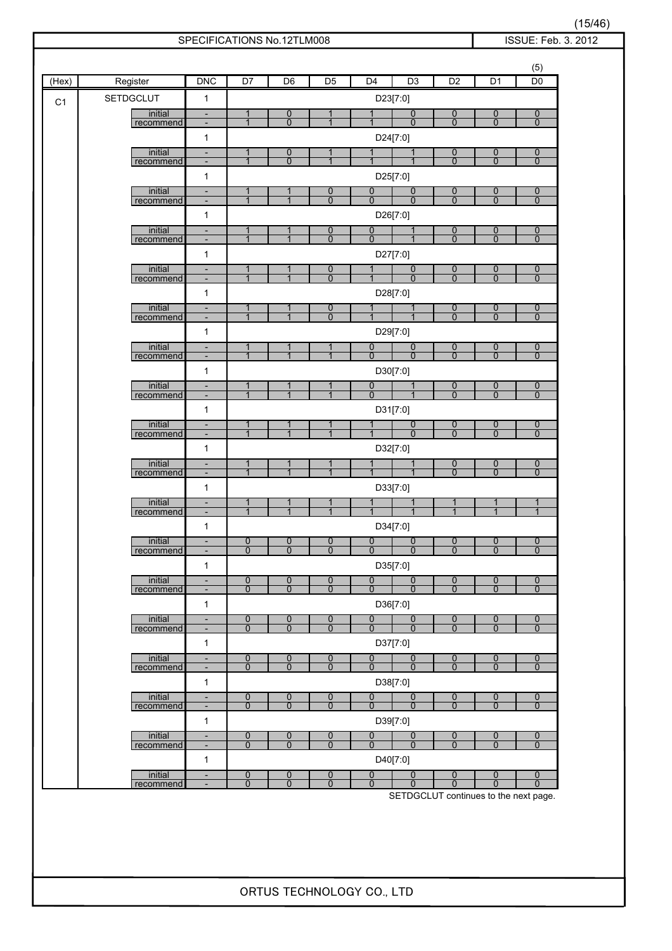| (Hex)          | Register             | <b>DNC</b>                                           | D <sub>7</sub>                   | D <sub>6</sub>                     | D <sub>5</sub>                   | D <sub>4</sub>                   | D <sub>3</sub>                   | D <sub>2</sub>                   | D <sub>1</sub>                   | (5)<br>D <sub>0</sub>              |
|----------------|----------------------|------------------------------------------------------|----------------------------------|------------------------------------|----------------------------------|----------------------------------|----------------------------------|----------------------------------|----------------------------------|------------------------------------|
|                | <b>SETDGCLUT</b>     | $\mathbf{1}$                                         |                                  |                                    |                                  | D23[7:0]                         |                                  |                                  |                                  |                                    |
| C <sub>1</sub> | initial<br>recommend | $\overline{\phantom{a}}$<br>$\overline{\phantom{a}}$ | 1<br>$\mathbf 1$                 | 0<br>$\overline{0}$                | 1                                |                                  | $\overline{0}$<br>$\overline{0}$ | 0<br>$\overline{0}$              | 0<br>$\overline{0}$              | $\overline{0}$<br>$\overline{0}$   |
|                |                      | $\mathbf{1}$                                         |                                  |                                    |                                  | D24[7:0]                         |                                  |                                  |                                  |                                    |
|                | initial<br>recommend | $\overline{\phantom{a}}$<br>$\overline{\phantom{a}}$ | 1<br>$\overline{1}$              | $\overline{0}$<br>$\overline{0}$   | $\overline{1}$                   | $\mathbf{1}$                     |                                  | $\overline{0}$<br>$\overline{0}$ | $\overline{0}$<br>$\overline{0}$ | $\overline{0}$<br>$\overline{0}$   |
|                |                      | $\mathbf{1}$                                         |                                  |                                    |                                  | D25[7:0]                         |                                  |                                  |                                  |                                    |
|                | initial<br>recommend | $\overline{\phantom{a}}$<br>$\overline{\phantom{a}}$ | $\mathbf{1}$<br>$\mathbf 1$      | 1<br>1                             | 0<br>$\overline{0}$              | 0<br>$\overline{0}$              | $\overline{0}$<br>$\overline{0}$ | $\overline{0}$<br>$\overline{0}$ | $\overline{0}$<br>$\overline{0}$ | $\overline{0}$<br>$\overline{0}$   |
|                |                      | 1                                                    |                                  |                                    |                                  | D26[7:0]                         |                                  |                                  |                                  |                                    |
|                | initial<br>recommend | $\overline{\phantom{a}}$<br>$\overline{\phantom{a}}$ | $\mathbf{1}$<br>$\overline{1}$   | 1<br>$\overline{1}$                | $\overline{0}$<br>$\overline{0}$ | $\overline{0}$<br>$\mathbf 0$    | $\mathbf 1$                      | $\overline{0}$<br>$\overline{0}$ | $\overline{0}$<br>$\overline{0}$ | $\boldsymbol{0}$<br>$\mathbf{0}$   |
|                |                      | 1                                                    |                                  |                                    |                                  | D27[7:0]                         |                                  |                                  |                                  |                                    |
|                | initial              | $\overline{\phantom{a}}$                             | 1<br>$\overline{1}$              | $\overline{1}$                     | 0<br>$\overline{0}$              | 1                                | 0<br>$\overline{0}$              | $\overline{0}$<br>$\overline{0}$ | $\overline{0}$<br>$\overline{0}$ | $\boldsymbol{0}$<br>$\overline{0}$ |
|                | recommend            | $\qquad \qquad \blacksquare$<br>1                    |                                  |                                    |                                  | D28[7:0]                         |                                  |                                  |                                  |                                    |
|                | initial              | $\overline{\phantom{a}}$                             | 1<br>$\overline{1}$              | 1<br>$\overline{1}$                | 0<br>$\overline{0}$              | $\overline{1}$                   | $\overline{1}$                   | 0<br>$\overline{0}$              | 0<br>$\overline{0}$              | $\boldsymbol{0}$                   |
|                | recommend            | $\overline{\phantom{a}}$<br>1                        |                                  |                                    |                                  | D29[7:0]                         |                                  |                                  |                                  | $\mathbf{0}$                       |
|                | initial              | $\overline{\phantom{a}}$                             | $\mathbf{1}$<br>$\overline{1}$   | 1<br>$\overline{1}$                | 1<br>$\overline{1}$              | $\overline{0}$<br>$\overline{0}$ | 0<br>$\overline{0}$              | 0<br>$\overline{0}$              | $\overline{0}$<br>$\overline{0}$ | $\boldsymbol{0}$<br>$\overline{0}$ |
|                | recommend            | $\overline{\phantom{a}}$<br>$\mathbf{1}$             |                                  |                                    |                                  | D30[7:0]                         |                                  |                                  |                                  |                                    |
|                | initial              | $\overline{\phantom{a}}$                             | 1<br>$\overline{1}$              | 1                                  | 1                                | 0<br>$\overline{0}$              | $\mathbf 1$                      | $\overline{0}$<br>$\overline{0}$ | $\overline{0}$<br>$\overline{0}$ | $\overline{0}$<br>$\overline{0}$   |
|                | recommend            | $\overline{\phantom{a}}$<br>1                        |                                  |                                    |                                  | D31[7:0]                         |                                  |                                  |                                  |                                    |
|                | initial              | $\frac{1}{2}$                                        | $\mathbf{1}$<br>$\overline{1}$   | 1                                  |                                  |                                  | $\overline{0}$<br>$\overline{0}$ | $\overline{0}$<br>$\overline{0}$ | $\overline{0}$<br>$\overline{0}$ | $\overline{0}$<br>$\overline{0}$   |
|                | recommend            | $\overline{\phantom{a}}$<br>1                        |                                  |                                    |                                  | D32[7:0]                         |                                  |                                  |                                  |                                    |
|                | initial              | $\overline{\phantom{a}}$                             | 1<br>$\overline{1}$              | $\overline{1}$                     |                                  |                                  |                                  | 0<br>$\overline{0}$              | 0<br>$\overline{0}$              | $\boldsymbol{0}$                   |
|                | recommend            | $\overline{\phantom{a}}$<br>$\mathbf{1}$             |                                  |                                    |                                  | D33[7:0]                         |                                  |                                  |                                  | $\overline{0}$                     |
|                | initial              | $\blacksquare$                                       | $\mathbf{1}$<br>$\mathbf{1}$     | 1<br>$\mathbf{1}$                  |                                  |                                  |                                  | $\overline{1}$                   | 1<br>$\overline{1}$              | $\overline{1}$                     |
|                | recommend            | $\overline{\phantom{a}}$<br>1                        |                                  |                                    |                                  | D34[7:0]                         |                                  |                                  |                                  |                                    |
|                | initial              |                                                      | $\overline{0}$<br>$\overline{0}$ | $\overline{0}$<br>$\overline{0}$   | $\overline{0}$<br>$\overline{0}$ | $\overline{0}$<br>$\overline{0}$ | $\Omega$<br>$\overline{0}$       | $\mathbf{0}$                     | $\overline{0}$<br>$\overline{0}$ | $\overline{0}$                     |
|                | recommend            | $\overline{\phantom{a}}$<br>$\mathbf{1}$             |                                  |                                    |                                  | D35[7:0]                         |                                  | $\overline{0}$                   |                                  | $\mathbf{0}$                       |
|                | initial              | $\overline{\phantom{a}}$                             | $\overline{0}$<br>$\overline{0}$ | $\overline{0}$<br>$\overline{0}$   | $\overline{0}$<br>$\overline{0}$ | 0<br>$\overline{0}$              | $\overline{0}$<br>$\overline{0}$ | 0<br>$\overline{0}$              | 0<br>$\overline{0}$              | $\boldsymbol{0}$                   |
|                | recommend            | $\overline{\phantom{a}}$<br>$\mathbf{1}$             |                                  |                                    |                                  | D36[7:0]                         |                                  |                                  |                                  | $\mathbf{0}$                       |
|                | initial              | $\overline{\phantom{a}}$                             | $\overline{0}$                   | $\boldsymbol{0}$<br>$\overline{0}$ | $\overline{0}$                   | 0                                | $\overline{0}$                   | $\overline{0}$                   | $\overline{0}$                   | $\overline{0}$                     |
|                | recommend            | $\blacksquare$<br>$\mathbf{1}$                       | $\overline{0}$                   |                                    | $\overline{0}$                   | $\overline{0}$<br>D37[7:0]       | $\overline{0}$                   | $\overline{0}$                   | $\overline{0}$                   | $\overline{0}$                     |
|                | initial              | $\frac{1}{2}$                                        | $\overline{0}$                   | 0                                  | $\overline{0}$                   | $\overline{0}$                   | $\overline{0}$                   | 0                                | $\overline{0}$                   | $\boldsymbol{0}$                   |
|                | recommend            | $\overline{\phantom{a}}$<br>$\mathbf{1}$             | $\overline{0}$                   | $\overline{0}$                     | $\overline{0}$                   | $\overline{0}$<br>D38[7:0]       | $\overline{0}$                   | $\overline{0}$                   | $\overline{0}$                   | $\Omega$                           |
|                | initial              | $\overline{\phantom{a}}$                             | $\overline{0}$                   | $\overline{0}$                     | $\overline{0}$                   | $\overline{0}$                   | $\overline{0}$                   | $\overline{0}$                   | $\overline{0}$                   | $\overline{0}$                     |
|                | recommend            | $\overline{\phantom{a}}$<br>$\mathbf{1}$             | $\overline{0}$                   | $\overline{0}$                     | $\overline{0}$                   | $\overline{0}$<br>D39[7:0]       | $\overline{0}$                   | $\overline{0}$                   | $\overline{0}$                   | $\overline{0}$                     |
|                | initial              | $\overline{\phantom{a}}$                             | $\overline{0}$                   | $\overline{0}$                     | $\overline{0}$                   | 0                                | $\overline{0}$                   | $\overline{0}$                   | $\overline{0}$                   | $\overline{0}$                     |
|                | recommend            | $\overline{\phantom{a}}$<br>$\mathbf{1}$             | $\overline{0}$                   | $\overline{0}$                     | $\overline{0}$                   | $\overline{0}$<br>D40[7:0]       | $\overline{0}$                   | $\overline{0}$                   | $\overline{0}$                   | $\overline{0}$                     |
|                | initial<br>recommend | $\overline{\phantom{a}}$                             | $\overline{0}$<br>$\overline{0}$ | $\overline{0}$<br>$\overline{0}$   | $\overline{0}$<br>0              | $\overline{0}$<br>$\overline{0}$ | $\overline{0}$<br>$\overline{0}$ | 0<br>$\overline{0}$              | $\overline{0}$<br>$\overline{0}$ | $\mathbf{0}$<br>$\overline{0}$     |

(15/46)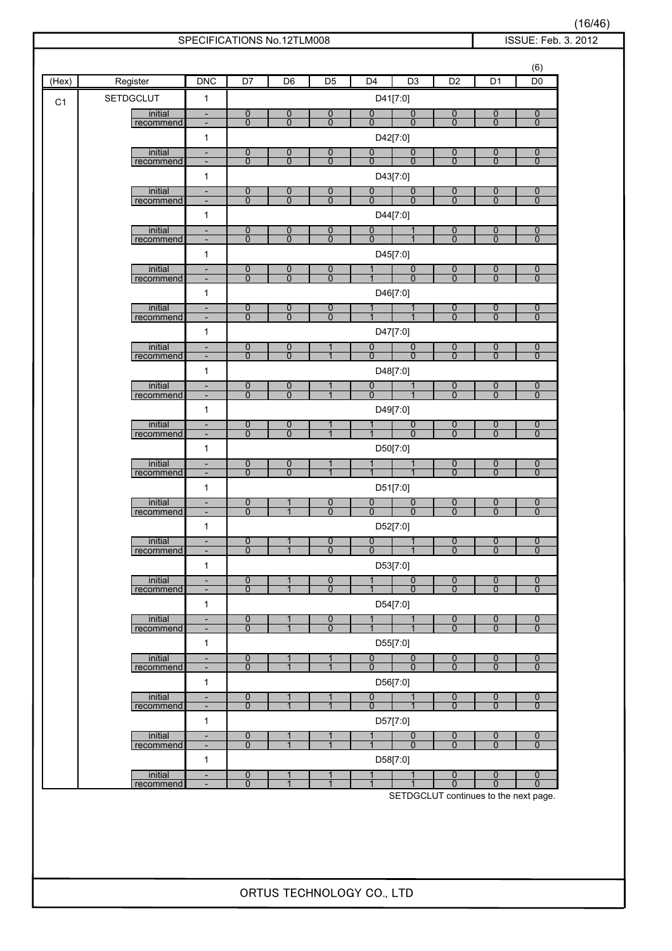| (Hex) | Register             | <b>DNC</b>                                               | D <sub>7</sub>                     | D <sub>6</sub>                     | D <sub>5</sub>      | D <sub>4</sub>                 | D3                                         | D <sub>2</sub>                     | D <sub>1</sub>                     | D <sub>0</sub>                     |
|-------|----------------------|----------------------------------------------------------|------------------------------------|------------------------------------|---------------------|--------------------------------|--------------------------------------------|------------------------------------|------------------------------------|------------------------------------|
| C1    | <b>SETDGCLUT</b>     | $\mathbf{1}$                                             |                                    |                                    |                     |                                | D41[7:0]                                   |                                    |                                    |                                    |
|       | initial<br>recommend | $\overline{\phantom{a}}$<br>$\overline{\phantom{a}}$     | 0<br>$\overline{0}$                | $\boldsymbol{0}$<br>$\overline{0}$ | 0<br>$\overline{0}$ | 0<br>$\overline{0}$            | $\overline{0}$<br>$\overline{0}$           | 0<br>$\overline{0}$                | 0<br>$\overline{0}$                | $\boldsymbol{0}$<br>$\overline{0}$ |
|       |                      | $\mathbf{1}$                                             |                                    |                                    |                     |                                | D42[7:0]                                   |                                    |                                    |                                    |
|       | initial<br>recommend | $\overline{\phantom{a}}$<br>$\overline{\phantom{a}}$     | $\overline{0}$<br>$\overline{0}$   | $\overline{0}$<br>$\overline{0}$   | 0<br>$\overline{0}$ | 0<br>$\overline{0}$            | 0<br>$\overline{0}$                        | 0<br>$\overline{0}$                | 0<br>$\overline{0}$                | $\overline{0}$<br>$\overline{0}$   |
|       |                      | 1                                                        |                                    |                                    |                     |                                | D43[7:0]                                   |                                    |                                    |                                    |
|       | initial              | $\overline{\phantom{a}}$                                 | $\boldsymbol{0}$<br>$\overline{0}$ | $\overline{0}$<br>$\overline{0}$   | 0<br>$\overline{0}$ | 0<br>$\overline{0}$            | 0<br>$\overline{0}$                        | $\overline{0}$<br>$\overline{0}$   | $\boldsymbol{0}$<br>$\overline{0}$ | $\overline{0}$<br>$\overline{0}$   |
|       | recommend            | $\overline{\phantom{a}}$<br>$\mathbf{1}$                 |                                    |                                    |                     |                                | D44[7:0]                                   |                                    |                                    |                                    |
|       | initial              | $\overline{\phantom{a}}$                                 | $\overline{0}$                     | $\mathbf 0$                        | 0                   | $\mathbf 0$                    | $\mathbf 1$                                | 0                                  | 0                                  | $\overline{0}$                     |
|       | recommend            | $\overline{\phantom{a}}$<br>1                            | $\Omega$                           | $\Omega$                           | $\overline{0}$      | $\Omega$                       | D45[7:0]                                   | $\Omega$                           | $\Omega$                           | $\Omega$                           |
|       | initial              | $\overline{\phantom{a}}$                                 | $\overline{0}$                     | $\mathbf 0$                        | 0                   | 1                              | $\overline{0}$                             | $\overline{0}$                     | $\overline{0}$                     | $\mathbf 0$                        |
|       | recommend            | $\qquad \qquad \blacksquare$<br>$\mathbf{1}$             | $\mathbf{0}$                       | $\mathbf 0$                        | 0                   |                                | $\mathbf{0}$<br>D46[7:0]                   | $\overline{0}$                     | $\mathbf{0}$                       | 0                                  |
|       | initial              | $\overline{\phantom{a}}$                                 | $\overline{0}$                     | $\boldsymbol{0}$                   | 0                   |                                |                                            | $\overline{0}$                     | 0                                  | $\boldsymbol{0}$                   |
|       | recommend            | $\overline{\phantom{a}}$                                 | $\mathbf{0}$                       | $\Omega$                           | $\overline{0}$      | $\mathbf 1$                    | $\mathbf{1}$                               | $\Omega$                           | $\mathbf{0}$                       | $\mathbf{0}$                       |
|       | initial              | 1<br>$\overline{\phantom{a}}$                            | $\overline{0}$                     | $\overline{0}$                     | 1                   | $\mathbf 0$                    | D47[7:0]<br>$\overline{0}$                 | 0                                  | $\overline{0}$                     | $\overline{0}$                     |
|       | recommend            | $\overline{\phantom{a}}$                                 | $\mathbf{0}$                       | $\Omega$                           | $\overline{1}$      | $\overline{0}$                 | $\mathbf 0$                                | $\mathbf{0}$                       | $\overline{0}$                     | $\mathbf{0}$                       |
|       | initial              | $\mathbf{1}$<br>$\overline{\phantom{a}}$                 | $\overline{0}$                     | $\overline{0}$                     | 1                   | $\mathbf 0$                    | D48[7:0]<br>$\mathbf 1$                    | $\overline{0}$                     | $\overline{0}$                     | $\overline{0}$                     |
|       | recommend            | $\overline{\phantom{a}}$                                 | $\overline{0}$                     | $\overline{0}$                     |                     | $\Omega$                       | $\mathbf 1$                                | $\overline{0}$                     | $\overline{0}$                     | $\Omega$                           |
|       | initial              | $\mathbf{1}$<br>$\overline{\phantom{a}}$                 | 0                                  | $\mathbf 0$                        |                     | 1                              | D49[7:0]<br>$\overline{0}$                 | $\overline{0}$                     | $\overline{0}$                     | $\overline{0}$                     |
|       | recommend            | $\overline{\phantom{a}}$                                 | $\overline{0}$                     | $\overline{0}$                     | 1<br>$\mathbf{1}$   |                                | $\mathbf{0}$                               | $\overline{0}$                     | $\overline{0}$                     | $\mathbf{0}$                       |
|       |                      | $\mathbf{1}$                                             |                                    |                                    |                     |                                | D50[7:0]                                   |                                    |                                    |                                    |
|       | initial<br>recommend | $\overline{\phantom{a}}$<br>$\overline{\phantom{a}}$     | $\overline{0}$<br>$\overline{0}$   | $\mathbf 0$<br>$\overline{0}$      | $\mathbf{1}$        | $\mathbf 1$                    |                                            | 0<br>$\overline{0}$                | 0<br>$\overline{0}$                | $\overline{0}$<br>$\mathbf{0}$     |
|       |                      | $\mathbf{1}$                                             |                                    |                                    |                     |                                | D51[7:0]                                   |                                    |                                    |                                    |
|       | initial<br>recommend | $\overline{\phantom{a}}$<br>$\overline{\phantom{a}}$     | $\overline{0}$<br>$\mathbf{0}$     | 1<br>$\mathbf{1}$                  | 0<br>$\overline{0}$ | 0<br>$\overline{0}$            | $\overline{0}$<br>$\overline{0}$           | $\overline{0}$<br>$\overline{0}$   | $\overline{0}$<br>$\overline{0}$   | $\mathbf 0$<br>$\mathbf 0$         |
|       |                      | 1                                                        |                                    |                                    |                     |                                | D52[7:0]                                   |                                    |                                    |                                    |
|       | initial<br>recommend | $\overline{\phantom{a}}$                                 | $\frac{0}{0}$                      | 1<br>$\mathbf{1}$                  | $\frac{0}{0}$       | $\overline{0}$<br>$\mathbf{0}$ | $\overline{1}$<br>$\mathbf{1}$             | $\overline{0}$<br>$\mathbf 0$      | $\overline{0}$<br>$\mathbf{0}$     | $\overline{0}$<br>$\mathbf{0}$     |
|       |                      | $\mathbf{1}$                                             |                                    |                                    |                     |                                | D53[7:0]                                   |                                    |                                    |                                    |
|       | initial<br>recommend | $\overline{\phantom{a}}$<br>$\qquad \qquad \blacksquare$ | $\overline{0}$<br>$\overline{0}$   | 1<br>$\overline{1}$                | 0<br>$\overline{0}$ | 1<br>$\overline{1}$            | $\overline{0}$<br>$\overline{0}$           | $\overline{0}$<br>$\overline{0}$   | $\overline{0}$<br>$\overline{0}$   | $\overline{0}$<br>$\mathbf{0}$     |
|       |                      | $\mathbf{1}$                                             |                                    |                                    |                     |                                | D54[7:0]                                   |                                    |                                    |                                    |
|       | initial<br>recommend | $\overline{\phantom{a}}$<br>$\overline{\phantom{a}}$     | $\overline{0}$<br>$\overline{0}$   | $\mathbf{1}$<br>$\overline{1}$     | $\frac{0}{0}$       | 1<br>$\overline{1}$            | 1<br>$\mathbf{1}$                          | $\boldsymbol{0}$<br>$\overline{0}$ | $\overline{0}$<br>$\overline{0}$   | $\boldsymbol{0}$<br>$\overline{0}$ |
|       |                      | $\mathbf{1}$                                             |                                    |                                    |                     |                                | D55[7:0]                                   |                                    |                                    |                                    |
|       | initial<br>recommend | $\overline{\phantom{a}}$<br>$\overline{\phantom{a}}$     | $\overline{0}$<br>$\overline{0}$   | 1<br>$\mathbf{1}$                  | 1<br>$\overline{1}$ | 0<br>$\overline{0}$            | $\overline{0}$<br>$\overline{0}$           | 0<br>$\overline{0}$                | $\overline{0}$<br>$\overline{0}$   | $\overline{0}$<br>$\mathbf 0$      |
|       |                      | $\mathbf{1}$                                             |                                    |                                    |                     |                                | D56[7:0]                                   |                                    |                                    |                                    |
|       | initial<br>recommend | $\overline{\phantom{a}}$<br>$\overline{\phantom{a}}$     | $\overline{0}$<br>$\overline{0}$   | 1<br>1                             | 1                   | 0<br>$\overline{0}$            | $\mathbf 1$                                | $\overline{0}$<br>$\overline{0}$   | $\overline{0}$<br>$\overline{0}$   | $\boldsymbol{0}$<br>$\overline{0}$ |
|       |                      | $\mathbf{1}$                                             |                                    |                                    |                     |                                | D57[7:0]                                   |                                    |                                    |                                    |
|       | initial              | $\overline{\phantom{a}}$                                 | 0<br>$\overline{0}$                | 1<br>$\overline{1}$                | $\overline{1}$      |                                | 0<br>$\overline{0}$                        | 0<br>$\overline{0}$                | $\overline{0}$<br>$\overline{0}$   | $\overline{0}$<br>$\overline{0}$   |
|       | recommend            | $\overline{\phantom{a}}$<br>$\mathbf{1}$                 |                                    |                                    |                     |                                | D58[7:0]                                   |                                    |                                    |                                    |
|       | initial              | $\blacksquare$                                           | $\overline{0}$                     | 1                                  | 1<br>$\overline{1}$ | 1                              | 1                                          | $\overline{0}$                     | 0                                  | $\overline{0}$                     |
|       | recommend            | $\overline{\phantom{a}}$                                 | $\overline{0}$                     | $\overline{1}$                     |                     | $\mathbf{1}$                   | 1<br>SETDGCLUT continues to the next page. | $\overline{0}$                     | $\overline{0}$                     | $\overline{0}$                     |

(16/46)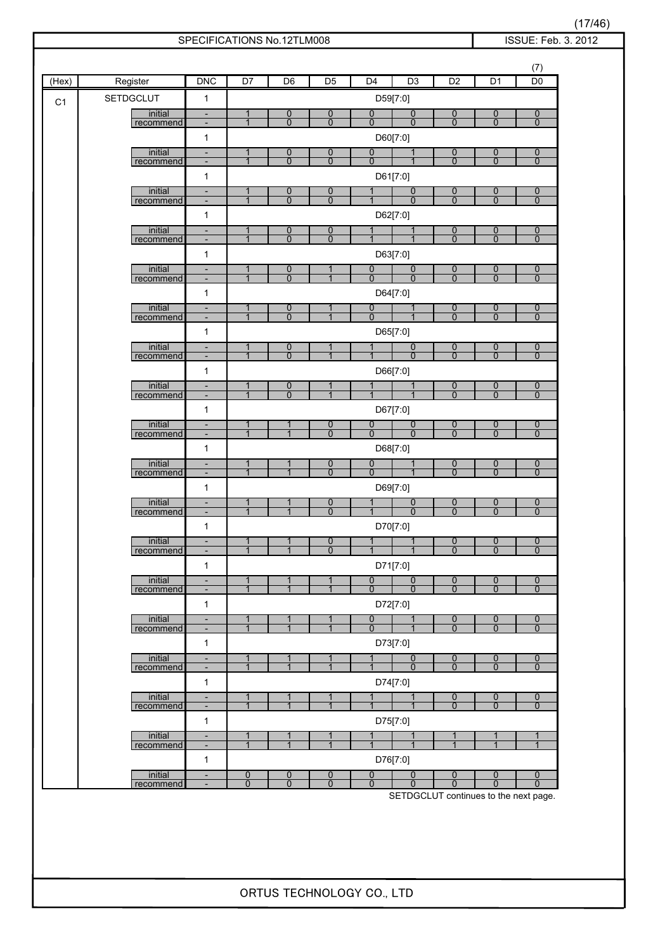| (Hex)          | Register             | <b>DNC</b>                                               | D <sub>7</sub>                   | D <sub>6</sub>                     | D <sub>5</sub>                   | D <sub>4</sub>                   | D <sub>3</sub>                   | D <sub>2</sub>                   | D <sub>1</sub>                   | (7)<br>D <sub>0</sub>              |
|----------------|----------------------|----------------------------------------------------------|----------------------------------|------------------------------------|----------------------------------|----------------------------------|----------------------------------|----------------------------------|----------------------------------|------------------------------------|
| C <sub>1</sub> | <b>SETDGCLUT</b>     | $\mathbf{1}$                                             |                                  |                                    |                                  |                                  | D59[7:0]                         |                                  |                                  |                                    |
|                | initial<br>recommend | $\overline{\phantom{a}}$<br>$\overline{\phantom{a}}$     | 1<br>$\mathbf 1$                 | 0<br>$\overline{0}$                | 0<br>$\overline{0}$              | $\overline{0}$<br>$\overline{0}$ | $\overline{0}$<br>$\overline{0}$ | 0<br>$\overline{0}$              | 0<br>$\overline{0}$              | $\overline{0}$<br>$\overline{0}$   |
|                |                      | $\mathbf{1}$                                             |                                  |                                    |                                  |                                  | D60[7:0]                         |                                  |                                  |                                    |
|                | initial              | $\overline{\phantom{a}}$                                 | 1                                | $\overline{0}$                     | 0                                | 0                                |                                  | $\overline{0}$                   | $\overline{0}$                   | $\overline{0}$                     |
|                | recommend            | $\overline{\phantom{a}}$<br>$\mathbf{1}$                 | $\overline{1}$                   | $\overline{0}$                     | $\overline{0}$                   | $\overline{0}$                   | D61[7:0]                         | $\overline{0}$                   | $\overline{0}$                   | $\overline{0}$                     |
|                | initial              | $\overline{\phantom{a}}$                                 | $\mathbf{1}$                     | 0                                  | 0                                |                                  | $\overline{0}$                   | $\overline{0}$                   | $\overline{0}$                   | $\overline{0}$                     |
|                | recommend            | $\overline{\phantom{a}}$                                 | $\mathbf 1$                      | $\overline{0}$                     | $\overline{0}$                   |                                  | $\overline{0}$                   | $\overline{0}$                   | $\overline{0}$                   | $\overline{0}$                     |
|                | initial              | 1<br>$\overline{\phantom{a}}$                            | $\mathbf{1}$                     | 0                                  | $\overline{0}$                   | 1                                | D62[7:0]<br>$\mathbf 1$          | $\overline{0}$                   | $\overline{0}$                   | $\overline{0}$                     |
|                | recommend            | $\overline{\phantom{a}}$                                 | $\overline{1}$                   | $\overline{0}$                     | $\overline{0}$                   |                                  |                                  | $\overline{0}$                   | $\overline{0}$                   | $\mathbf{0}$                       |
|                |                      | 1                                                        |                                  |                                    |                                  |                                  | D63[7:0]                         |                                  |                                  |                                    |
|                | initial<br>recommend | $\overline{\phantom{a}}$<br>$\qquad \qquad \blacksquare$ | 1<br>$\overline{1}$              | 0<br>$\overline{0}$                | $\overline{1}$                   | 0<br>$\overline{0}$              | $\overline{0}$<br>$\overline{0}$ | $\overline{0}$<br>$\overline{0}$ | $\overline{0}$<br>$\overline{0}$ | $\boldsymbol{0}$<br>$\overline{0}$ |
|                |                      | 1                                                        |                                  |                                    |                                  |                                  | D64[7:0]                         |                                  |                                  |                                    |
|                | initial<br>recommend | $\overline{\phantom{a}}$<br>$\overline{\phantom{a}}$     | 1<br>$\overline{1}$              | $\boldsymbol{0}$<br>$\overline{0}$ | $\overline{1}$                   | 0<br>$\overline{0}$              | $\overline{1}$                   | 0<br>$\overline{0}$              | $\overline{0}$<br>$\overline{0}$ | $\overline{0}$<br>$\mathbf{0}$     |
|                |                      | 1                                                        |                                  |                                    |                                  |                                  | D65[7:0]                         |                                  |                                  |                                    |
|                | initial<br>recommend | ÷,<br>$\overline{\phantom{a}}$                           | $\mathbf{1}$<br>$\overline{1}$   | 0<br>$\overline{0}$                | $\overline{1}$                   | $\mathbf{1}$<br>1                | 0<br>$\overline{0}$              | 0<br>$\overline{0}$              | $\overline{0}$<br>$\overline{0}$ | $\boldsymbol{0}$<br>$\overline{0}$ |
|                |                      | $\mathbf{1}$                                             |                                  |                                    |                                  |                                  | D66[7:0]                         |                                  |                                  |                                    |
|                | initial              | $\overline{\phantom{a}}$                                 | $\mathbf{1}$<br>$\overline{1}$   | $\overline{0}$<br>$\overline{0}$   | 1                                | 1                                | $\mathbf 1$                      | $\overline{0}$<br>$\overline{0}$ | $\overline{0}$<br>$\overline{0}$ | $\overline{0}$<br>$\overline{0}$   |
|                | recommend            | $\overline{\phantom{a}}$<br>1                            |                                  |                                    |                                  |                                  | D67[7:0]                         |                                  |                                  |                                    |
|                | initial              | $\frac{1}{2}$                                            | $\mathbf{1}$                     |                                    | 0                                | 0                                | $\overline{0}$                   | $\overline{0}$                   | $\overline{0}$                   | $\overline{0}$                     |
|                | recommend            | $\overline{\phantom{a}}$                                 | $\overline{1}$                   | 1                                  | $\overline{0}$                   | $\overline{0}$                   | $\overline{0}$                   | $\overline{0}$                   | $\overline{0}$                   | $\overline{0}$                     |
|                | initial              | 1<br>$\overline{\phantom{a}}$                            | 1                                | 1                                  | 0                                | 0                                | D68[7:0]                         | 0                                | 0                                | $\mathbf 0$                        |
|                | recommend            | $\overline{\phantom{a}}$                                 | $\overline{1}$                   | $\overline{1}$                     | $\overline{0}$                   | $\overline{0}$                   |                                  | $\overline{0}$                   | $\overline{0}$                   | $\overline{0}$                     |
|                | initial              | $\mathbf{1}$<br>$\blacksquare$                           | $\mathbf{1}$                     | 1                                  | 0                                |                                  | D69[7:0]<br>0                    | 0                                | 0                                | $\mathbf 0$                        |
|                | recommend            | $\overline{\phantom{a}}$                                 | $\mathbf{1}$                     | $\mathbf{1}$                       | $\overline{0}$                   |                                  | $\overline{0}$                   | $\overline{0}$                   | $\overline{0}$                   | $\overline{0}$                     |
|                |                      | 1                                                        |                                  |                                    |                                  |                                  | D70[7:0]                         |                                  |                                  |                                    |
|                | initial<br>recommend | $\overline{\phantom{a}}$                                 | $\mathbf{1}$<br>$\mathbf{1}$     | 1<br>$\overline{1}$                | $\overline{0}$<br>$\overline{0}$ | $\mathbf{1}$<br>$\overline{1}$   | $\mathbf{1}$<br>$\mathbf{1}$     | $\mathbf{0}$<br>$\overline{0}$   | $\mathbf 0$<br>$\overline{0}$    | $\overline{0}$<br>$\mathbf{0}$     |
|                |                      | $\mathbf{1}$                                             |                                  |                                    |                                  |                                  | D71[7:0]                         |                                  |                                  |                                    |
|                | initial<br>recommend | $\overline{\phantom{a}}$<br>$\overline{\phantom{a}}$     | $\mathbf{1}$<br>$\overline{1}$   | 1<br>$\overline{1}$                | 1<br>$\overline{1}$              | 0<br>$\overline{0}$              | 0<br>$\overline{0}$              | 0<br>$\overline{0}$              | 0<br>$\overline{0}$              | $\boldsymbol{0}$<br>$\mathbf{0}$   |
|                |                      | $\mathbf{1}$                                             |                                  |                                    |                                  |                                  | D72[7:0]                         |                                  |                                  |                                    |
|                | initial<br>recommend | $\overline{\phantom{a}}$<br>$\blacksquare$               | $\mathbf{1}$<br>$\overline{1}$   | 1<br>$\overline{1}$                | 1<br>$\overline{1}$              | $\overline{0}$<br>$\Omega$       | 1                                | $\overline{0}$<br>$\overline{0}$ | $\overline{0}$<br>$\overline{0}$ | $\boldsymbol{0}$<br>$\overline{0}$ |
|                |                      | $\mathbf{1}$                                             |                                  |                                    |                                  |                                  | D73[7:0]                         |                                  |                                  |                                    |
|                | initial              | $\frac{1}{2}$                                            | $\overline{1}$                   | $\mathbf{1}$                       | $\mathbf{1}$<br>$\overline{1}$   | $\overline{1}$                   | $\overline{0}$                   | 0                                | $\overline{0}$                   | $\boldsymbol{0}$                   |
|                | recommend            | $\overline{\phantom{a}}$<br>$\mathbf{1}$                 | $\mathbf{1}$                     | $\mathbf{1}$                       |                                  |                                  | $\overline{0}$<br>D74[7:0]       | $\overline{0}$                   | $\overline{0}$                   | $\Omega$                           |
|                | initial              | $\overline{\phantom{a}}$                                 | $\mathbf{1}$                     | 1                                  | 1                                | $\mathbf{1}$                     | $\mathbf{1}$                     | $\overline{0}$                   | $\overline{0}$                   | $\overline{0}$                     |
|                | recommend            | $\overline{\phantom{a}}$                                 | $\overline{1}$                   | $\overline{1}$                     | $\overline{1}$                   |                                  |                                  | $\overline{0}$                   | $\overline{0}$                   | $\overline{0}$                     |
|                | initial              | $\mathbf{1}$<br>$\overline{\phantom{a}}$                 | 1                                | 1                                  | 1                                | 1                                | D75[7:0]<br>1                    | 1                                | 1                                | 1                                  |
|                | recommend            | $\overline{\phantom{a}}$                                 | $\overline{1}$                   | $\overline{1}$                     | $\overline{1}$                   | $\mathbf{1}$                     | $\mathbf{1}$                     | $\overline{1}$                   | $\overline{1}$                   | $\mathbf{1}$                       |
|                |                      | $\mathbf{1}$                                             |                                  |                                    |                                  |                                  | D76[7:0]                         |                                  |                                  |                                    |
|                | initial<br>recommend | $\overline{\phantom{a}}$<br>$\blacksquare$               | $\overline{0}$<br>$\overline{0}$ | $\overline{0}$<br>$\overline{0}$   | $\overline{0}$<br>0              | $\overline{0}$<br>$\overline{0}$ | $\overline{0}$<br>$\overline{0}$ | 0<br>$\overline{0}$              | $\overline{0}$<br>$\overline{0}$ | $\mathbf 0$<br>$\overline{0}$      |

(17/46)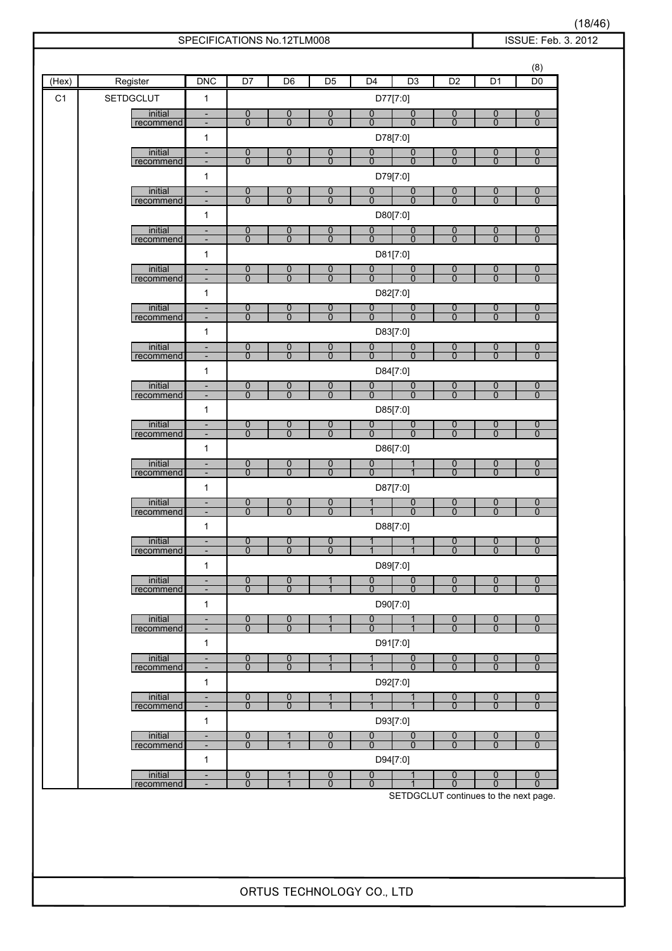| (Hex)          | Register             | <b>DNC</b>                                           | D7                               | D <sub>6</sub>                     | D <sub>5</sub>                   | D <sub>4</sub>                   | D <sub>3</sub>                   | D <sub>2</sub>                   | D <sub>1</sub>                   | (8)<br>D <sub>0</sub>              |
|----------------|----------------------|------------------------------------------------------|----------------------------------|------------------------------------|----------------------------------|----------------------------------|----------------------------------|----------------------------------|----------------------------------|------------------------------------|
| C <sub>1</sub> | <b>SETDGCLUT</b>     | 1                                                    |                                  |                                    |                                  |                                  | D77[7:0]                         |                                  |                                  |                                    |
|                | initial<br>recommend | $\overline{\phantom{a}}$<br>-                        | 0<br>$\overline{0}$              | $\boldsymbol{0}$<br>$\overline{0}$ | 0<br>$\overline{0}$              | $\mathbf 0$<br>$\Omega$          | 0<br>0                           | 0<br>$\overline{0}$              | $\overline{0}$<br>$\overline{0}$ | $\mathbf 0$<br>$\mathbf{0}$        |
|                |                      | 1                                                    |                                  |                                    |                                  |                                  | D78[7:0]                         |                                  |                                  |                                    |
|                | initial              | $\overline{\phantom{a}}$                             | $\overline{0}$<br>$\overline{0}$ | $\overline{0}$<br>$\overline{0}$   | 0<br>$\overline{0}$              | 0<br>$\overline{0}$              | 0<br>$\overline{0}$              | 0<br>$\overline{0}$              | 0<br>$\overline{0}$              | $\mathbf 0$<br>$\mathbf{0}$        |
|                | recommend            | $\overline{\phantom{a}}$<br>$\mathbf{1}$             |                                  |                                    |                                  |                                  | D79[7:0]                         |                                  |                                  |                                    |
|                | initial              | $\overline{\phantom{a}}$                             | $\overline{0}$                   | $\mathbf 0$                        | 0                                | 0                                | 0                                | $\overline{0}$                   | $\overline{0}$                   | $\overline{0}$                     |
|                | recommend            | $\overline{\phantom{a}}$<br>1                        | $\overline{0}$                   | $\overline{0}$                     | $\overline{0}$                   | $\overline{0}$                   | $\overline{0}$<br>D80[7:0]       | $\overline{0}$                   | $\overline{0}$                   | $\mathbf 0$                        |
|                | initial              | $\overline{\phantom{a}}$                             | $\overline{0}$                   | $\overline{0}$                     | 0                                | $\overline{0}$                   | 0                                | 0                                | 0                                | $\boldsymbol{0}$                   |
|                | recommend            | $\overline{\phantom{a}}$<br>$\mathbf{1}$             | $\mathbf{0}$                     | $\mathbf{0}$                       | $\overline{0}$                   | $\overline{0}$                   | $\overline{0}$<br>D81[7:0]       | $\overline{0}$                   | $\overline{0}$                   | $\mathbf{0}$                       |
|                | initial              | $\overline{\phantom{a}}$                             | $\overline{0}$                   | 0                                  | 0                                | 0                                | 0                                | 0                                | $\overline{0}$                   | $\overline{0}$                     |
|                | recommend            | $\overline{\phantom{a}}$                             | $\mathbf 0$                      | $\overline{0}$                     | $\overline{0}$                   | $\overline{0}$                   | $\overline{0}$                   | $\overline{0}$                   | $\overline{0}$                   | $\mathbf{0}$                       |
|                | initial              | $\mathbf{1}$<br>$\overline{\phantom{a}}$             | $\overline{0}$                   | $\boldsymbol{0}$                   | 0                                | 0                                | D82[7:0]<br>0                    | 0                                | 0                                | $\boldsymbol{0}$                   |
|                | recommend            | $\overline{\phantom{a}}$                             | $\overline{0}$                   | $\overline{0}$                     | $\overline{0}$                   | $\Omega$                         | $\overline{0}$                   | $\overline{0}$                   | $\overline{0}$                   | $\mathbf{0}$                       |
|                |                      | $\mathbf{1}$                                         |                                  |                                    |                                  |                                  | D83[7:0]                         |                                  |                                  |                                    |
|                | initial<br>recommend | $\overline{\phantom{a}}$<br>$\overline{\phantom{a}}$ | $\overline{0}$<br>$\mathbf 0$    | $\overline{0}$<br>$\overline{0}$   | 0<br>$\overline{0}$              | $\overline{0}$<br>$\mathbf 0$    | 0<br>$\mathbf 0$                 | 0<br>$\overline{0}$              | $\overline{0}$<br>$\mathbf{0}$   | $\overline{0}$<br>$\mathbf 0$      |
|                |                      | 1                                                    |                                  |                                    |                                  |                                  | D84[7:0]                         |                                  |                                  |                                    |
|                | initial<br>recommend | $\blacksquare$<br>$\overline{\phantom{a}}$           | $\mathbf 0$<br>$\overline{0}$    | $\overline{0}$<br>$\overline{0}$   | $\overline{0}$<br>$\overline{0}$ | 0<br>$\overline{0}$              | 0<br>$\overline{0}$              | 0<br>$\overline{0}$              | 0<br>$\overline{0}$              | $\boldsymbol{0}$<br>$\overline{0}$ |
|                |                      | $\mathbf{1}$                                         |                                  |                                    |                                  |                                  | D85[7:0]                         |                                  |                                  |                                    |
|                | initial<br>recommend | $\overline{\phantom{a}}$<br>$\overline{\phantom{a}}$ | $\overline{0}$<br>$\overline{0}$ | $\overline{0}$<br>$\overline{0}$   | 0<br>$\overline{0}$              | 0<br>$\overline{0}$              | 0<br>$\overline{0}$              | 0<br>$\overline{0}$              | $\overline{0}$<br>$\overline{0}$ | $\overline{0}$<br>$\overline{0}$   |
|                |                      | $\mathbf{1}$                                         |                                  |                                    |                                  |                                  | D86[7:0]                         |                                  |                                  |                                    |
|                | initial<br>recommend | $\overline{\phantom{a}}$<br>$\overline{\phantom{a}}$ | $\overline{0}$<br>$\overline{0}$ | $\overline{0}$<br>$\overline{0}$   | 0<br>$\overline{0}$              | 0<br>$\overline{0}$              |                                  | $\overline{0}$<br>$\overline{0}$ | $\overline{0}$<br>$\overline{0}$ | $\overline{0}$<br>$\overline{0}$   |
|                |                      | $\mathbf{1}$                                         |                                  |                                    |                                  |                                  | D87[7:0]                         |                                  |                                  |                                    |
|                | initial<br>recommend | $\overline{\phantom{a}}$<br>$\overline{\phantom{a}}$ | $\overline{0}$<br>$\overline{0}$ | 0<br>$\overline{0}$                | 0<br>$\overline{0}$              |                                  | $\overline{0}$<br>$\overline{0}$ | 0<br>$\overline{0}$              | $\overline{0}$<br>$\overline{0}$ | $\overline{0}$<br>$\overline{0}$   |
|                |                      | 1                                                    |                                  |                                    |                                  |                                  | D88[7:0]                         |                                  |                                  |                                    |
|                | initial              |                                                      | $\overline{0}$                   | 0                                  | $\overline{0}$                   | 1                                | $\mathbf{1}$                     | $\overline{0}$                   | $\overline{0}$                   | $\overline{0}$                     |
|                | recommend            | $\overline{\phantom{a}}$<br>$\mathbf{1}$             | $\overline{0}$                   | $\overline{0}$                     | $\overline{0}$                   | 1                                | D89[7:0]                         | $\overline{0}$                   | $\overline{0}$                   | $\mathbf{0}$                       |
|                | initial              | $\frac{1}{2}$                                        | $\overline{0}$                   | 0                                  |                                  | 0                                | $\overline{0}$                   | $\overline{0}$                   | $\overline{0}$                   | $\overline{0}$                     |
|                | recommend            | $\overline{\phantom{a}}$<br>$\mathbf{1}$             | $\overline{0}$                   | $\overline{0}$                     | $\overline{1}$                   | $\overline{0}$                   | $\overline{0}$<br>D90[7:0]       | $\overline{0}$                   | $\overline{0}$                   | $\overline{0}$                     |
|                | initial              | $\overline{\phantom{a}}$                             | $\overline{0}$                   | $\mathbf 0$                        | 1                                | $\boldsymbol{0}$                 |                                  | $\overline{0}$                   | $\overline{0}$                   | $\overline{0}$                     |
|                | recommend            | $\overline{\phantom{a}}$                             | $\overline{0}$                   | $\overline{0}$                     | $\overline{1}$                   | $\overline{0}$                   |                                  | $\overline{0}$                   | $\overline{0}$                   | $\overline{0}$                     |
|                | initial              | $\mathbf{1}$<br>$\blacksquare$                       | $\overline{0}$                   | 0                                  | 1                                | 1                                | D91[7:0]<br>$\overline{0}$       | 0                                | $\overline{0}$                   | $\overline{0}$                     |
|                | recommend            | $\overline{\phantom{a}}$                             | $\overline{0}$                   | $\overline{0}$                     | $\overline{1}$                   | $\overline{1}$                   | $\overline{0}$                   | $\overline{0}$                   | $\overline{0}$                   | $\overline{0}$                     |
|                |                      | $\mathbf{1}$                                         |                                  |                                    |                                  |                                  | D92[7:0]                         |                                  |                                  |                                    |
|                | initial<br>recommend | $\overline{\phantom{a}}$<br>$\overline{\phantom{a}}$ | $\overline{0}$<br>$\overline{0}$ | 0<br>$\overline{0}$                | 1                                | 1                                | 1                                | $\overline{0}$<br>$\overline{0}$ | $\overline{0}$<br>$\overline{0}$ | $\overline{0}$<br>$\overline{0}$   |
|                |                      | $\mathbf{1}$                                         |                                  |                                    |                                  |                                  | D93[7:0]                         |                                  |                                  |                                    |
|                | initial<br>recommend | $\blacksquare$<br>$\overline{\phantom{a}}$           | 0<br>$\overline{0}$              | 1                                  | 0<br>$\overline{0}$              | $\overline{0}$<br>$\overline{0}$ | 0<br>$\overline{0}$              | $\overline{0}$<br>$\overline{0}$ | 0<br>$\overline{0}$              | $\overline{0}$<br>$\overline{0}$   |
|                |                      | $\mathbf{1}$                                         |                                  |                                    |                                  |                                  | D94[7:0]                         |                                  |                                  |                                    |
|                | initial<br>recommend | $\overline{\phantom{a}}$<br>$\overline{\phantom{a}}$ | $\overline{0}$<br>$\overline{0}$ | 1<br>$\overline{1}$                | $\overline{0}$<br>$\overline{0}$ | 0<br>$\overline{0}$              | 1                                | 0<br>$\overline{0}$              | 0<br>$\overline{0}$              | $\overline{0}$<br>$\overline{0}$   |

(18/46)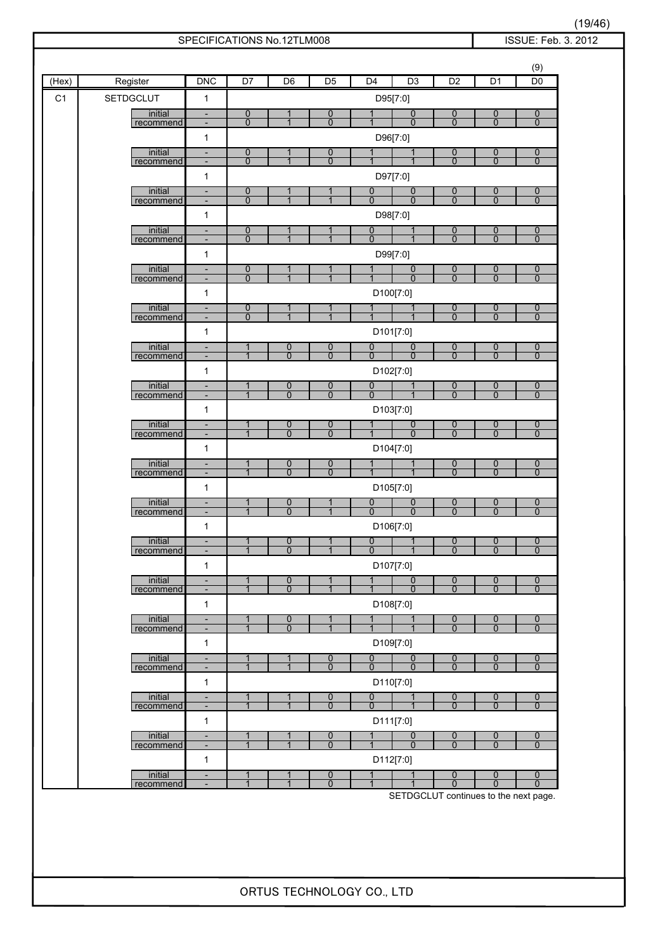| (Hex)          | Register         | <b>DNC</b>                               | D <sub>7</sub> | D <sub>6</sub> | D <sub>5</sub> | D <sub>4</sub> | D <sub>3</sub>                             | D <sub>2</sub> | D <sub>1</sub>   | (9)<br>D <sub>0</sub> |
|----------------|------------------|------------------------------------------|----------------|----------------|----------------|----------------|--------------------------------------------|----------------|------------------|-----------------------|
| C <sub>1</sub> | <b>SETDGCLUT</b> | $\mathbf{1}$                             |                |                |                |                | D95[7:0]                                   |                |                  |                       |
|                | initial          | $\overline{\phantom{a}}$                 | 0              | 1              | 0              |                | $\overline{0}$                             | 0              | 0                | $\overline{0}$        |
|                | recommend        | $\overline{\phantom{a}}$<br>$\mathbf{1}$ | $\overline{0}$ | $\mathbf 1$    | $\overline{0}$ |                | $\overline{0}$<br>D96[7:0]                 | $\overline{0}$ | $\overline{0}$   | $\overline{0}$        |
|                | initial          | $\overline{\phantom{a}}$                 | $\overline{0}$ | 1              | 0              |                |                                            | $\overline{0}$ | $\boldsymbol{0}$ | $\overline{0}$        |
|                | recommend        | $\overline{\phantom{a}}$<br>$\mathbf{1}$ | $\overline{0}$ | $\overline{1}$ | $\overline{0}$ | $\mathbf{1}$   | D97[7:0]                                   | $\overline{0}$ | $\overline{0}$   | $\overline{0}$        |
|                | initial          | $\overline{\phantom{a}}$                 | $\overline{0}$ | 1              |                | 0              | $\overline{0}$                             | 0              | $\overline{0}$   | $\overline{0}$        |
|                | recommend        | $\overline{\phantom{a}}$<br>1            | $\overline{0}$ | 1              |                | $\overline{0}$ | $\overline{0}$<br>D98[7:0]                 | $\overline{0}$ | $\overline{0}$   | $\overline{0}$        |
|                | initial          | $\overline{\phantom{a}}$                 | 0              | 1              |                | $\overline{0}$ | $\mathbf 1$                                | $\overline{0}$ | $\overline{0}$   | $\overline{0}$        |
|                | recommend        | $\overline{\phantom{a}}$<br>1            | $\mathbf{0}$   | $\overline{1}$ |                | $\mathbf 0$    | D99[7:0]                                   | $\overline{0}$ | $\overline{0}$   | $\mathbf{0}$          |
|                | initial          | $\overline{\phantom{a}}$                 | 0              |                |                |                | 0                                          | $\overline{0}$ | $\overline{0}$   | $\boldsymbol{0}$      |
|                | recommend        | $\qquad \qquad \blacksquare$<br>1        | $\overline{0}$ | $\overline{1}$ | $\overline{1}$ | 1              | $\overline{0}$<br>D100[7:0]                | $\overline{0}$ | $\overline{0}$   | $\overline{0}$        |
|                | initial          | $\overline{\phantom{a}}$                 | 0              | 1              |                |                |                                            | 0              | 0                | $\overline{0}$        |
|                | recommend        | $\overline{\phantom{a}}$<br>1            | $\overline{0}$ | $\overline{1}$ | $\overline{1}$ | $\overline{1}$ | $\overline{1}$<br>D101[7:0]                | $\overline{0}$ | $\overline{0}$   | $\mathbf{0}$          |
|                | initial          | $\overline{\phantom{a}}$                 | $\mathbf{1}$   | 0              | $\overline{0}$ | $\overline{0}$ | 0                                          | 0              | $\overline{0}$   | 0                     |
|                | recommend        | $\overline{\phantom{a}}$<br>$\mathbf{1}$ | $\overline{1}$ | $\overline{0}$ | $\overline{0}$ | $\overline{0}$ | $\overline{0}$<br>D102[7:0]                | $\overline{0}$ | $\overline{0}$   | $\overline{0}$        |
|                | initial          | $\overline{\phantom{a}}$                 | $\mathbf{1}$   | $\overline{0}$ | $\overline{0}$ | 0              | $\mathbf 1$                                | $\overline{0}$ | $\overline{0}$   | $\overline{0}$        |
|                | recommend        | $\overline{\phantom{a}}$<br>1            | $\overline{1}$ | $\overline{0}$ | $\overline{0}$ | $\overline{0}$ | D103[7:0]                                  | $\overline{0}$ | $\overline{0}$   | $\overline{0}$        |
|                | initial          | $\frac{1}{2}$                            | 1              | 0              | 0              |                | $\overline{0}$                             | $\overline{0}$ | $\overline{0}$   | $\overline{0}$        |
|                | recommend        | $\overline{\phantom{a}}$<br>1            | $\overline{1}$ | $\overline{0}$ | $\overline{0}$ |                | $\overline{0}$<br>D104[7:0]                | $\overline{0}$ | $\overline{0}$   | $\overline{0}$        |
|                | initial          | $\overline{\phantom{a}}$                 | 1              | $\overline{0}$ | 0              |                |                                            | 0              | 0                | $\mathbf 0$           |
|                | recommend        | $\overline{\phantom{a}}$<br>$\mathbf{1}$ | $\overline{1}$ | $\overline{0}$ | $\overline{0}$ |                | D105[7:0]                                  | $\overline{0}$ | $\overline{0}$   | $\overline{0}$        |
|                | initial          | $\blacksquare$                           | $\mathbf{1}$   | $\mathbf 0$    |                | 0              | 0                                          | 0              | 0                | $\mathbf 0$           |
|                | recommend        | $\overline{\phantom{a}}$<br>1            | $\mathbf{1}$   | $\Omega$       |                | $\Omega$       | $\overline{0}$<br>D106[7:0]                | $\overline{0}$ | $\overline{0}$   | $\Omega$              |
|                | initial          |                                          | $\mathbf{1}$   | $\Omega$       | 1              | $\overline{0}$ | $\mathbf{1}$                               | $\mathbf{0}$   | $\overline{0}$   | $\overline{0}$        |
|                | recommend        | $\overline{\phantom{a}}$<br>$\mathbf{1}$ | $\overline{1}$ | $\overline{0}$ | $\mathbf{1}$   | $\overline{0}$ | $\mathbf{1}$<br>D107[7:0]                  | $\overline{0}$ | $\overline{0}$   | $\mathbf{0}$          |
|                | initial          | $\overline{\phantom{a}}$                 | $\mathbf{1}$   | $\overline{0}$ | 1              | 1              | 0                                          | 0              | 0                | $\boldsymbol{0}$      |
|                | recommend        | $\overline{\phantom{a}}$<br>$\mathbf{1}$ | $\overline{1}$ | $\overline{0}$ | $\overline{1}$ | $\overline{1}$ | $\overline{0}$<br>D108[7:0]                | $\overline{0}$ | $\overline{0}$   | $\mathbf{0}$          |
|                | initial          | $\overline{\phantom{a}}$                 | $\mathbf{1}$   | 0              | $\mathbf{1}$   | $\mathbf 1$    | 1                                          | $\overline{0}$ | $\overline{0}$   | $\overline{0}$        |
|                | recommend        | $\blacksquare$<br>$\mathbf{1}$           | $\overline{1}$ | $\overline{0}$ | $\overline{1}$ | $\overline{1}$ | D109[7:0]                                  | $\overline{0}$ | $\overline{0}$   | $\mathbf{0}$          |
|                | initial          | $\frac{1}{2}$                            | $\overline{1}$ | $\mathbf{1}$   | $\overline{0}$ | $\overline{0}$ | $\overline{0}$                             | $\overline{0}$ | $\overline{0}$   | $\boldsymbol{0}$      |
|                | recommend        | $\overline{\phantom{a}}$<br>$\mathbf{1}$ | $\mathbf{1}$   | $\mathbf{1}$   | $\overline{0}$ | $\overline{0}$ | $\overline{0}$<br>D110[7:0]                | $\overline{0}$ | $\overline{0}$   | $\Omega$              |
|                | initial          | $\overline{\phantom{a}}$                 | $\mathbf{1}$   | 1              | $\overline{0}$ | $\overline{0}$ | $\overline{1}$                             | $\overline{0}$ | $\overline{0}$   | $\overline{0}$        |
|                | recommend        | $\overline{\phantom{a}}$<br>$\mathbf{1}$ | $\overline{1}$ | $\overline{1}$ | $\overline{0}$ | $\overline{0}$ | D111[7:0]                                  | $\overline{0}$ | $\overline{0}$   | $\overline{0}$        |
|                | initial          | $\overline{\phantom{a}}$                 | 1              | 1              | $\overline{0}$ | 1              | $\overline{0}$                             | $\overline{0}$ | $\overline{0}$   | $\overline{0}$        |
|                | recommend        | $\overline{\phantom{a}}$<br>$\mathbf{1}$ | $\overline{1}$ | $\overline{1}$ | $\overline{0}$ | $\mathbf{1}$   | $\overline{0}$<br>D112[7:0]                | $\overline{0}$ | $\overline{0}$   | $\overline{0}$        |
|                | initial          | $\overline{\phantom{a}}$                 | 1              | 1              | $\overline{0}$ | 1              | 1                                          | 0              | $\overline{0}$   | $\mathbf 0$           |
|                | recommend        | $\blacksquare$                           | $\overline{1}$ | $\overline{1}$ | 0              | $\mathbf{1}$   | 1<br>SETDGCLUT continues to the next page. | $\overline{0}$ | $\overline{0}$   | $\overline{0}$        |

(19/46)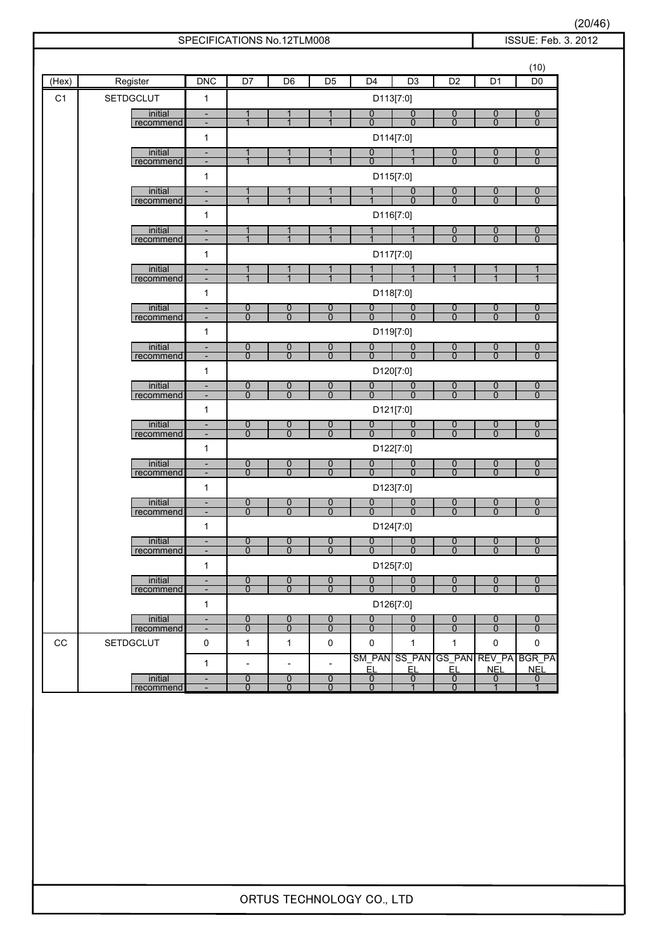|                |                               | SPECIFICATIONS No.12TLM008                               |                                            |                                            |                                            |                                  |                                  |                                  |                                  | ISSUE: Feb. 3. 2012                |
|----------------|-------------------------------|----------------------------------------------------------|--------------------------------------------|--------------------------------------------|--------------------------------------------|----------------------------------|----------------------------------|----------------------------------|----------------------------------|------------------------------------|
|                |                               |                                                          |                                            |                                            |                                            |                                  |                                  |                                  |                                  | (10)                               |
| (Hex)          | Register                      | <b>DNC</b>                                               | $\overline{D7}$                            | D6                                         | $\overline{D5}$                            | D <sub>4</sub>                   | D <sub>3</sub>                   | D <sub>2</sub>                   | D <sub>1</sub>                   | D <sub>0</sub>                     |
| C <sub>1</sub> | <b>SETDGCLUT</b>              | 1                                                        |                                            |                                            |                                            |                                  | D113[7:0]                        |                                  |                                  |                                    |
|                | initial<br>recommend          | $\overline{\phantom{a}}$<br>$\overline{\phantom{m}}$     | 1<br>$\overline{1}$                        | 1                                          | 1<br>$\overline{1}$                        | $\overline{0}$<br>$\overline{0}$ | $\frac{0}{0}$                    | $\frac{0}{0}$                    | $\frac{0}{0}$                    | $\overline{0}$<br>$\overline{0}$   |
|                |                               | $\mathbf{1}$                                             |                                            |                                            |                                            |                                  | D114[7:0]                        |                                  |                                  |                                    |
|                | initial                       | $\overline{\phantom{a}}$                                 | 1                                          |                                            |                                            | 0                                |                                  | $\frac{0}{0}$                    | 0                                | $\overline{0}$                     |
|                | recommend                     | $\overline{\phantom{a}}$<br>1                            | $\overline{1}$                             | $\overline{1}$                             | $\overline{1}$                             | $\overline{0}$                   | $\overline{1}$<br>D115[7:0]      |                                  | $\overline{0}$                   | $\overline{0}$                     |
|                | initial                       | $\overline{\phantom{a}}$                                 | 1                                          |                                            | 1                                          | 1                                | 0                                | $\boldsymbol{0}$                 | $\overline{0}$                   | $\overline{0}$                     |
|                | recommend                     | $\overline{\phantom{a}}$                                 | $\mathbf{1}$                               | $\overline{1}$                             | $\overline{1}$                             |                                  | $\overline{0}$                   | $\overline{0}$                   | $\overline{0}$                   | $\overline{0}$                     |
|                | initial                       | 1<br>$\overline{\phantom{a}}$                            | $\mathbf{1}$                               | $\mathbf 1$                                | $\mathbf{1}$                               | $\mathbf{1}$                     | D116[7:0]<br>$\mathbf{1}$        |                                  | $\overline{0}$                   | $\overline{0}$                     |
|                | recommend                     | $\overline{\phantom{a}}$                                 | $\mathbf{1}$                               | $\overline{1}$                             | $\mathbf{1}$                               | $\mathbf{1}$                     | $\mathbf 1$                      | $\frac{0}{0}$                    | $\overline{0}$                   | $\overline{0}$                     |
|                |                               | $\mathbf{1}$                                             |                                            |                                            |                                            |                                  | D117[7:0]                        |                                  |                                  |                                    |
|                | initial<br>recommend          | $\overline{\phantom{a}}$<br>$\overline{\phantom{a}}$     | 1<br>$\mathbf{1}$                          | 1<br>$\overline{1}$                        | 1<br>$\mathbf{1}$                          | $\mathbf{1}$<br>1                | $\mathbf{1}$                     | 1<br>$\overline{1}$              | 1<br>$\mathbf{1}$                | $\overline{1}$                     |
|                |                               | $\mathbf{1}$                                             |                                            |                                            |                                            |                                  | D118[7:0]                        |                                  |                                  |                                    |
|                | initial<br>recommend          | $\overline{\phantom{a}}$<br>$\overline{\phantom{a}}$     | 0<br>$\overline{0}$                        | 0<br>$\overline{0}$                        | $\overline{0}$<br>$\overline{0}$           | 0<br>$\overline{0}$              | 0<br>$\overline{0}$              | $\overline{0}$<br>$\overline{0}$ | $\overline{0}$<br>$\overline{0}$ | 0<br>$\overline{0}$                |
|                |                               | 1                                                        |                                            |                                            |                                            |                                  | D119[7:0]                        |                                  |                                  |                                    |
|                | initial<br>recommend          | $\overline{\phantom{a}}$<br>$\blacksquare$               | $\overline{0}$<br>$\overline{0}$           | 0<br>$\overline{0}$                        | $\overline{0}$<br>$\overline{0}$           | $\overline{0}$<br>$\overline{0}$ | 0<br>$\overline{0}$              | $\frac{0}{0}$                    | $\overline{0}$<br>$\overline{0}$ | $\overline{0}$<br>$\overline{0}$   |
|                |                               | 1                                                        |                                            |                                            |                                            |                                  | D120[7:0]                        |                                  |                                  |                                    |
|                | initial                       | $\overline{\phantom{a}}$                                 | 0                                          | $\overline{0}$                             | $\overline{0}$                             | $\overline{0}$                   | $\overline{0}$                   | $\overline{0}$                   | $\overline{0}$                   | $\boldsymbol{0}$                   |
|                | recommend                     | $\overline{\phantom{a}}$<br>1                            | $\overline{0}$                             | $\overline{0}$                             | $\overline{0}$                             | $\overline{0}$                   | $\overline{0}$<br>D121[7:0]      | $\overline{0}$                   | $\overline{0}$                   | $\overline{0}$                     |
|                | initial                       | $\overline{\phantom{a}}$                                 | $\overline{0}$                             | $\overline{0}$                             | 0                                          | $\overline{0}$                   | $\overline{0}$                   | $\overline{0}$                   | $\overline{0}$                   | $\overline{0}$                     |
|                | recommend                     | $\overline{\phantom{a}}$                                 | $\overline{0}$                             | $\overline{0}$                             | $\overline{0}$                             | $\overline{0}$                   | $\overline{0}$                   | $\overline{0}$                   | $\overline{0}$                   | $\overline{0}$                     |
|                | initial                       | 1<br>$\overline{\phantom{a}}$                            | $\overline{0}$                             | 0                                          | $\overline{0}$                             | 0                                | D122[7:0]<br>$\overline{0}$      | $\boldsymbol{0}$                 | $\overline{0}$                   | $\overline{0}$                     |
|                | recommend                     | $\overline{\phantom{a}}$                                 | $\overline{0}$                             | $\overline{0}$                             | $\overline{0}$                             | $\overline{0}$                   | $\overline{0}$                   | $\overline{0}$                   | $\overline{0}$                   | $\overline{0}$                     |
|                |                               | 1                                                        |                                            |                                            |                                            |                                  | D123[7:0]                        |                                  |                                  |                                    |
|                | initial<br>recommend          | $\overline{\phantom{a}}$<br>$\overline{\phantom{a}}$     | $\overline{0}$<br>$\overline{0}$           | 0<br>$\overline{0}$                        | $\overline{0}$<br>$\overline{0}$           | $\overline{0}$<br>$\overline{0}$ | $\overline{0}$<br>$\overline{0}$ | $\overline{0}$<br>$\overline{0}$ | $\overline{0}$<br>$\overline{0}$ | $\overline{0}$<br>$\overline{0}$   |
|                |                               | 1                                                        |                                            |                                            |                                            |                                  | D124[7:0]                        |                                  |                                  |                                    |
|                | initial<br>recommend          | $\qquad \qquad \blacksquare$<br>$\overline{\phantom{a}}$ | 0<br>$\mathbf{0}$                          | 0<br>$\mathbf{0}$                          | 0<br>$\mathbf{0}$                          | 0<br>$\mathbf 0$                 | 0<br>$\Omega$                    | $\boldsymbol{0}$<br>$\mathbf{0}$ | $\mathbf 0$<br>$\mathbf{0}$      | $\boldsymbol{0}$<br>$\mathbf{0}$   |
|                |                               | $\mathbf{1}$                                             |                                            |                                            |                                            |                                  | D125[7:0]                        |                                  |                                  |                                    |
|                | initial<br>recommend          | $\blacksquare$<br>$\overline{\phantom{a}}$               | $\overline{0}$<br>$\overline{0}$           | 0<br>$\overline{0}$                        | $\overline{0}$<br>$\overline{0}$           | $\overline{0}$<br>$\overline{0}$ | $\overline{0}$<br>$\Omega$       | $\overline{0}$<br>$\overline{0}$ | $\overline{0}$<br>$\overline{0}$ | $\mathbf 0$<br>$\mathbf{0}$        |
|                |                               | $\mathbf{1}$                                             |                                            |                                            |                                            |                                  | D126[7:0]                        |                                  |                                  |                                    |
|                | initial                       | $\overline{\phantom{a}}$                                 | 0                                          | 0                                          | 0                                          | $\overline{0}$                   | $\overline{0}$                   | $\boldsymbol{0}$                 | $\overline{0}$                   | $\mathbf 0$                        |
| $_{\rm CC}$    | recommend<br><b>SETDGCLUT</b> | $\overline{\phantom{a}}$<br>$\pmb{0}$                    | $\overline{0}$<br>$\mathbf{1}$             | $\mathbf{0}$<br>$\mathbf{1}$               | $\overline{0}$<br>0                        | $\mathbf{0}$<br>0                | $\overline{0}$<br>$\mathbf{1}$   | $\overline{0}$<br>$\mathbf{1}$   | $\mathbf{0}$<br>0                | $\mathbf{0}$<br>0                  |
|                |                               |                                                          |                                            |                                            |                                            |                                  |                                  |                                  |                                  | SM PAN SS PAN GS PAN REV PA BGR PA |
|                | initial                       | $\mathbf{1}$<br>$\overline{\phantom{a}}$                 | $\overline{\phantom{a}}$<br>$\overline{0}$ | $\overline{\phantom{a}}$<br>$\overline{0}$ | $\overline{\phantom{a}}$<br>$\overline{0}$ | <u>EL</u><br>$\overline{0}$      | <u>EL</u><br>$\overline{0}$      | <u>EL</u><br>$\overline{0}$      | <b>NEL</b><br>$\overline{0}$     | <b>NEL</b><br>$\mathbf{0}$         |
|                | recommend                     |                                                          | $\overline{0}$                             | $\overline{0}$                             | $\overline{0}$                             | $\Omega$                         | $\overline{1}$                   | $\overline{0}$                   | $\overline{1}$                   | $\overline{1}$                     |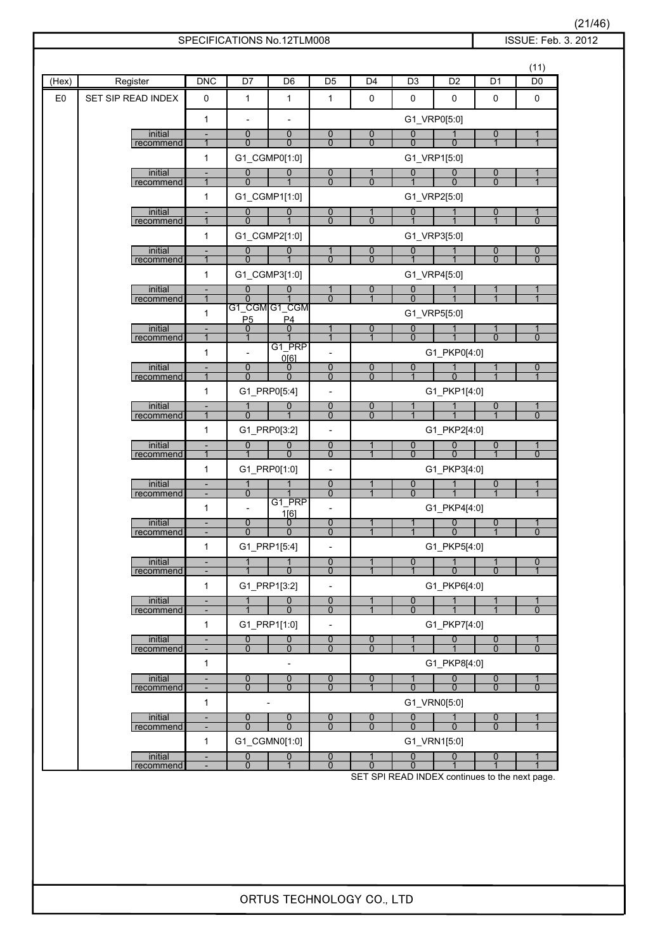| ORTUS TECHNOLOGY CO., LTD |  |  |
|---------------------------|--|--|
|---------------------------|--|--|

|                |                      |                                                      |                                  | SPECIFICATIONS No.12TLM008     |                                            |                                |                                |                                |                                  | ISSUE: Feb. 3. 2012                |  |
|----------------|----------------------|------------------------------------------------------|----------------------------------|--------------------------------|--------------------------------------------|--------------------------------|--------------------------------|--------------------------------|----------------------------------|------------------------------------|--|
|                |                      |                                                      |                                  |                                |                                            |                                |                                |                                |                                  | (11)                               |  |
| (Hex)          | Register             | DNC                                                  | D7                               | D <sub>6</sub>                 | D <sub>5</sub>                             | D <sub>4</sub>                 | D <sub>3</sub>                 | D <sub>2</sub>                 | D <sub>1</sub>                   | D <sub>0</sub>                     |  |
| E <sub>0</sub> | SET SIP READ INDEX   | 0                                                    | 1                                | $\mathbf{1}$                   | $\mathbf{1}$                               | 0                              | 0                              | 0                              | 0                                | 0                                  |  |
|                |                      | $\mathbf{1}$                                         | $\blacksquare$                   | $\overline{\phantom{a}}$       |                                            |                                | G1_VRP0[5:0]                   |                                |                                  |                                    |  |
|                | initial              | $\overline{\phantom{a}}$                             | $\mathbf 0$                      | $\mathbf{0}$                   | $\mathbf 0$                                | 0                              | $\mathbf 0$                    | 1                              | 0                                | 1                                  |  |
|                | recommend            | $\mathbf{1}$                                         | $\Omega$                         | $\mathbf{0}$                   | $\Omega$                                   | $\overline{0}$                 | $\Omega$                       | $\Omega$                       | $\mathbf{1}$                     | $\mathbf{1}$                       |  |
|                | initial              | $\mathbf{1}$<br>$\overline{\phantom{a}}$             | 0                                | G1_CGMP0[1:0]<br>0             | $\mathbf 0$                                | 1                              | G1_VRP1[5:0]<br>$\mathbf 0$    | 0                              | $\overline{0}$                   | 1                                  |  |
|                | recommend            | $\mathbf{1}$                                         | $\Omega$                         | $\mathbf{1}$                   | $\overline{0}$                             | $\overline{0}$                 | $\mathbf{1}$                   | $\Omega$                       | $\overline{0}$                   | $\mathbf{1}$                       |  |
|                |                      | $\mathbf{1}$                                         |                                  | G1_CGMP1[1:0]                  |                                            |                                | G1_VRP2[5:0]                   |                                |                                  |                                    |  |
|                | initial<br>recommend | $\overline{\phantom{a}}$<br>$\mathbf{1}$             | $\mathbf 0$<br>$\Omega$          | $\mathbf{0}$                   | $\mathbf 0$<br>$\overline{0}$              | 1<br>$\Omega$                  | $\mathbf 0$<br>1               | 1                              | 0<br>1                           | 1<br>$\Omega$                      |  |
|                |                      | $\mathbf{1}$                                         |                                  | G1_CGMP2[1:0]                  |                                            |                                | G1_VRP3[5:0]                   |                                |                                  |                                    |  |
|                | initial<br>recommend | $\overline{\phantom{a}}$<br>$\mathbf{1}$             | $\overline{0}$<br>$\mathbf{0}$   | $\mathbf 0$                    | $\mathbf 1$<br>$\overline{0}$              | 0<br>$\overline{0}$            | $\mathbf 0$                    | 1                              | $\overline{0}$<br>$\overline{0}$ | $\boldsymbol{0}$<br>$\overline{0}$ |  |
|                |                      | $\mathbf{1}$                                         |                                  | G1_CGMP3[1:0]                  |                                            |                                | G1_VRP4[5:0]                   |                                |                                  |                                    |  |
|                | initial<br>recommend | $\overline{\phantom{a}}$<br>1                        | $\overline{0}$<br>$\Omega$       | $\overline{0}$                 | 1<br>$\overline{0}$                        | 0<br>$\overline{1}$            | 0<br>$\Omega$                  | 1                              |                                  | 1<br>$\mathbf 1$                   |  |
|                |                      | $\mathbf{1}$                                         |                                  | G1_CGM G1_CGM                  |                                            |                                | G1_VRP5[5:0]                   |                                |                                  |                                    |  |
|                | initial              | $\overline{\phantom{a}}$                             | P <sub>5</sub><br>0              | P <sub>4</sub><br>0            | 1                                          | 0                              | 0                              |                                | 1                                | 1                                  |  |
|                | recommend            | $\mathbf{1}$<br>$\mathbf{1}$                         | $\mathbf{1}$                     | G1_PRP                         | $\mathbf{1}$<br>$\overline{a}$             | $\overline{1}$                 | $\mathbf{0}$                   | $\overline{1}$<br>G1_PKP0[4:0] | $\overline{0}$                   | $\mathbf{0}$                       |  |
|                | initial              | $\blacksquare$                                       | $\overline{0}$                   | 0[6]<br>0                      | $\overline{0}$                             | $\overline{0}$                 | $\overline{0}$                 | 1                              | 1                                | 0                                  |  |
|                | recommend            | $\mathbf{1}$                                         | $\mathbf 0$                      | $\mathbf{0}$                   | $\mathbf 0$                                | $\overline{0}$                 | $\mathbf{1}$                   | $\mathbf 0$                    |                                  | $\overline{1}$                     |  |
|                | initial              | $\mathbf{1}$                                         | $\mathbf{1}$                     | G1_PRP0[5:4]<br>0              | $\overline{\phantom{a}}$<br>$\overline{0}$ | $\overline{0}$                 |                                | G1_PKP1[4:0]                   | 0                                |                                    |  |
|                | recommend            | $\mathbf{1}$                                         | $\mathbf 0$                      |                                | $\mathbf{0}$                               | $\mathbf{0}$                   | $\overline{1}$                 |                                |                                  | 1<br>$\mathbf{0}$                  |  |
|                |                      | $\mathbf{1}$                                         |                                  | G1_PRP0[3:2]                   | $\overline{a}$                             |                                |                                | G1_PKP2[4:0]                   |                                  |                                    |  |
|                | initial<br>recommend | $\overline{\phantom{0}}$<br>$\mathbf{1}$             | $\overline{0}$<br>$\overline{1}$ | $\mathbf 0$<br>$\Omega$        | $\overline{0}$<br>$\mathbf 0$              | $\overline{1}$                 | $\mathbf 0$<br>$\Omega$        | 0<br>$\overline{0}$            | 0                                | 1<br>$\mathbf 0$                   |  |
|                |                      | $\mathbf{1}$                                         |                                  | G1_PRP0[1:0]                   | $\overline{\phantom{a}}$                   |                                |                                | G1_PKP3[4:0]                   |                                  |                                    |  |
|                | initial<br>recommend | $\overline{\phantom{a}}$                             | 1<br>$\mathbf 0$                 |                                | $\overline{0}$<br>$\mathbf 0$              | $\overline{1}$                 | $\overline{0}$<br>$\mathbf{0}$ | $\overline{1}$                 | 0<br>$\overline{1}$              | $\overline{1}$                     |  |
|                |                      | $\mathbf{1}$                                         | $\overline{\phantom{a}}$         | G1_PRP<br>1[6]                 | $\qquad \qquad \blacksquare$               |                                |                                | G1_PKP4[4:0]                   |                                  |                                    |  |
|                | initial              | $\overline{\phantom{a}}$                             | $\overline{0}$<br>$\Omega$       | 0<br>$\Omega$                  | $\overline{0}$<br>$\overline{0}$           | $\mathbf 1$                    |                                | $\mathbf 0$<br>$\Omega$        | $\mathbf 0$<br>1                 | 1<br>$\Omega$                      |  |
|                | recommend            | $\mathbf{1}$                                         |                                  | G1_PRP1[5:4]                   | $\overline{\phantom{a}}$                   |                                |                                | G1_PKP5[4:0]                   |                                  |                                    |  |
|                | initial              | $\overline{\phantom{a}}$                             | $\mathbf{1}$                     |                                | $\overline{0}$                             | 1                              | $\overline{0}$                 | 1                              |                                  | 0                                  |  |
|                | recommend            | $\mathbf{1}$                                         |                                  | G1_PRP1[3:2]                   | $\mathbf{0}$<br>$\overline{\phantom{a}}$   | $\overline{1}$                 |                                | $\overline{0}$<br>G1_PKP6[4:0] | $\Omega$                         |                                    |  |
|                | initial              | $\blacksquare$                                       | $\mathbf{1}$                     | $\overline{0}$                 | 0                                          |                                | $\overline{0}$                 | 1                              | 1                                |                                    |  |
|                | recommend            |                                                      |                                  | $\Omega$                       | $\overline{0}$                             |                                | $\Omega$                       |                                |                                  | $\Omega$                           |  |
|                |                      | $\mathbf{1}$                                         |                                  | G1_PRP1[1:0]                   | $\overline{\phantom{a}}$                   |                                |                                | G1_PKP7[4:0]                   |                                  |                                    |  |
|                | initial<br>recommend | $\overline{\phantom{a}}$<br>$\overline{\phantom{a}}$ | $\overline{0}$<br>$\mathbf{0}$   | $\overline{0}$<br>$\mathbf{0}$ | $\overline{0}$<br>$\mathbf{0}$             | $\overline{0}$<br>$\mathbf{0}$ | $\mathbf{1}$<br>$\mathbf{1}$   | 0<br>$\overline{1}$            | $\overline{0}$<br>$\Omega$       | 1<br>$\Omega$                      |  |
|                |                      | $\mathbf{1}$                                         |                                  | $\overline{\phantom{a}}$       |                                            |                                |                                | G1_PKP8[4:0]                   |                                  |                                    |  |
|                | initial<br>recommend | $\overline{\phantom{a}}$                             | $\overline{0}$<br>$\mathbf{0}$   | 0<br>$\Omega$                  | $\boldsymbol{0}$<br>$\Omega$               | $\overline{0}$<br>$\mathbf 1$  | $\mathbf{1}$<br>$\Omega$       | $\boldsymbol{0}$<br>$\Omega$   | $\overline{0}$<br>$\Omega$       | 1<br>$\Omega$                      |  |
|                |                      | $\mathbf{1}$                                         |                                  |                                |                                            |                                | G1_VRN0[5:0]                   |                                |                                  |                                    |  |
|                | initial<br>recommend | $\overline{\phantom{a}}$                             | $\mathbf 0$<br>$\mathbf{0}$      | $\overline{0}$<br>$\Omega$     | $\overline{0}$<br>$\Omega$                 | $\overline{0}$<br>$\mathbf{0}$ | $\overline{0}$<br>$\mathbf{0}$ | $\mathbf{1}$<br>$\mathbf{0}$   | $\overline{0}$<br>$\overline{0}$ | 1<br>$\overline{1}$                |  |
|                |                      | $\mathbf{1}$                                         |                                  | G1_CGMN0[1:0]                  |                                            |                                | G1_VRN1[5:0]                   |                                |                                  |                                    |  |
|                | initial              | $\overline{\phantom{a}}$                             | 0                                | $\mathbf 0$                    | $\overline{0}$                             | 1                              | $\mathbf 0$                    | $\mathbf 0$                    | 0                                | 1                                  |  |
|                | recommend            |                                                      | $\mathbf{0}$                     | $\mathbf 1$                    | $\Omega$                                   | $\Omega$                       | $\Omega$                       | 1                              | $\mathbf{1}$                     | $\overline{1}$                     |  |

SET SPI READ INDEX continues to the next page.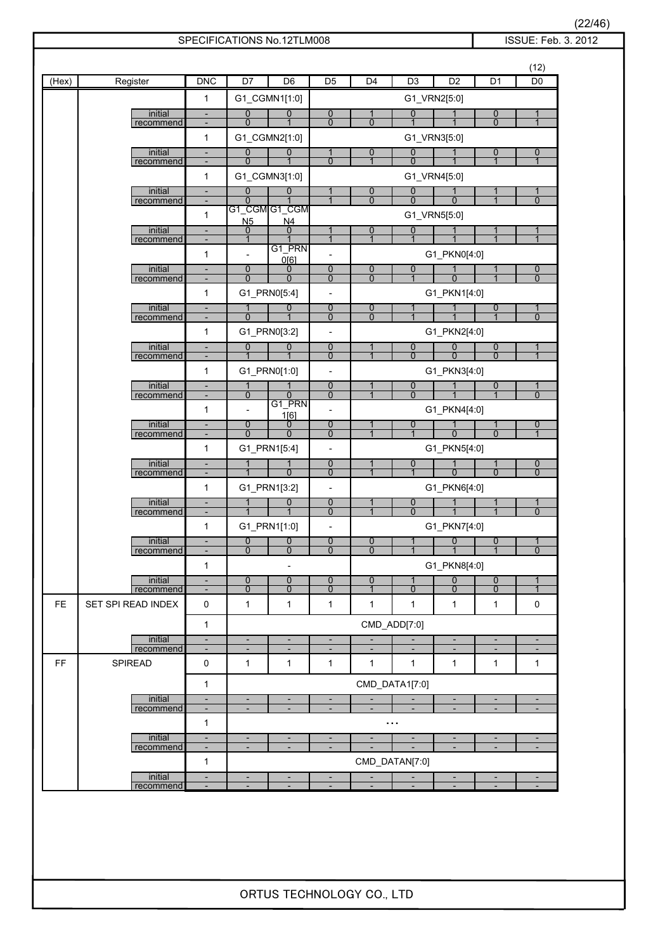|       |                      |                                                      |                                          | SPECIFICATIONS No.12TLM008                           |                                            |                                                      |                                            |                                                      |                                          | ISSUE: Feb. 3. 2012                                  |
|-------|----------------------|------------------------------------------------------|------------------------------------------|------------------------------------------------------|--------------------------------------------|------------------------------------------------------|--------------------------------------------|------------------------------------------------------|------------------------------------------|------------------------------------------------------|
|       |                      |                                                      |                                          |                                                      |                                            |                                                      |                                            |                                                      |                                          | (12)                                                 |
| (Hex) | Register             | DNC                                                  | D7                                       | D <sub>6</sub>                                       | D <sub>5</sub>                             | $\overline{D4}$                                      | D <sub>3</sub>                             | D2                                                   | D <sub>1</sub>                           | D <sub>0</sub>                                       |
|       |                      | $\mathbf{1}$                                         |                                          | G1_CGMN1[1:0]                                        |                                            |                                                      |                                            | G1_VRN2[5:0]                                         |                                          |                                                      |
|       | initial<br>recommend | $\overline{\phantom{a}}$<br>$\overline{\phantom{a}}$ | $\overline{0}$<br>$\overline{0}$         | 0<br>1                                               | $\overline{0}$<br>$\overline{0}$           | 1<br>$\mathbf 0$                                     | $\overline{0}$<br>$\overline{1}$           |                                                      | $\overline{0}$<br>$\overline{0}$         | 1<br>$\overline{1}$                                  |
|       |                      | $\mathbf{1}$                                         |                                          | G1_CGMN2[1:0]                                        |                                            |                                                      |                                            | G1_VRN3[5:0]                                         |                                          |                                                      |
|       | initial<br>recommend | $\overline{\phantom{a}}$<br>$\overline{\phantom{a}}$ | $\boldsymbol{0}$<br>$\overline{0}$       | $\mathbf 0$                                          | 1<br>$\overline{0}$                        | 0<br>$\overline{1}$                                  | 0<br>$\overline{0}$                        |                                                      | $\overline{0}$<br>$\mathbf 1$            | 0<br>$\overline{1}$                                  |
|       |                      | $\mathbf{1}$                                         |                                          | G1_CGMN3[1:0]                                        |                                            |                                                      |                                            | G1_VRN4[5:0]                                         |                                          |                                                      |
|       | initial              | $\overline{\phantom{a}}$                             | $\overline{0}$                           | 0                                                    | 1                                          | 0                                                    | $\overline{0}$                             | 1                                                    | 1                                        |                                                      |
|       | recommend            | $\overline{\phantom{a}}$<br>$\mathbf{1}$             | $\overline{0}$                           | G1_CGM G1_CGM                                        | $\mathbf{1}$                               | $\mathbf 0$                                          | $\overline{0}$                             | $\mathbf 0$<br>G1_VRN5[5:0]                          | $\mathbf{1}$                             | $\mathbf{0}$                                         |
|       | initial              | $\overline{\phantom{a}}$                             | N <sub>5</sub><br>$\boldsymbol{0}$       | N <sub>4</sub><br>$\mathbf 0$                        |                                            | 0                                                    | $\mathbf 0$                                |                                                      |                                          |                                                      |
|       | recommend            | $\overline{\phantom{a}}$<br>1                        | $\mathbf{1}$<br>$\overline{\phantom{0}}$ | G1_PRN                                               | $\mathbf{1}$                               | 1                                                    | $\mathbf 1$                                | G1_PKN0[4:0]                                         | $\mathbf{1}$                             | $\mathbf{1}$                                         |
|       | initial              | $\overline{\phantom{a}}$                             | $\overline{0}$                           | 0[6]<br>0                                            | $\overline{0}$                             | $\bf{0}$                                             | 0                                          |                                                      | 1                                        | $\overline{0}$                                       |
|       | recommend            | $\overline{\phantom{a}}$                             | $\mathbf 0$                              | $\mathbf 0$                                          | 0                                          | $\mathbf 0$                                          | $\overline{1}$                             | $\mathbf 0$                                          | $\mathbf{1}$                             | 0                                                    |
|       | initial              | 1<br>$\overline{\phantom{a}}$                        | $\mathbf 1$                              | G1_PRN0[5:4]<br>0                                    | $\overline{\phantom{0}}$<br>$\overline{0}$ | $\boldsymbol{0}$                                     | 1                                          | G1_PKN1[4:0]                                         | $\overline{0}$                           | 1                                                    |
|       | recommend            | $\overline{\phantom{a}}$                             | $\mathbf 0$                              |                                                      | $\mathbf{0}$                               | $\mathbf 0$                                          | $\overline{1}$                             |                                                      | $\mathbf 1$                              | $\Omega$                                             |
|       | initial              | 1<br>$\overline{\phantom{a}}$                        | $\overline{0}$                           | G1_PRN0[3:2]<br>0                                    | $\overline{\phantom{0}}$<br>$\overline{0}$ |                                                      | 0                                          | G1_PKN2[4:0]<br>$\mathbf 0$                          | $\overline{0}$                           |                                                      |
|       | recommend            | $\overline{\phantom{a}}$                             |                                          |                                                      | $\overline{0}$                             |                                                      | $\mathbf{0}$                               | $\Omega$                                             | $\mathbf{0}$                             |                                                      |
|       |                      | 1                                                    |                                          | G1_PRN0[1:0]                                         | $\overline{\phantom{a}}$                   |                                                      |                                            | G1_PKN3[4:0]                                         |                                          |                                                      |
|       | initial<br>recommend | $\overline{\phantom{a}}$<br>$\overline{\phantom{a}}$ | 1<br>$\overline{0}$                      | $\mathbf 0$                                          | 0<br>0                                     |                                                      | 0<br>$\overline{0}$                        |                                                      | $\overline{0}$<br>$\overline{1}$         | $\mathbf 0$                                          |
|       |                      | $\mathbf{1}$                                         | $\overline{\phantom{0}}$                 | G1_PRN<br>1[6]                                       |                                            |                                                      |                                            | G1_PKN4[4:0]                                         |                                          |                                                      |
|       | initial<br>recommend | $\overline{\phantom{a}}$                             | $\overline{0}$<br>$\mathbf 0$            | 0<br>$\mathbf 0$                                     | $\overline{0}$<br>0                        |                                                      | 0<br>$\mathbf{1}$                          | $\mathbf 0$                                          | 1<br>$\mathbf 0$                         | 0<br>$\overline{1}$                                  |
|       |                      | 1                                                    |                                          | G1_PRN1[5:4]                                         | $\overline{\phantom{a}}$                   |                                                      |                                            | G1_PKN5[4:0]                                         |                                          |                                                      |
|       | initial<br>recommend | $\overline{\phantom{a}}$<br>$\overline{\phantom{a}}$ | $\mathbf{1}$<br>1                        | 1<br>$\mathbf{0}$                                    | $\overline{0}$<br>$\mathbf{0}$             | -1                                                   | 0<br>$\mathbf{1}$                          | $\mathbf 0$                                          | 1<br>$\mathbf{0}$                        | $\mathbf 0$<br>$\Omega$                              |
|       |                      | $\mathbf{1}$                                         |                                          | G1_PRN1[3:2]                                         | $\overline{\phantom{a}}$                   |                                                      |                                            | G1_PKN6[4:0]                                         |                                          |                                                      |
|       | initial<br>recommend | $\overline{\phantom{a}}$<br>$\overline{\phantom{a}}$ |                                          | 0                                                    | $\overline{0}$<br>0                        |                                                      | 0<br>$\mathbf{0}$                          |                                                      | $\overline{1}$                           | $\mathbf 0$                                          |
|       |                      | $\mathbf{1}$                                         |                                          | G1_PRN1[1:0]                                         | $\overline{\phantom{0}}$                   |                                                      |                                            | G1_PKN7[4:0]                                         |                                          |                                                      |
|       | initial<br>recommend | ÷,<br>$\overline{\phantom{a}}$                       | $\mathbf 0$<br>$\mathbf 0$               | $\mathbf 0$<br>$\mathbf 0$                           | $\mathbf 0$<br>$\mathbf 0$                 | $\mathbf 0$<br>$\Omega$                              | 1                                          | $\mathbf 0$<br>$\overline{1}$                        | $\mathbf{0}$<br>$\overline{1}$           | 1<br>$\mathbf 0$                                     |
|       |                      | $\mathbf{1}$                                         |                                          | $\overline{\phantom{a}}$                             |                                            |                                                      |                                            | G1_PKN8[4:0]                                         |                                          |                                                      |
|       | initial<br>recommend | $\overline{\phantom{a}}$<br>$\overline{\phantom{a}}$ | 0<br>$\mathbf 0$                         | 0<br>0                                               | 0<br>0                                     | 0<br>$\overline{1}$                                  | 1<br>$\mathbf 0$                           | $\overline{0}$<br>$\mathbf 0$                        | $\overline{0}$<br>0                      | $\overline{1}$                                       |
| FE.   | SET SPI READ INDEX   | $\pmb{0}$                                            | 1                                        | 1                                                    | 1                                          | 1                                                    | 1                                          | 1                                                    | 1                                        | $\mathbf 0$                                          |
|       |                      | $\mathbf{1}$                                         |                                          |                                                      |                                            |                                                      | CMD_ADD[7:0]                               |                                                      |                                          |                                                      |
|       | initial              | $\overline{\phantom{a}}$                             | $\blacksquare$                           | $\blacksquare$                                       | $\overline{\phantom{a}}$                   | $\overline{\phantom{a}}$                             |                                            | $\overline{\phantom{a}}$                             | $\overline{\phantom{a}}$                 | $\overline{\phantom{a}}$                             |
| FF    | recommend<br>SPIREAD | $\qquad \qquad \blacksquare$<br>0                    | ٠<br>$\mathbf{1}$                        | $\qquad \qquad \blacksquare$<br>$\mathbf{1}$         | $\overline{\phantom{a}}$<br>1              | $\overline{\phantom{a}}$<br>$\mathbf{1}$             | $\overline{\phantom{a}}$<br>$\mathbf{1}$   | $\overline{\phantom{a}}$<br>1                        | $\overline{\phantom{a}}$<br>$\mathbf{1}$ | $\overline{\phantom{a}}$<br>1                        |
|       |                      |                                                      |                                          |                                                      |                                            |                                                      |                                            |                                                      |                                          |                                                      |
|       | initial              | $\mathbf{1}$<br>$\overline{\phantom{a}}$             | ٠                                        | $\overline{\phantom{a}}$                             | ٠                                          | ٠                                                    | CMD_DATA1[7:0]<br>$\overline{\phantom{a}}$ | ٠                                                    | ٠                                        | $\overline{\phantom{a}}$                             |
|       | recommend            | $\overline{\phantom{a}}$                             |                                          |                                                      |                                            |                                                      |                                            |                                                      |                                          | $\overline{\phantom{a}}$                             |
|       | initial              | $\mathbf{1}$<br>$\overline{\phantom{a}}$             | $\overline{\phantom{a}}$                 | $\overline{\phantom{a}}$                             | ÷                                          |                                                      | $\cdots$                                   | $\blacksquare$                                       | $\overline{\phantom{a}}$                 |                                                      |
|       | recommend            | $\overline{\phantom{a}}$                             | $\overline{\phantom{a}}$                 | $\overline{\phantom{a}}$                             | $\overline{\phantom{a}}$                   | $\overline{\phantom{a}}$                             | ÷,                                         | $\overline{\phantom{a}}$                             | $\overline{\phantom{a}}$                 | $\overline{\phantom{a}}$                             |
|       | initial              | $\mathbf{1}$                                         |                                          |                                                      |                                            |                                                      | CMD_DATAN[7:0]                             |                                                      |                                          |                                                      |
|       | recommend            | $\overline{\phantom{a}}$<br>$\overline{\phantom{a}}$ | ٠<br>٠                                   | $\overline{\phantom{a}}$<br>$\overline{\phantom{a}}$ | $\overline{\phantom{a}}$                   | $\overline{\phantom{a}}$<br>$\overline{\phantom{a}}$ |                                            | $\overline{\phantom{a}}$<br>$\overline{\phantom{a}}$ | ٠<br>$\overline{\phantom{a}}$            | $\overline{\phantom{a}}$<br>$\overline{\phantom{a}}$ |

 $\frac{(22/46)}{2012}$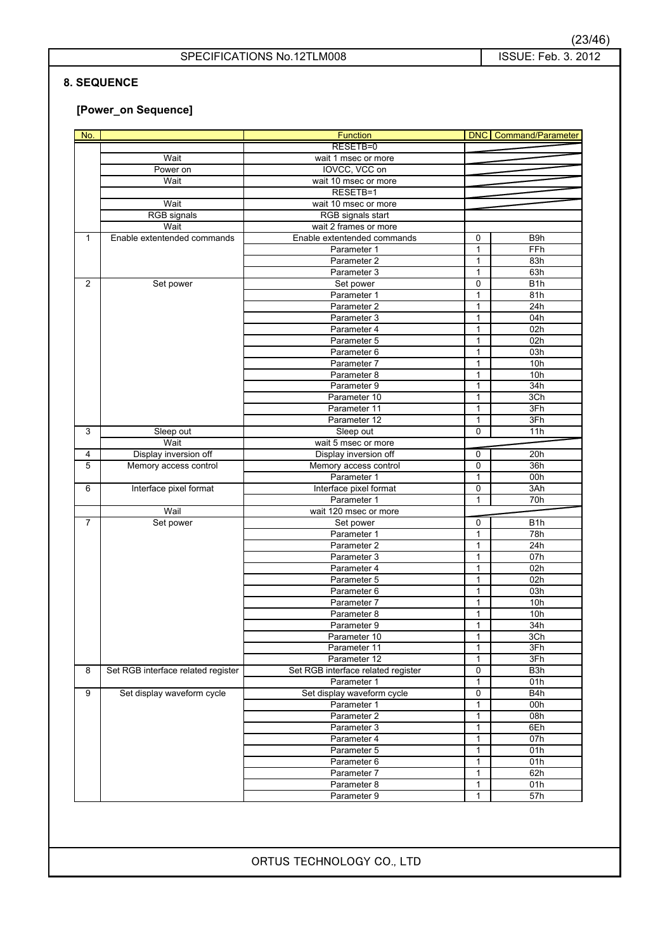### **8. SEQUENCE**

### **[Power\_on Sequence]**

| No.            |                                    | <b>Function</b>                    |              | <b>DNC</b> Command/Parameter |
|----------------|------------------------------------|------------------------------------|--------------|------------------------------|
|                |                                    | RESETB=0                           |              |                              |
|                | Wait                               | wait 1 msec or more                |              |                              |
|                | Power on                           | IOVCC, VCC on                      |              |                              |
|                | Wait                               | wait 10 msec or more               |              |                              |
|                |                                    | RESETB=1                           |              |                              |
|                | Wait                               | wait 10 msec or more               |              |                              |
|                | <b>RGB</b> signals                 | RGB signals start                  |              |                              |
|                | Wait                               | wait 2 frames or more              |              |                              |
| $\mathbf{1}$   | Enable extentended commands        | Enable extentended commands        | 0            | B9h                          |
|                |                                    | Parameter 1                        | 1            | FFh                          |
|                |                                    | Parameter 2                        | 1            | 83h                          |
|                |                                    | Parameter 3                        | $\mathbf{1}$ | 63h                          |
| $\overline{2}$ | Set power                          | Set power                          | 0            | B <sub>1</sub> h             |
|                |                                    | Parameter 1                        | 1            | 81h                          |
|                |                                    | Parameter 2                        | 1            | 24h                          |
|                |                                    | Parameter 3                        | 1            | 04h                          |
|                |                                    | Parameter 4                        | 1            | 02h                          |
|                |                                    | Parameter 5                        | 1            | 02h                          |
|                |                                    | Parameter 6                        | 1            | 03h                          |
|                |                                    | Parameter 7                        | 1            | 10 <sub>h</sub>              |
|                |                                    | Parameter 8                        | 1            | 10h                          |
|                |                                    | Parameter 9                        | 1            | 34h                          |
|                |                                    | Parameter 10                       | 1            | 3Ch                          |
|                |                                    | Parameter 11                       | 1            | 3Fh                          |
|                |                                    | Parameter 12                       | 1            | 3Fh                          |
| 3              | Sleep out                          | Sleep out                          | 0            | 11h                          |
|                | Wait                               | wait 5 msec or more                |              |                              |
| $\overline{a}$ | Display inversion off              | Display inversion off              | 0            | 20h                          |
| $\sqrt{5}$     | Memory access control              | Memory access control              | 0            | 36h                          |
|                |                                    | Parameter 1                        | 1            | 00h                          |
| 6              | Interface pixel format             | Interface pixel format             | 0            | 3Ah                          |
|                |                                    | Parameter 1                        | 1            | 70h                          |
|                | Wail                               | wait 120 msec or more              |              |                              |
| $\overline{7}$ | Set power                          | Set power                          | 0            | B <sub>1</sub> h             |
|                |                                    | Parameter 1                        | 1            | 78h                          |
|                |                                    | Parameter 2                        | 1            | 24h                          |
|                |                                    | Parameter 3                        | $\mathbf{1}$ | 07h                          |
|                |                                    | Parameter 4                        | $\mathbf{1}$ | 02h                          |
|                |                                    | Parameter 5                        | 1            | 02h                          |
|                |                                    | Parameter 6                        | 1            | 03h                          |
|                |                                    | Parameter 7                        | 1            | 10h                          |
|                |                                    | Parameter 8                        | 1            | 10h                          |
|                |                                    | Parameter 9                        | 1            | 34h                          |
|                |                                    | Parameter 10                       | 1            | 3Ch                          |
|                |                                    | Parameter 11                       | 1            | 3Fh                          |
|                |                                    | Parameter 12                       | 1            | 3Fh                          |
| 8              | Set RGB interface related register | Set RGB interface related register | 0            | B3h                          |
|                |                                    | Parameter 1                        | 1            | 01h                          |
| 9              | Set display waveform cycle         |                                    | 0            | $\overline{BA}$              |
|                |                                    | Set display waveform cycle         |              | 00h                          |
|                |                                    | Parameter 1                        | 1            |                              |
|                |                                    | Parameter 2                        | 1            | 08h                          |
|                |                                    | Parameter 3                        | 1            | 6Eh                          |
|                |                                    | Parameter 4                        | 1            | 07h                          |
|                |                                    | Parameter 5                        | 1            | 01h                          |
|                |                                    | Parameter 6                        | 1            | 01h                          |
|                |                                    |                                    |              |                              |
|                |                                    | Parameter 7                        | 1            | 62h                          |
|                |                                    | Parameter 8<br>Parameter 9         | 1<br>1       | 01h<br>57h                   |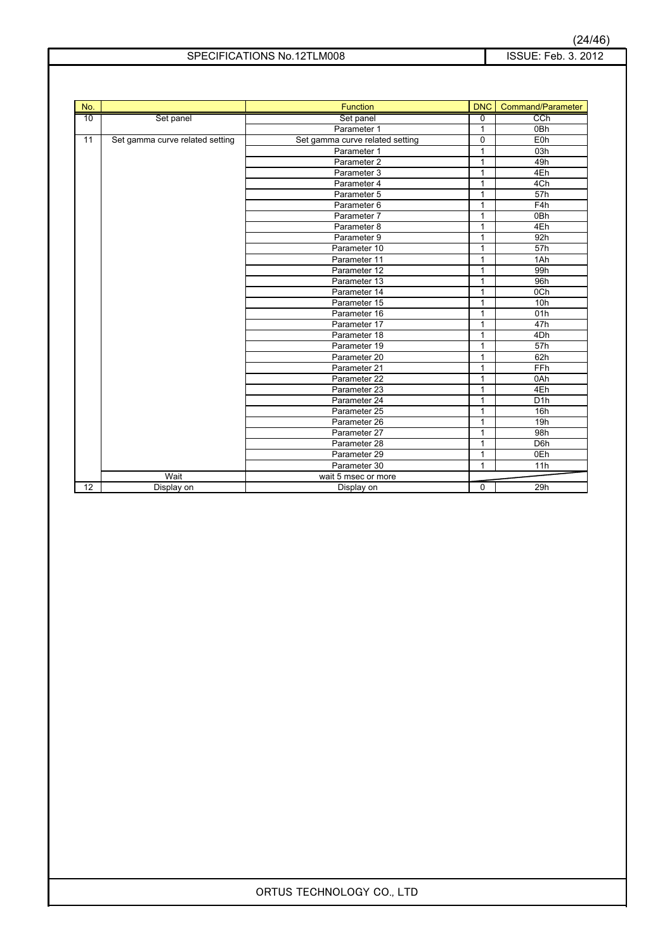|     |  | (24/46)           |  |
|-----|--|-------------------|--|
| SL. |  | JF: Feb. 3, 2012. |  |

| No. |                                 | <b>Function</b>                 | <b>DNC</b>     | Command/Parameter |
|-----|---------------------------------|---------------------------------|----------------|-------------------|
| 10  | Set panel                       | Set panel                       | $\overline{0}$ | <b>CCh</b>        |
|     |                                 | Parameter 1                     | $\overline{1}$ | 0Bh               |
| 11  | Set gamma curve related setting | Set gamma curve related setting | $\Omega$       | E0h               |
|     |                                 | Parameter 1                     | $\mathbf{1}$   | 03h               |
|     |                                 | Parameter 2                     | 1              | 49h               |
|     |                                 | Parameter 3                     | 1              | 4Eh               |
|     |                                 | Parameter 4                     | 1              | 4Ch               |
|     |                                 | Parameter 5                     | 1              | 57h               |
|     |                                 | Parameter 6                     | 1              | F <sub>4</sub> h  |
|     |                                 | Parameter 7                     | $\mathbf{1}$   | 0Bh               |
|     |                                 | Parameter 8                     | 1              | 4Eh               |
|     |                                 | Parameter 9                     | 1              | 92h               |
|     |                                 | Parameter 10                    | 1              | 57h               |
|     |                                 | Parameter 11                    | 1              | 1Ah               |
|     |                                 | Parameter 12                    | 1              | 99h               |
|     |                                 | Parameter 13                    | $\mathbf{1}$   | 96h               |
|     |                                 | Parameter 14                    | $\mathbf{1}$   | 0Ch               |
|     |                                 | Parameter 15                    | $\mathbf{1}$   | 10 <sub>h</sub>   |
|     |                                 | Parameter 16                    | $\mathbf{1}$   | 01h               |
|     |                                 | Parameter 17                    | $\mathbf{1}$   | 47h               |
|     |                                 | Parameter 18                    | 1              | 4Dh               |
|     |                                 | Parameter 19                    | $\mathbf{1}$   | 57h               |
|     |                                 | Parameter 20                    | $\mathbf{1}$   | 62h               |
|     |                                 | Parameter 21                    | 1              | FFh               |
|     |                                 | Parameter 22                    | $\mathbf{1}$   | 0Ah               |
|     |                                 | Parameter 23                    | $\mathbf{1}$   | 4Eh               |
|     |                                 | Parameter 24                    | $\mathbf{1}$   | D1h               |
|     |                                 | Parameter 25                    | $\mathbf{1}$   | 16h               |
|     |                                 | Parameter 26                    | $\mathbf{1}$   | 19h               |
|     |                                 | Parameter 27                    | 1              | 98h               |
|     |                                 | Parameter 28                    | $\mathbf{1}$   | D <sub>6</sub> h  |
|     |                                 | Parameter 29                    | $\mathbf{1}$   | 0Eh               |
|     |                                 | Parameter 30                    | 1              | 11h               |
|     | Wait                            | wait 5 msec or more             |                |                   |
| 12  | Display on                      | Display on                      | 0              | 29h               |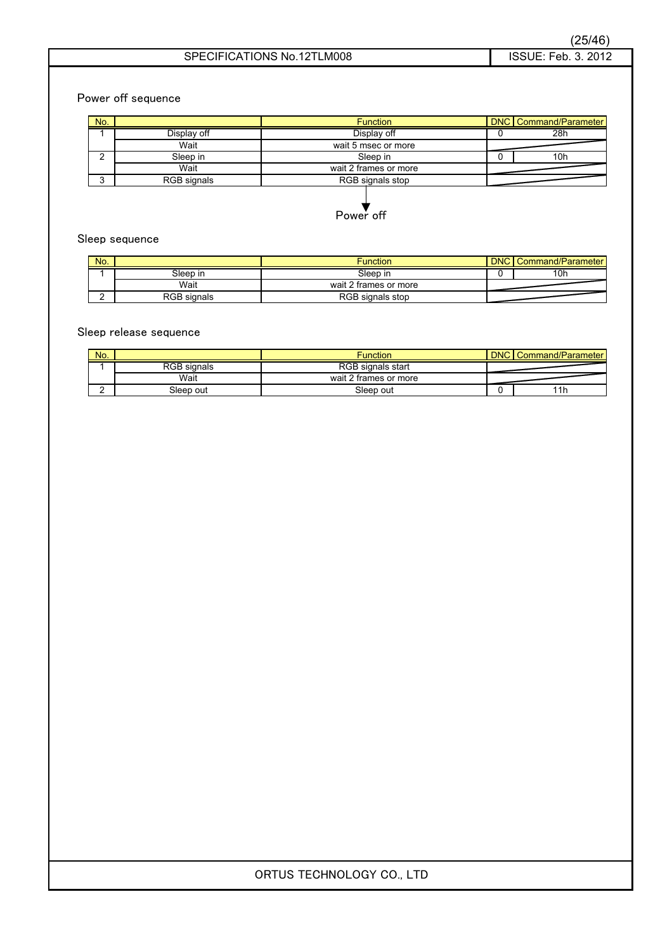Power off sequence

| No. |             | <b>Function</b>       |  | <b>DNC</b> Command/Parameter |
|-----|-------------|-----------------------|--|------------------------------|
|     | Display off | Display off           |  | 28h                          |
|     | Wait        | wait 5 msec or more   |  |                              |
|     | Sleep in    | Sleep in              |  | 10 <sub>h</sub>              |
|     | Wait        | wait 2 frames or more |  |                              |
| ົ   | RGB signals | RGB signals stop      |  |                              |

Power off

### Sleep sequence

| No. |             | Function              | <b>DNC</b> | Command/Parameter |
|-----|-------------|-----------------------|------------|-------------------|
|     | Sleep in    | Sleep in              |            | 10h               |
|     | Wait        | wait 2 frames or more |            |                   |
|     | RGB signals | RGB signals stop      |            |                   |

### Sleep release sequence

| No. |                    | Function                 | <b>DNC</b> | Command/Parameter |
|-----|--------------------|--------------------------|------------|-------------------|
|     | <b>RGB</b> signals | <b>RGB</b> signals start |            |                   |
|     | Wait               | wait 2 frames or more    |            |                   |
|     | Sleep out          | Sleep out                |            | 11h               |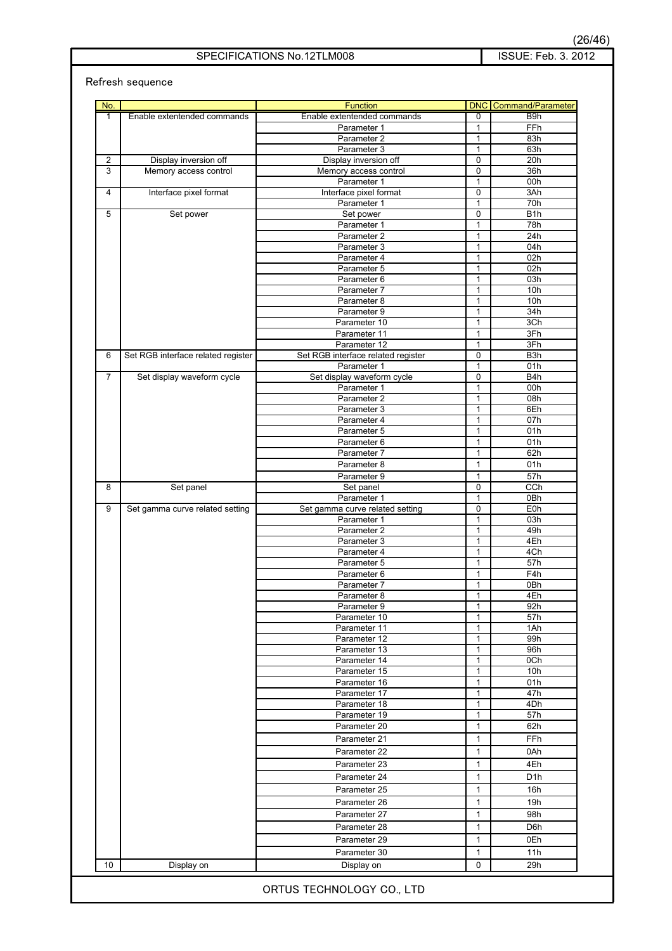Refresh sequence

| No.            | Enable extentended commands        | <b>Function</b><br>Enable extentended commands     | $\overline{0}$                 | <b>DNC</b> Command/Parameter<br>B <sub>9</sub> h |
|----------------|------------------------------------|----------------------------------------------------|--------------------------------|--------------------------------------------------|
| 1              |                                    |                                                    |                                |                                                  |
|                |                                    | Parameter 1<br>Parameter 2                         | $\mathbf{1}$<br>$\mathbf{1}$   | FFh<br>83h                                       |
|                |                                    | Parameter 3                                        | $\mathbf{1}$                   | 63h                                              |
| $\overline{2}$ | Display inversion off              | Display inversion off                              | 0                              | 20h                                              |
| 3              | Memory access control              | Memory access control                              | $\mathbf 0$                    | 36h                                              |
|                |                                    | Parameter 1                                        | $\mathbf{1}$                   | 00h                                              |
| 4              | Interface pixel format             | Interface pixel format                             | $\mathbf 0$                    | 3Ah                                              |
|                |                                    | Parameter 1                                        | $\mathbf{1}$                   | 70h                                              |
| 5              | Set power                          | Set power                                          | 0                              | B <sub>1</sub> h                                 |
|                |                                    | Parameter 1                                        | $\mathbf{1}$                   | 78h                                              |
|                |                                    | Parameter 2                                        | $\mathbf{1}$                   | 24h                                              |
|                |                                    | Parameter 3                                        | $\mathbf{1}$                   | 04h                                              |
|                |                                    | Parameter 4                                        | $\mathbf{1}$                   | 02h                                              |
|                |                                    | Parameter 5                                        | 1                              | 02h                                              |
|                |                                    | Parameter 6                                        | $\mathbf{1}$                   | 03h                                              |
|                |                                    | Parameter 7                                        | $\mathbf{1}$                   | 10h                                              |
|                |                                    | Parameter 8                                        | $\mathbf{1}$                   | 10h                                              |
|                |                                    | Parameter 9                                        | $\mathbf{1}$                   | 34h                                              |
|                |                                    | Parameter 10                                       | $\mathbf{1}$                   | 3Ch                                              |
|                |                                    | Parameter 11                                       | $\mathbf{1}$                   | 3Fh                                              |
| 6              | Set RGB interface related register | Parameter 12<br>Set RGB interface related register | $\mathbf{1}$<br>$\overline{0}$ | 3Fh<br>B <sub>3</sub> h                          |
|                |                                    | Parameter 1                                        | $\mathbf{1}$                   | 01h                                              |
| $\overline{7}$ | Set display waveform cycle         | Set display waveform cycle                         | $\pmb{0}$                      | B4h                                              |
|                |                                    | Parameter 1                                        | $\mathbf{1}$                   | 00h                                              |
|                |                                    | Parameter 2                                        | $\mathbf{1}$                   | 08h                                              |
|                |                                    | Parameter 3                                        | $\mathbf{1}$                   | 6Eh                                              |
|                |                                    | Parameter 4                                        | $\mathbf{1}$                   | 07h                                              |
|                |                                    | Parameter 5                                        | $\mathbf{1}$                   | 01h                                              |
|                |                                    | Parameter 6                                        | $\mathbf{1}$                   | 01h                                              |
|                |                                    | Parameter 7                                        | $\mathbf{1}$                   | 62h                                              |
|                |                                    | Parameter 8                                        | $\mathbf{1}$                   | 01h                                              |
|                |                                    | Parameter 9                                        | 1                              | 57h                                              |
| 8              | Set panel                          | Set panel                                          | 0                              | CCh                                              |
|                |                                    | Parameter 1                                        | $\mathbf{1}$                   | 0Bh                                              |
| 9              | Set gamma curve related setting    | Set gamma curve related setting                    | 0                              | E <sub>0</sub> h                                 |
|                |                                    | Parameter 1                                        | $\mathbf{1}$                   | 03h                                              |
|                |                                    | Parameter 2                                        | 1                              | 49h                                              |
|                |                                    | Parameter 3                                        | 1                              | 4Eh                                              |
|                |                                    | Parameter 4                                        | $\mathbf{1}$                   | 4Ch                                              |
|                |                                    | Parameter 5<br>Parameter 6                         | $\mathbf{1}$                   | 57h                                              |
|                |                                    | Parameter 7                                        | $\mathbf{1}$<br>$\mathbf{1}$   | F4h<br>0Bh                                       |
|                |                                    | Parameter 8                                        | $\mathbf{1}$                   | 4Eh                                              |
|                |                                    | Parameter 9                                        | 1                              | 92h                                              |
|                |                                    | Parameter 10                                       | 1                              | 57h                                              |
|                |                                    | Parameter 11                                       | 1                              | 1Ah                                              |
|                |                                    | Parameter 12                                       | 1                              | 99h                                              |
|                |                                    | Parameter 13                                       | 1                              | 96h                                              |
|                |                                    | Parameter 14                                       | 1                              | 0Ch                                              |
|                |                                    | Parameter 15                                       | 1                              | 10 <sub>h</sub>                                  |
|                |                                    | Parameter 16                                       | 1                              | 01h                                              |
|                |                                    | Parameter 17                                       | 1                              | 47h                                              |
|                |                                    | Parameter 18                                       | 1                              | 4Dh                                              |
|                |                                    | Parameter 19                                       | 1                              | 57h                                              |
|                |                                    | Parameter 20                                       | $\mathbf{1}$                   | 62h                                              |
|                |                                    | Parameter 21                                       | 1                              | FFh                                              |
|                |                                    | Parameter 22                                       | 1                              | 0Ah                                              |
|                |                                    | Parameter 23                                       | 1                              | 4Eh                                              |
|                |                                    | Parameter 24                                       | 1                              | D <sub>1</sub> h                                 |
|                |                                    |                                                    |                                |                                                  |
|                |                                    | Parameter 25                                       | 1                              | 16h                                              |
|                |                                    | Parameter 26                                       | $\mathbf{1}$                   | 19h                                              |
|                |                                    | Parameter 27                                       | 1                              | 98h                                              |
|                |                                    | Parameter 28                                       | 1                              | D6h                                              |
|                |                                    | Parameter 29                                       | 1                              | 0Eh                                              |
|                |                                    | Parameter 30                                       | 1                              | 11h                                              |
| 10             | Display on                         | Display on                                         | 0                              | 29h                                              |
|                |                                    |                                                    |                                |                                                  |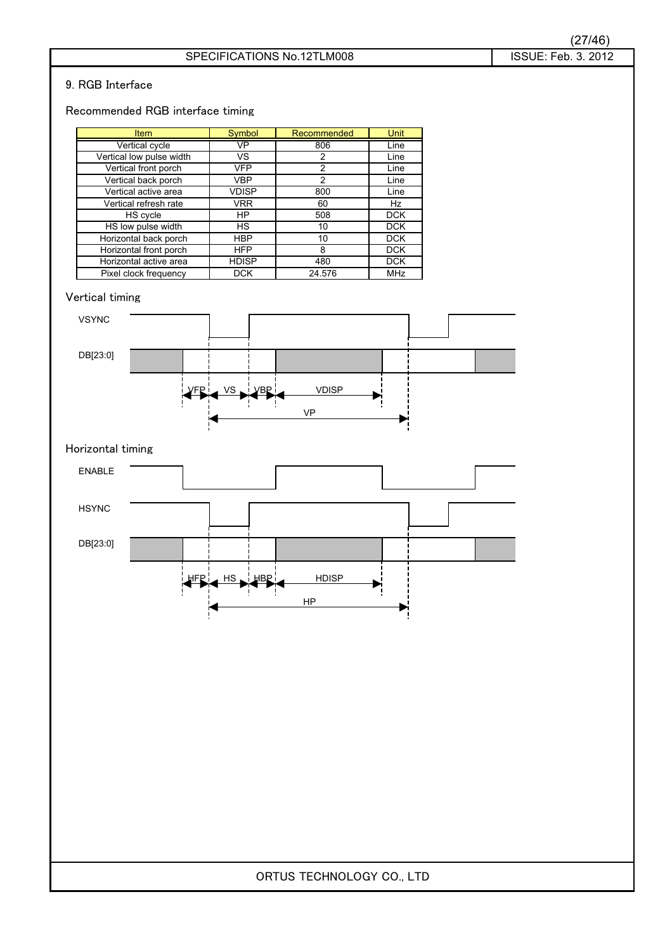### 9. RGB Interface

### Recommended RGB interface timing

| <b>Item</b>              | Symbol       | Recommended | Unit       |
|--------------------------|--------------|-------------|------------|
| Vertical cycle           | VP           | 806         | Line       |
| Vertical low pulse width | VS.          | 2           | Line       |
| Vertical front porch     | <b>VFP</b>   | 2           | Line       |
| Vertical back porch      | <b>VBP</b>   | 2           | Line       |
| Vertical active area     | <b>VDISP</b> | 800         | Line       |
| Vertical refresh rate    | <b>VRR</b>   | 60          | Hz         |
| HS cycle                 | HP           | 508         | <b>DCK</b> |
| HS low pulse width       | <b>HS</b>    | 10          | <b>DCK</b> |
| Horizontal back porch    | <b>HBP</b>   | 10          | <b>DCK</b> |
| Horizontal front porch   | <b>HFP</b>   | 8           | <b>DCK</b> |
| Horizontal active area   | <b>HDISP</b> | 480         | <b>DCK</b> |
| Pixel clock frequency    | <b>DCK</b>   | 24.576      | MHz        |

### Vertical timing



### Horizontal timing

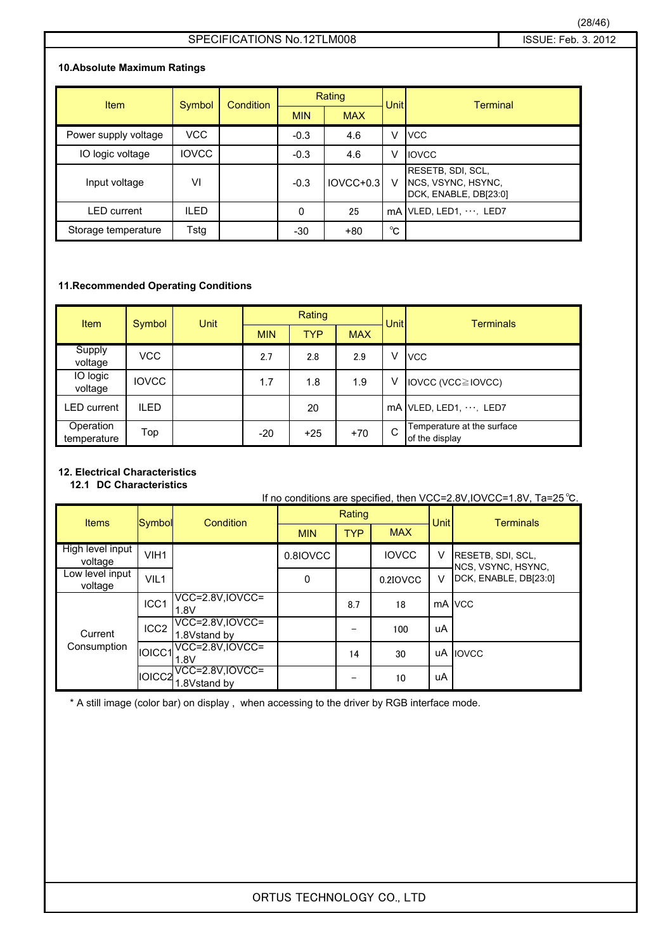### **10.Absolute Maximum Ratings**

| Item                 | Symbol       | <b>Condition</b> | Rating       |             | Unitl        | <b>Terminal</b>                                                  |  |
|----------------------|--------------|------------------|--------------|-------------|--------------|------------------------------------------------------------------|--|
|                      |              |                  | <b>MIN</b>   | <b>MAX</b>  |              |                                                                  |  |
| Power supply voltage | <b>VCC</b>   |                  | $-0.3$       | 4.6         | V            | <b>VCC</b>                                                       |  |
| IO logic voltage     | <b>IOVCC</b> |                  | $-0.3$       | 4.6         | V            | <b>IOVCC</b>                                                     |  |
| Input voltage        | VI           |                  | $-0.3$       | $IOVCC+0.3$ | V            | RESETB, SDI, SCL,<br>NCS, VSYNC, HSYNC,<br>DCK, ENABLE, DB[23:0] |  |
| <b>LED</b> current   | <b>ILED</b>  |                  | $\mathbf{0}$ | 25          |              | $mA$ VLED, LED1, $\cdots$ , LED7                                 |  |
| Storage temperature  | Tstg         |                  | $-30$        | $+80$       | $^{\circ}$ C |                                                                  |  |

### **11.Recommended Operating Conditions**

| <b>Item</b>              | Symbol       | Unit | Rating     |            |            | Unit | <b>Terminals</b>                             |
|--------------------------|--------------|------|------------|------------|------------|------|----------------------------------------------|
|                          |              |      | <b>MIN</b> | <b>TYP</b> | <b>MAX</b> |      |                                              |
| Supply<br>voltage        | VCC          |      | 2.7        | 2.8        | 2.9        | V    | <b>VCC</b>                                   |
| IO logic<br>voltage      | <b>IOVCC</b> |      | 1.7        | 1.8        | 1.9        | ٧    | IOVCC (VCC≧IOVCC)                            |
| ∟ED current              | <b>ILED</b>  |      |            | 20         |            |      | $mA$ VLED, LED1, $\cdots$ , LED7             |
| Operation<br>temperature | Top          |      | $-20$      | $+25$      | $+70$      | C    | Temperature at the surface<br>of the display |

### **12. Electrical Characteristics**

**12.1**䇭**DC Characteristics**

If no conditions are specified, then VCC=2.8V, IOVCC=1.8V, Ta=25 °C. Rating MIN TYP 0.8IOVCC 8.7 | 18 | mA VCC  $-$  | 100 14 30 | UA | IOVCC  $-$  10 Items Symbol Condition <del>| Internal Terminals</del> Unit Terminals MAX High level input voltage VIH1 | 0.8IOVCC | IOVCC V RESETB, SDI, SCL, V RESETB, SDI, SCL, NCS, VSYNC, HSYNC, Low level input<br>voltage VIL1 0 0.2IOVCC V DCK, ENABLE, DB[23:0] voltage VIL1 0 0 0.2IOVCC V **Current** Consumption ICC1 VCC=2.8V,IOVCC=  $1.8V$  18 mA ICC2 VCC=2.8V,IOVCC=  $1.8V$ stand by  $1.8V$ stand by  $1.8V$ IOICC1 VCC=2.8V,IOVCC=  $1.8V$  14 30 uA IOICC2 VCC=2.8V,IOVCC= 1.8Vstand by uA

\* A still image (color bar) on display , when accessing to the driver by RGB interface mode.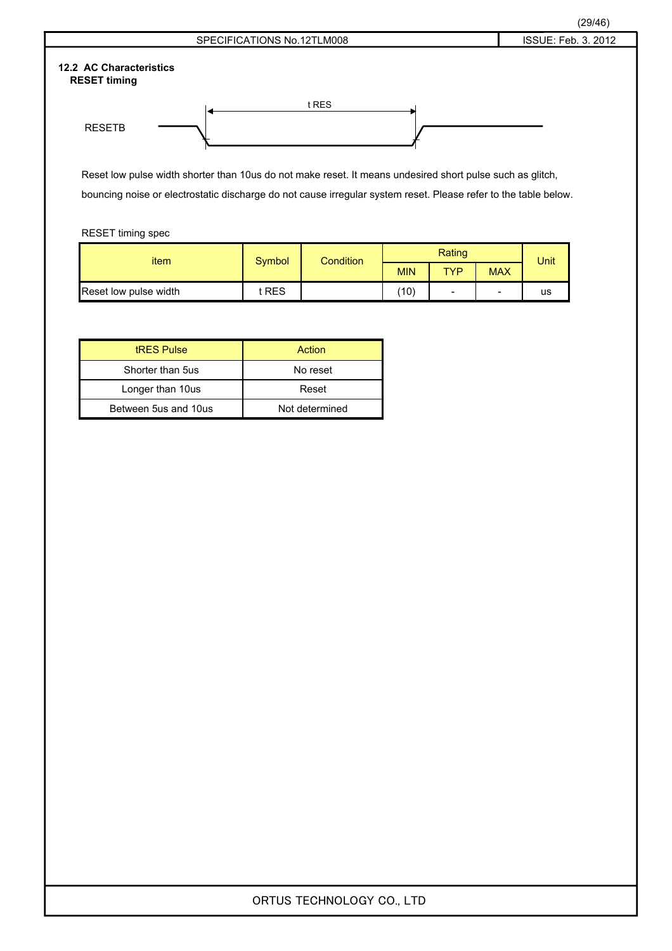

Reset low pulse width shorter than 10us do not make reset. It means undesired short pulse such as glitch, bouncing noise or electrostatic discharge do not cause irregular system reset. Please refer to the table below.

RESET timing spec

| item                  | Symbol | <b>Condition</b> |            | Unit |            |    |
|-----------------------|--------|------------------|------------|------|------------|----|
|                       |        |                  | <b>MIN</b> | TYP  | <b>MAX</b> |    |
| Reset low pulse width | t RES  |                  | (10)       | -    | -          | us |

| <b>tRES Pulse</b>    | Action         |
|----------------------|----------------|
| Shorter than 5us     | No reset       |
| Longer than 10us     | Reset          |
| Between 5us and 10us | Not determined |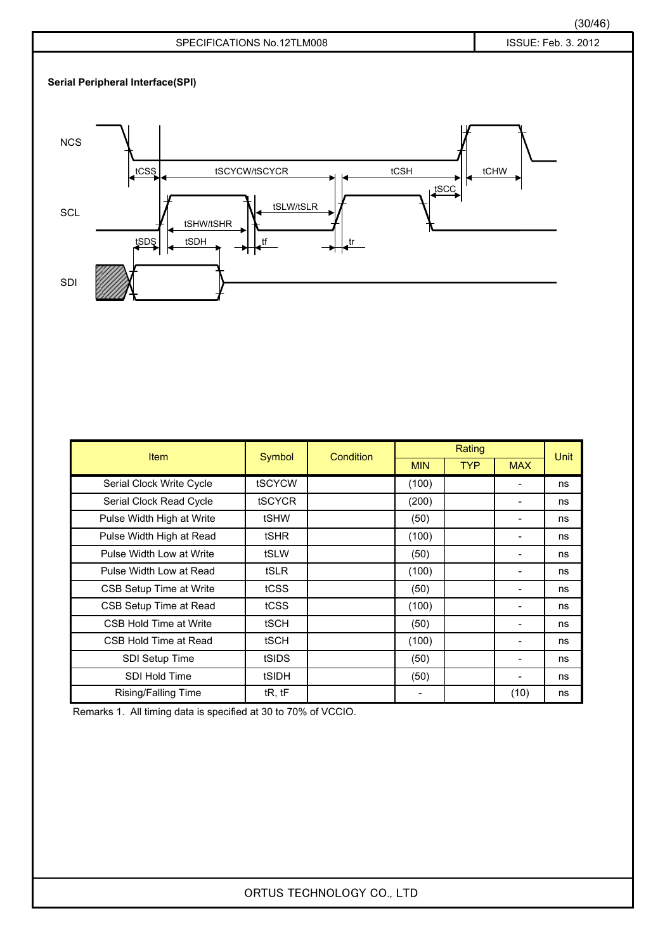

| <b>Item</b>               | Symbol        | Condition |            | Rating     |                          |      |
|---------------------------|---------------|-----------|------------|------------|--------------------------|------|
|                           |               |           | <b>MIN</b> | <b>TYP</b> | <b>MAX</b>               | Unit |
| Serial Clock Write Cycle  | tSCYCW        |           | (100)      |            |                          | ns   |
| Serial Clock Read Cycle   | <b>tSCYCR</b> |           | (200)      |            |                          | ns   |
| Pulse Width High at Write | tSHW          |           | (50)       |            |                          | ns   |
| Pulse Width High at Read  | tSHR          |           | (100)      |            |                          | ns   |
| Pulse Width Low at Write  | tSLW          |           | (50)       |            |                          | ns   |
| Pulse Width Low at Read   | tSLR          |           | (100)      |            |                          | ns   |
| CSB Setup Time at Write   | tCSS          |           | (50)       |            | -                        | ns   |
| CSB Setup Time at Read    | tCSS          |           | (100)      |            |                          | ns   |
| CSB Hold Time at Write    | tSCH          |           | (50)       |            | -                        | ns   |
| CSB Hold Time at Read     | tSCH          |           | (100)      |            |                          | ns   |
| SDI Setup Time            | tSIDS         |           | (50)       |            | $\overline{\phantom{a}}$ | ns   |
| <b>SDI Hold Time</b>      | tSIDH         |           | (50)       |            | -                        | ns   |
| Rising/Falling Time       | tR, tF        |           |            |            | (10)                     | ns   |

Remarks 1. All timing data is specified at 30 to 70% of VCCIO.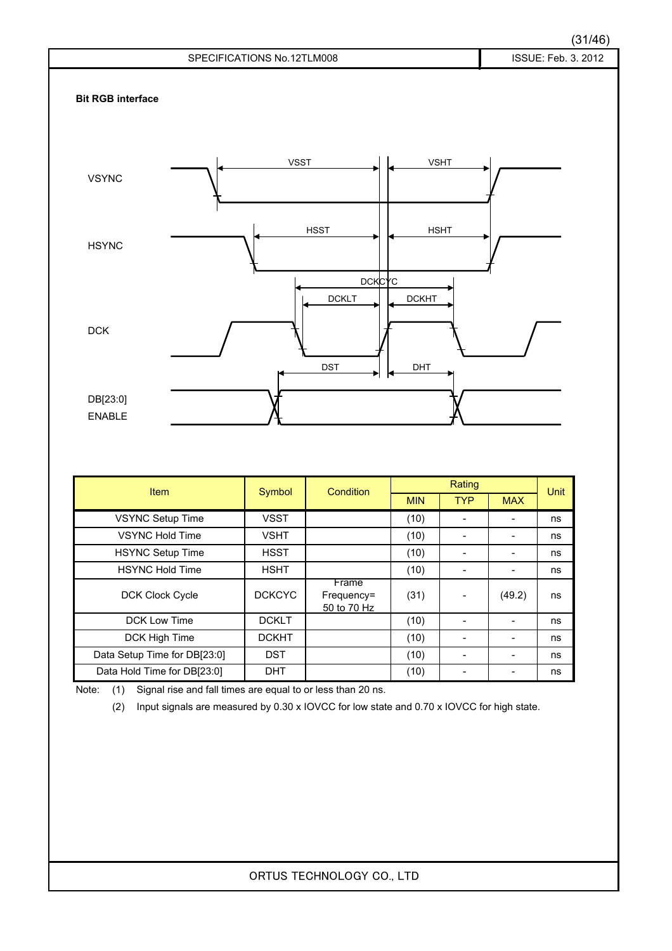### (31/46)



| <b>Item</b>                  | Symbol        | Condition                          | Rating     |            |            | Unit |  |
|------------------------------|---------------|------------------------------------|------------|------------|------------|------|--|
|                              |               |                                    | <b>MIN</b> | <b>TYP</b> | <b>MAX</b> |      |  |
| <b>VSYNC Setup Time</b>      | <b>VSST</b>   |                                    | (10)       |            |            | ns   |  |
| <b>VSYNC Hold Time</b>       | <b>VSHT</b>   |                                    | (10)       |            |            | ns   |  |
| <b>HSYNC Setup Time</b>      | <b>HSST</b>   |                                    | (10)       |            |            | ns   |  |
| <b>HSYNC Hold Time</b>       | <b>HSHT</b>   |                                    | (10)       |            |            | ns   |  |
| <b>DCK Clock Cycle</b>       | <b>DCKCYC</b> | Frame<br>Frequency=<br>50 to 70 Hz | (31)       |            | (49.2)     | ns   |  |
| DCK Low Time                 | <b>DCKLT</b>  |                                    | (10)       |            |            | ns   |  |
| DCK High Time                | <b>DCKHT</b>  |                                    | (10)       |            |            | ns   |  |
| Data Setup Time for DB[23:0] | <b>DST</b>    |                                    | (10)       |            |            | ns   |  |
| Data Hold Time for DB[23:0]  | <b>DHT</b>    |                                    | (10)       |            |            | ns   |  |

Note: (1) Signal rise and fall times are equal to or less than 20 ns.

(2) Input signals are measured by 0.30 x IOVCC for low state and 0.70 x IOVCC for high state.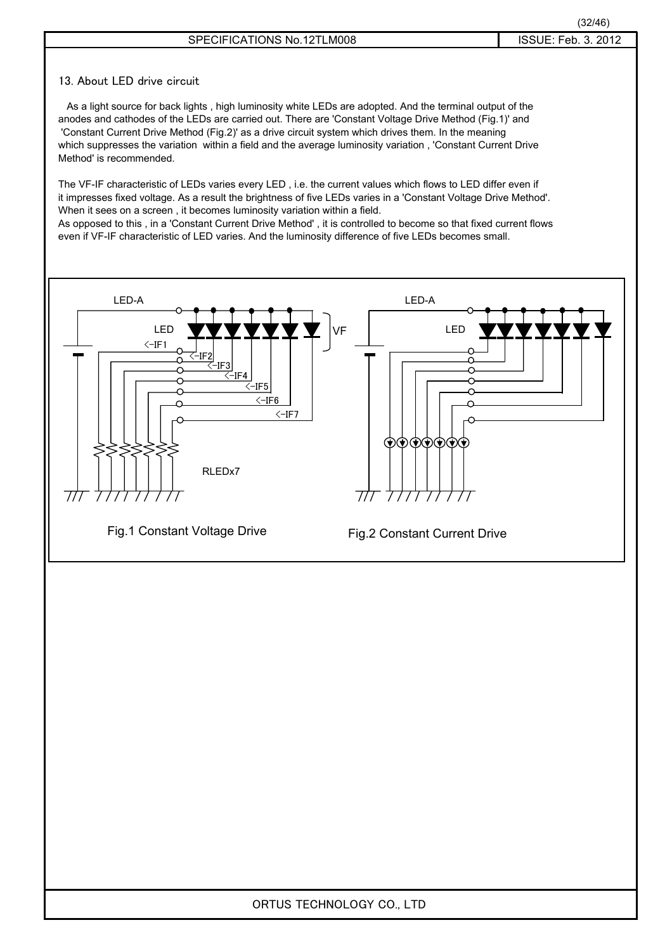### SPECIFICATIONS No.12TLM008 **INCOLLET 15 ISSUE: Feb. 3. 2012**

### 13. About LED drive circuit

 As a light source for back lights , high luminosity white LEDs are adopted. And the terminal output of the anodes and cathodes of the LEDs are carried out. There are 'Constant Voltage Drive Method (Fig.1)' and 'Constant Current Drive Method (Fig.2)' as a drive circuit system which drives them. In the meaning which suppresses the variation within a field and the average luminosity variation , 'Constant Current Drive Method' is recommended.

The VF-IF characteristic of LEDs varies every LED , i.e. the current values which flows to LED differ even if it impresses fixed voltage. As a result the brightness of five LEDs varies in a 'Constant Voltage Drive Method'. When it sees on a screen , it becomes luminosity variation within a field. As opposed to this , in a 'Constant Current Drive Method' , it is controlled to become so that fixed current flows

even if VF-IF characteristic of LED varies. And the luminosity difference of five LEDs becomes small.

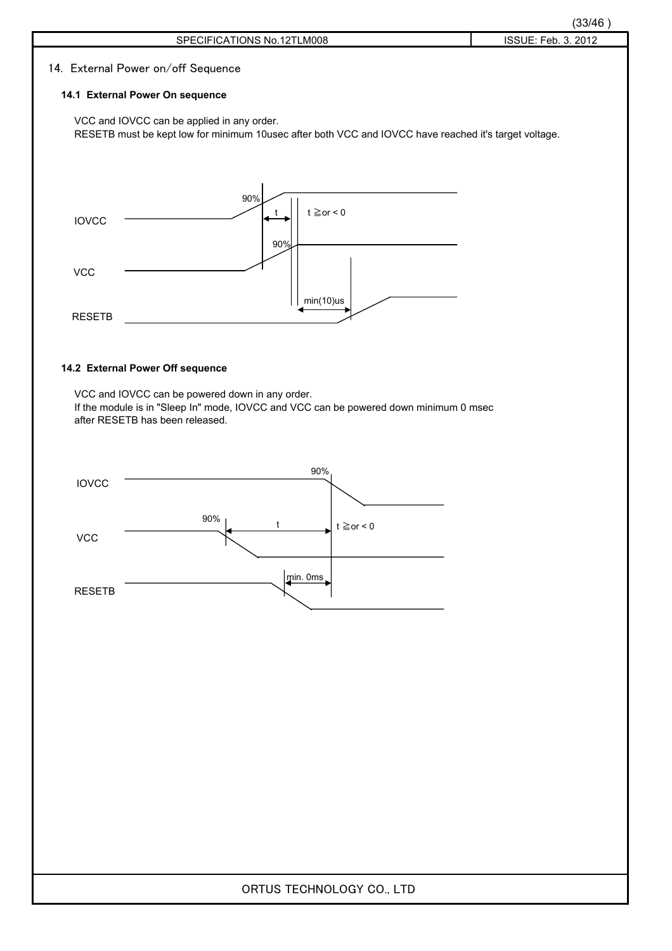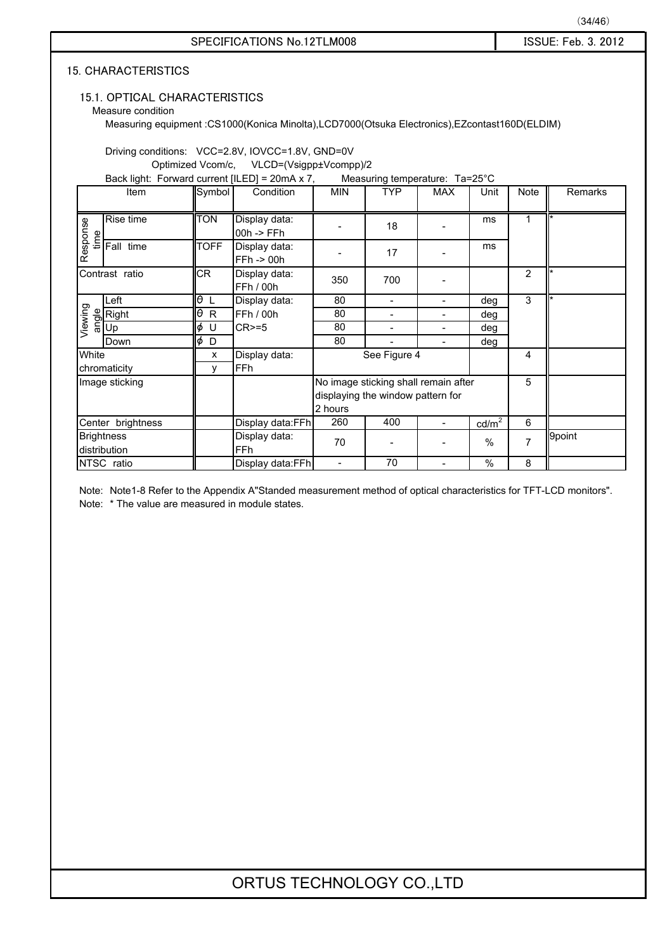### 15.1. OPTICAL CHARACTERISTICS

Measure condition

Measuring equipment :CS1000(Konica Minolta),LCD7000(Otsuka Electronics),EZcontast160D(ELDIM)

Driving conditions: VCC=2.8V, IOVCC=1.8V, GND=0V

䇭䇭䇭䇭䇭䇭䇭Optimized Vcom/c, VLCD=(Vsigpp±Vcompp)/2

Back light: Forward current [ILED] = 20mA x 7, Measuring temperature: Ta=25°C

|          | Item                              | Symbol             | Condition                              | <b>MIN</b> | <b>TYP</b>                        | <b>MAX</b>                           | Unit            | Note           | Remarks |
|----------|-----------------------------------|--------------------|----------------------------------------|------------|-----------------------------------|--------------------------------------|-----------------|----------------|---------|
|          | Rise time                         | TON                | Display data:<br>$00h \rightarrow FFh$ |            | 18                                |                                      | ms              |                |         |
| Response | $\frac{e}{e}$ Fall time           | <b>TOFF</b>        | Display data:<br>$FFh \rightarrow 00h$ |            | 17                                |                                      | ms              |                |         |
|          | Contrast ratio                    | <b>CR</b>          | Display data:<br>FFh / 00h             | 350        | 700                               |                                      |                 | 2              | ×       |
|          | Left                              | lθ                 | Display data:                          | 80         | $\overline{\phantom{a}}$          | $\overline{\phantom{a}}$             | deg             | 3              | ×       |
| Viewing  | $\frac{a}{b}$ Right               | Iθ<br>$\mathsf{R}$ | FFh / 00h                              | 80         |                                   |                                      | deg             |                |         |
|          |                                   | lφ<br>U            | $CR>=5$                                | 80         |                                   |                                      | deg             |                |         |
|          | Down                              | Ιø<br>D            |                                        | 80         |                                   |                                      | deg             |                |         |
| White    |                                   | x                  | Display data:                          |            | See Figure 4                      |                                      |                 | 4              |         |
|          | chromaticity                      | у                  | FFh.                                   |            |                                   |                                      |                 |                |         |
|          | Image sticking                    |                    |                                        |            |                                   | No image sticking shall remain after |                 | 5              |         |
|          |                                   |                    |                                        |            | displaying the window pattern for |                                      |                 |                |         |
|          |                                   |                    |                                        | 2 hours    |                                   |                                      |                 |                |         |
|          | Center brightness                 |                    | Display data:FFh                       | 260        | 400                               | $\blacksquare$                       | $\text{cd/m}^2$ | 6              |         |
|          | <b>Brightness</b><br>distribution |                    | Display data:<br>FFh                   | 70         |                                   |                                      | $\%$            | $\overline{7}$ | 9point  |
|          | NTSC ratio                        |                    | Display data:FFh                       |            | 70                                |                                      | %               | 8              |         |

Note: Note1-8 Refer to the Appendix A"Standed measurement method of optical characteristics for TFT-LCD monitors". Note: \* The value are measured in module states.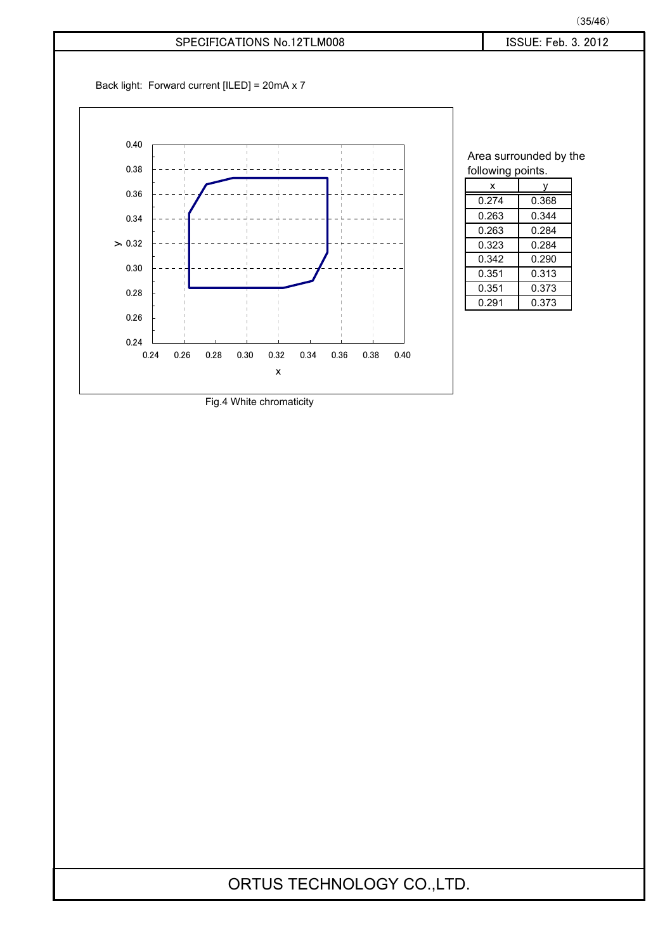### $(35/46)$

### SPECIFICATIONS No.12TLM008 <br>
Fig. 5 and 5 and 5 and 5 and 5 and 5 and 5 and 5 and 5 and 5 and 5 and 5 and 5 and 5 and 5 and 5 and 5 and 5 and 5 and 5 and 5 and 5 and 5 and 5 and 5 and 5 and 5 and 5 and 5 and 5 and 5 and 5

Back light: Forward current [ILED] = 20mA x 7



| Area surrounded by the |       |  |  |  |  |  |
|------------------------|-------|--|--|--|--|--|
| following points.      |       |  |  |  |  |  |
| x                      |       |  |  |  |  |  |
| 0.274                  | 0.368 |  |  |  |  |  |
| 0.263                  | 0.344 |  |  |  |  |  |
| 0.263                  | 0.284 |  |  |  |  |  |
| 0.323                  | 0.284 |  |  |  |  |  |
| 0.342                  | 0.290 |  |  |  |  |  |
| 0.351                  | 0.313 |  |  |  |  |  |
| 0.351                  | 0.373 |  |  |  |  |  |
| 0.291                  | 0.373 |  |  |  |  |  |

Fig.4 White chromaticity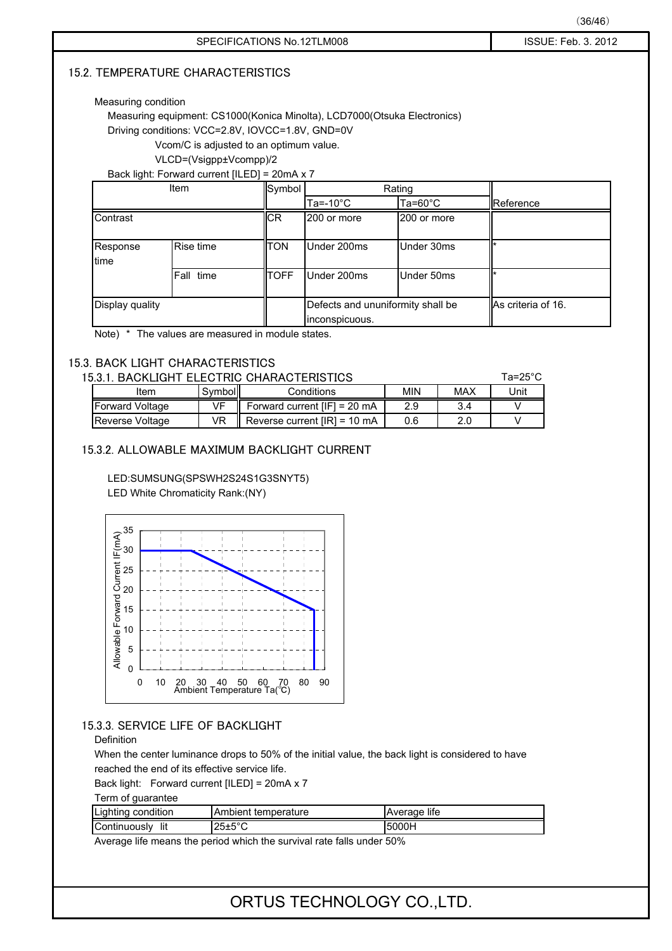### **15.2. TEMPERATURE CHARACTERISTICS**

### Measuring condition

Measuring equipment: CS1000(Konica Minolta), LCD7000(Otsuka Electronics)

Driving conditions: VCC=2.8V, IOVCC=1.8V, GND=0V

Vcom/C is adjusted to an optimum value.

䇭䇭䇭䇭䇭䇭䇭VLCD=(Vsigpp±Vcompp)/2

Back light: Forward current [ILED] = 20mA x 7

|                  | Item      | Symbol      |                                                     | Rating             |                    |
|------------------|-----------|-------------|-----------------------------------------------------|--------------------|--------------------|
|                  |           |             | Ta=-10 $^{\circ}$ C                                 | Ta=60 $^{\circ}$ C | Reference          |
| Contrast         |           | <b>ICR</b>  | 200 or more                                         | 200 or more        |                    |
| Response<br>time | Rise time | <b>ITON</b> | Under 200ms                                         | Under 30ms         |                    |
|                  | Fall time | <b>TOFF</b> | Under 200ms                                         | Under 50ms         |                    |
| Display quality  |           |             | Defects and ununiformity shall be<br>inconspicuous. |                    | As criteria of 16. |

Note) \* The values are measured in module states.

### 15.3. BACK LIGHT CHARACTERISTICS

| 15.3.1.<br>BACKLIGHT ELECTRIC CHARACTERISTICS<br>Ta=25°C |         |                                        |            |     |      |  |  |
|----------------------------------------------------------|---------|----------------------------------------|------------|-----|------|--|--|
| Item                                                     | Symboll | Conditions                             | <b>MIN</b> | MAX | Unit |  |  |
| <b>Forward Voltage</b>                                   | VF      | Forward current $[IF] = 20$ mA         | 2.9        | 3.4 |      |  |  |
| Reverse Voltage                                          | VR      | Reverse current $[IR] = 10 \text{ mA}$ | 0.6        | 2.0 |      |  |  |

### 15.3.2. ALLOWABLE MAXIMUM BACKLIGHT CURRENT

LED:SUMSUNG(SPSWH2S24S1G3SNYT5) LED White Chromaticity Rank:(NY)



### 15.3.3. SERVICE LIFE OF BACKLIGHT

### Definition

When the center luminance drops to 50% of the initial value, the back light is considered to have reached the end of its effective service life.

Back light: Forward current [ILED] = 20mA x 7

Term of guarantee

| Lighting condition  | Ambient temperature   | Average life |
|---------------------|-----------------------|--------------|
| Continuously<br>lit | $125 \pm 5^{\circ}$ C | 5000H        |

Average life means the period which the survival rate falls under 50%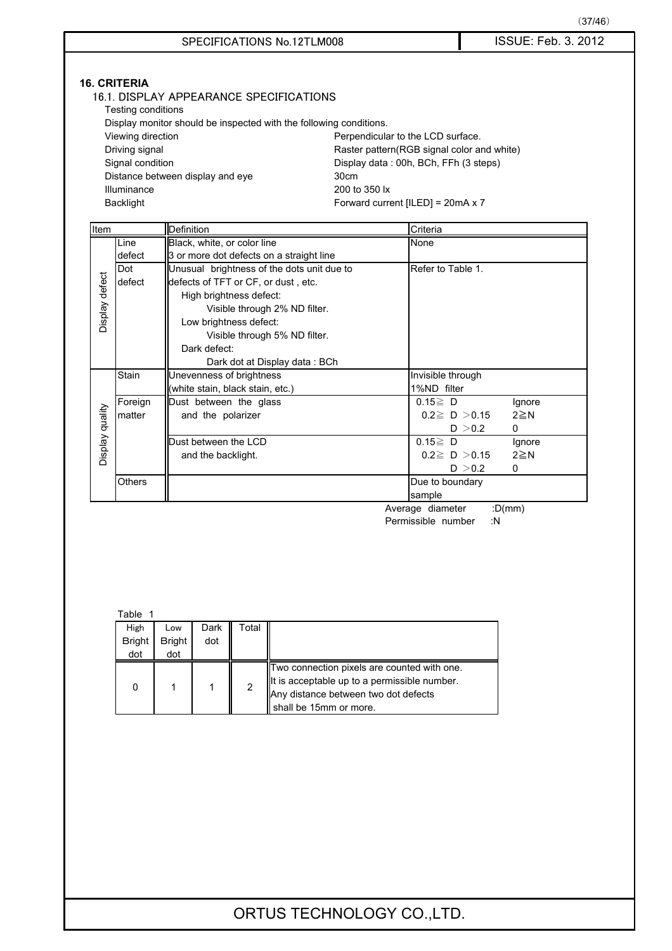$(37/46)$ 

- 16.1. DISPLAY APPEARANCE SPECIFICATIONS
	- Testing conditions

Display monitor should be inspected with the following conditions.

| Viewing direction                | Perpendicular to the LCD surface.           |
|----------------------------------|---------------------------------------------|
| Driving signal                   | Raster pattern (RGB signal color and white) |
| Signal condition                 | Display data: 00h, BCh, FFh (3 steps)       |
| Distance between display and eye | 30cm                                        |
| Illuminance                      | 200 to 350 lx                               |
| Backlight                        | Forward current $[ILED] = 20mA \times 7$    |

| Item            |               | Definition                                 | Criteria                        |
|-----------------|---------------|--------------------------------------------|---------------------------------|
|                 | Line          | Black, white, or color line                | None                            |
|                 | defect        | 3 or more dot defects on a straight line   |                                 |
|                 | Dot           | Unusual brightness of the dots unit due to | Refer to Table 1.               |
|                 | defect        | defects of TFT or CF, or dust, etc.        |                                 |
|                 |               | High brightness defect:                    |                                 |
|                 |               | Visible through 2% ND filter.              |                                 |
| Display defect  |               | Low brightness defect:                     |                                 |
|                 |               | Visible through 5% ND filter.              |                                 |
|                 |               | Dark defect:                               |                                 |
|                 |               | Dark dot at Display data: BCh              |                                 |
|                 | Stain         | Unevenness of brightness                   | Invisible through               |
|                 |               | (white stain, black stain, etc.)           | 1%ND filter                     |
|                 | Foreign       | Dust between the glass                     | $0.15 \ge D$<br>Ignore          |
|                 | matter        | and the polarizer                          | $0.2 \ge D > 0.15$<br>$2 \ge N$ |
|                 |               |                                            | $\Omega$<br>D $>$ 0.2           |
| Display quality |               | Dust between the LCD                       | $0.15 \ge D$<br>Ignore          |
|                 |               | and the backlight.                         | $0.2 \ge D > 0.15$<br>$2 \ge N$ |
|                 |               |                                            | D > 0.2<br>$\mathbf{0}$         |
|                 | <b>Others</b> |                                            | Due to boundary                 |
|                 |               |                                            | sample                          |

Average diameter :D(mm) Permissible number :N

### Table 1

| .             |               |      |       |                                                                                                                                                               |  |  |  |  |
|---------------|---------------|------|-------|---------------------------------------------------------------------------------------------------------------------------------------------------------------|--|--|--|--|
| High          | Low           | Dark | Total |                                                                                                                                                               |  |  |  |  |
| <b>Bright</b> | <b>Bright</b> | dot  |       |                                                                                                                                                               |  |  |  |  |
| dot           | dot           |      |       |                                                                                                                                                               |  |  |  |  |
| 0             |               |      | 2     | Two connection pixels are counted with one.<br>It is acceptable up to a permissible number.<br>Any distance between two dot defects<br>shall be 15mm or more. |  |  |  |  |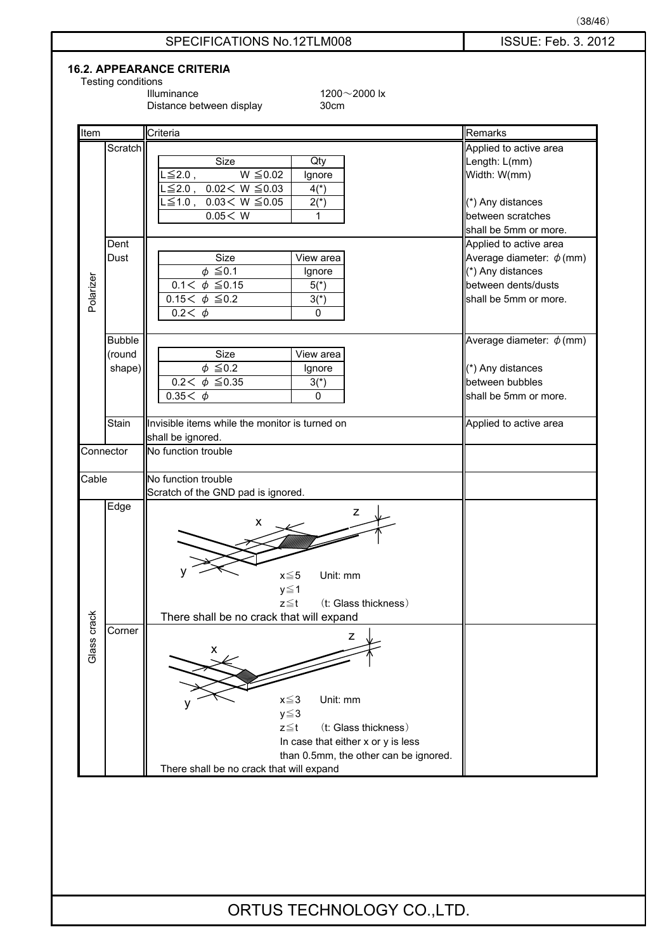

### **16.2. APPEARANCE CRITERIA**

Testing conditions<br>Illuminance

 $1200 \sim 2000$  lx<br>30cm

ORTUS TECHNOLOGY CO.,LTD.

 $(38/46)$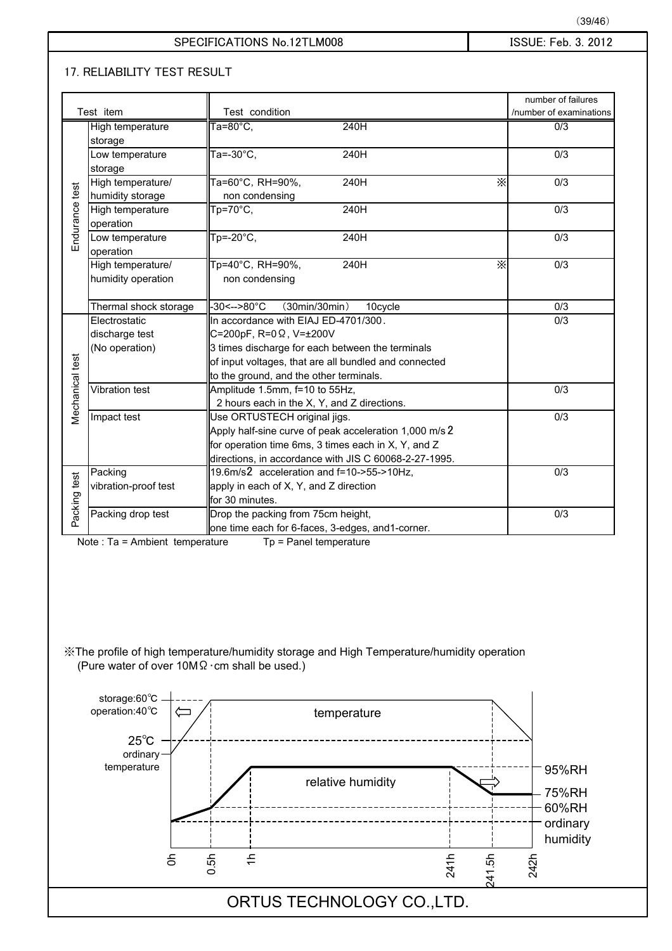### 㪪㪧㪜㪚㪠㪝㪠㪚㪘㪫㪠㪦㪥㪪㩷㪥㫆㪅㪈㪉㪫㪣㪤㪇㪇㪏 㪠㪪㪪㪬㪜㪑㩷㪝㪼㪹㪅㩷㪊㪅㩷㪉㪇㪈㪉

### **17. RELIABILITY TEST RESULT**

|                        |                                                          |                                                                                            | number of failures           |
|------------------------|----------------------------------------------------------|--------------------------------------------------------------------------------------------|------------------------------|
|                        | Test item                                                | Test condition                                                                             | /number of examinations      |
|                        | High temperature                                         | $Ta=80^{\circ}C,$<br>240H                                                                  | 0/3                          |
|                        | storage                                                  |                                                                                            |                              |
|                        | Low temperature                                          | Ta=-30°C,<br>240H                                                                          | 0/3                          |
|                        | storage                                                  |                                                                                            |                              |
|                        | High temperature/                                        | Ta=60°C, RH=90%,<br>240H                                                                   | $\times$<br>0/3              |
| Endurance test         | humidity storage                                         | non condensing<br>Tp=70°C,<br>240H                                                         | 0/3                          |
|                        | High temperature                                         |                                                                                            |                              |
|                        | operation                                                | $Tp = -20^{\circ}C,$                                                                       |                              |
|                        | Low temperature                                          | 240H                                                                                       | 0/3                          |
|                        | operation                                                |                                                                                            |                              |
|                        | High temperature/                                        | Tp=40°C, RH=90%,<br>240H                                                                   | $\times$<br>$\overline{0/3}$ |
|                        | humidity operation                                       | non condensing                                                                             |                              |
|                        |                                                          |                                                                                            |                              |
|                        | Thermal shock storage                                    | -30<-->80°C<br>(30min/30min)<br>10cycle                                                    | 0/3                          |
|                        | Electrostatic                                            | In accordance with EIAJ ED-4701/300.                                                       | 0/3                          |
|                        | discharge test                                           | C=200pF, R=0 Ω, V=±200V                                                                    |                              |
|                        | (No operation)                                           | 3 times discharge for each between the terminals                                           |                              |
|                        |                                                          | of input voltages, that are all bundled and connected                                      |                              |
| <b>Mechanical test</b> |                                                          | to the ground, and the other terminals.                                                    |                              |
|                        | Vibration test                                           | Amplitude 1.5mm, f=10 to 55Hz,                                                             | 0/3                          |
|                        |                                                          | 2 hours each in the X, Y, and Z directions.                                                |                              |
|                        | Impact test                                              | Use ORTUSTECH original jigs.                                                               | 0/3                          |
|                        |                                                          | Apply half-sine curve of peak acceleration 1,000 m/s 2                                     |                              |
|                        |                                                          | for operation time 6ms, 3 times each in X, Y, and Z                                        |                              |
|                        |                                                          | directions, in accordance with JIS C 60068-2-27-1995.                                      |                              |
|                        | Packing                                                  | 19.6m/s2 acceleration and f=10->55->10Hz,                                                  | 0/3                          |
|                        | vibration-proof test                                     | apply in each of X, Y, and Z direction                                                     |                              |
|                        |                                                          | for 30 minutes.                                                                            |                              |
| Packing test           | Packing drop test                                        | Drop the packing from 75cm height,                                                         | $\overline{0/3}$             |
|                        |                                                          | one time each for 6-faces, 3-edges, and1-corner.                                           |                              |
|                        | Note: Ta = Ambient temperature                           | Tp = Panel temperature                                                                     |                              |
|                        |                                                          |                                                                                            |                              |
|                        |                                                          |                                                                                            |                              |
|                        |                                                          |                                                                                            |                              |
|                        |                                                          |                                                                                            |                              |
|                        |                                                          |                                                                                            |                              |
|                        |                                                          |                                                                                            |                              |
|                        |                                                          |                                                                                            |                              |
|                        |                                                          | X The profile of high temperature/humidity storage and High Temperature/humidity operation |                              |
|                        | (Pure water of over $10M\Omega \cdot cm$ shall be used.) |                                                                                            |                              |

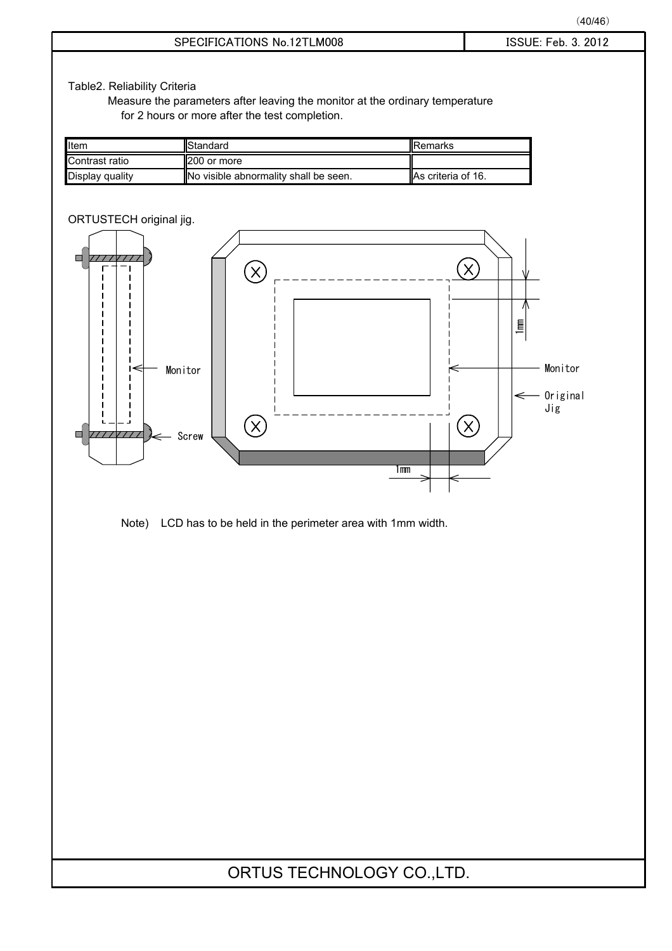Table2. Reliability Criteria

Measure the parameters after leaving the monitor at the ordinary temperature for 2 hours or more after the test completion.

| Item            | <b>IStandard</b>                      | <b>I</b> Remarks          |
|-----------------|---------------------------------------|---------------------------|
| Contrast ratio  | 200 or more                           |                           |
| Display quality | No visible abnormality shall be seen. | <b>As criteria of 16.</b> |



Note) LCD has to be held in the perimeter area with 1mm width.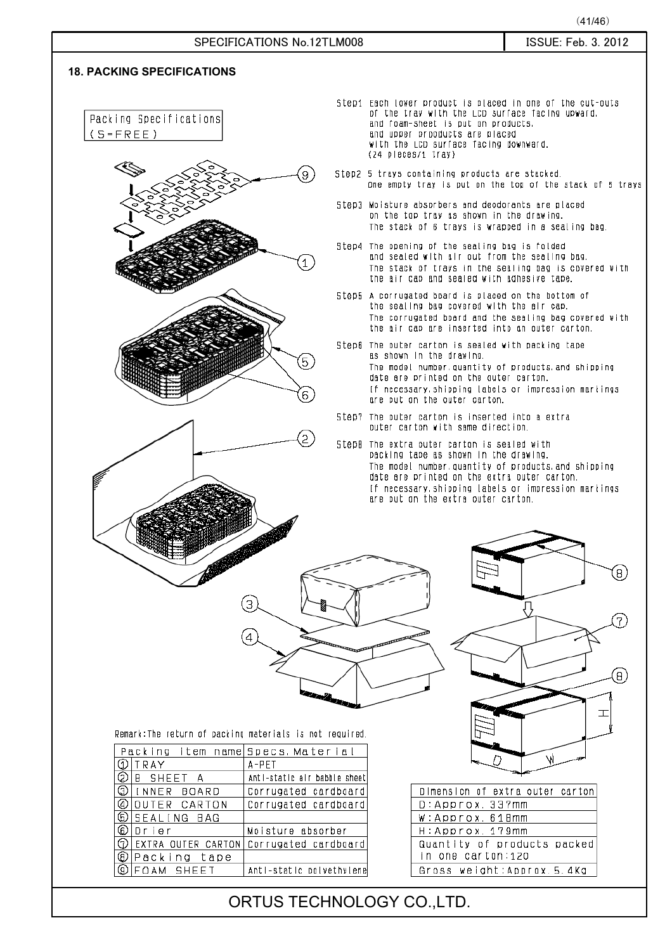### SPECIFICATIONS No.12TLM008 SPECIFICATIONS No.12TLM008

### **18. PACKING SPECIFICATIONS**

Packing Specifications  $(S = FREE)$ 





- Step1 Each lower product is placed in one of the cut-outs of the tray with the LCD surface facing upward. and foam-sheet is put on products. and upper prooducts are placed with the LCD surface facing downward. (24 pleces/1 tray)
- Step2 5 trays containing products are stacked. One empty trav is put on the top of the stack of 5 travs
- Step3 Moisture absorbers and deodorants are placed on the top trav as shown in the drawing. The stack of 6 travs is wrapped in a sealing bag.
- Step4 The opening of the sealing bag is folded and sealed with air out from the sealing bag. The stack of trays in the sealing bag is covered with the air cap and sealed with adhesive tape.
- Step5 A corrugated board is placed on the bottom of the sealing bag covered with the air cap. The corrugated board and the sealing bag covered with the air cap are inserted into an outer carton.
- Step6 The outer carton is sealed with packing tape as shown in the drawing. The model number, quantity of products, and shipping date are printed on the outer carton. If necessary. shipping labels or impression markings are put on the outer carton.
- Step? The outer carton is inserted into a extra outer carton with same direction.
- StepH The extra outer carton is sealed with packing tape as shown in the drawing. The model number, quantity of products, and shipping date are printed on the extra outer carton. If necessary, shipping labels or impression markings are put on the extra outer carton.



Remark: The return of packing materials is not required.

З

| Packing item name Specs.Material |                                                        |
|----------------------------------|--------------------------------------------------------|
| $Q$  TRAY                        | $A - PET$                                              |
| ODIB SHEET A                     | Anti-static air babble sheet                           |
| GIINNER BOARD                    | Corrugated cardboard                                   |
| Q OUTER CARTON                   | Corrugated cardboard                                   |
| OISEALING BAG                    |                                                        |
| l© Drier                         | Moisture absorber                                      |
|                                  | $\circledcirc$ EXTRA OUTER CARTON Corrugated cardboard |
| ∣© Packing tape                  |                                                        |
| $\circledcirc$ FOAM SHEET        | Anti-static polyethylene                               |

| Dimension of extra outer carton                  |  |  |  |  |
|--------------------------------------------------|--|--|--|--|
| $D:$ Approx, 337mm                               |  |  |  |  |
| W: Арргох. 618mm                                 |  |  |  |  |
| H: Approx, 179mm                                 |  |  |  |  |
| Quantity of products packed<br>in one carton:120 |  |  |  |  |
| Gross weight:Approx.5.4Kg                        |  |  |  |  |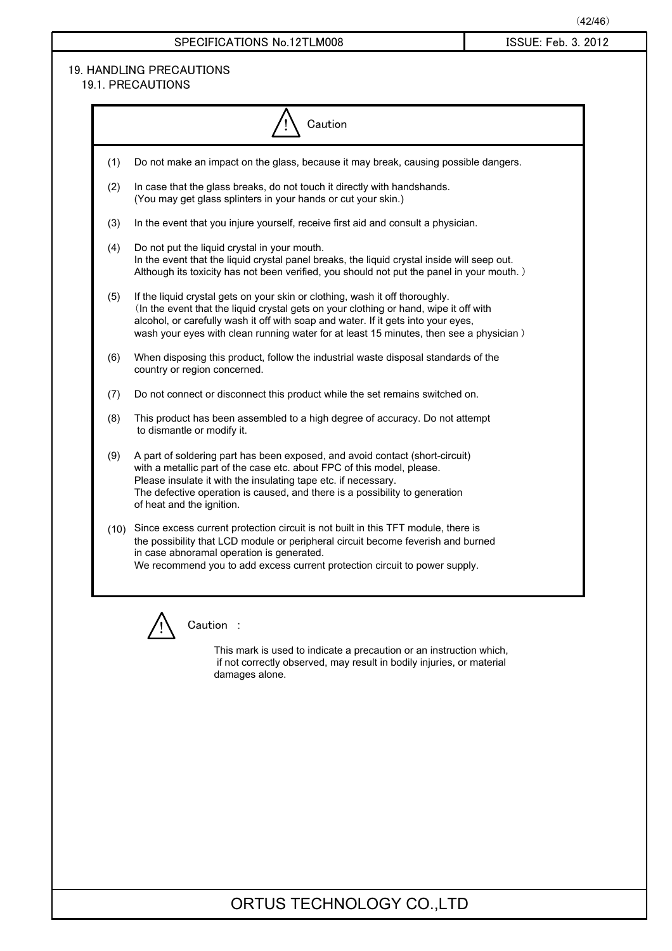### SPECIFICATIONS No.12TLM008 <br>
Fig. 5. 2012

### 19. HANDLING PRECAUTIONS 19.1. PRECAUTIONS

|     | Caution                                                                                                                                                                                                                                                                                                                                              |
|-----|------------------------------------------------------------------------------------------------------------------------------------------------------------------------------------------------------------------------------------------------------------------------------------------------------------------------------------------------------|
| (1) | Do not make an impact on the glass, because it may break, causing possible dangers.                                                                                                                                                                                                                                                                  |
| (2) | In case that the glass breaks, do not touch it directly with handshands.<br>(You may get glass splinters in your hands or cut your skin.)                                                                                                                                                                                                            |
| (3) | In the event that you injure yourself, receive first aid and consult a physician.                                                                                                                                                                                                                                                                    |
| (4) | Do not put the liquid crystal in your mouth.<br>In the event that the liquid crystal panel breaks, the liquid crystal inside will seep out.<br>Although its toxicity has not been verified, you should not put the panel in your mouth.)                                                                                                             |
| (5) | If the liquid crystal gets on your skin or clothing, wash it off thoroughly.<br>(In the event that the liquid crystal gets on your clothing or hand, wipe it off with<br>alcohol, or carefully wash it off with soap and water. If it gets into your eyes,<br>wash your eyes with clean running water for at least 15 minutes, then see a physician) |
| (6) | When disposing this product, follow the industrial waste disposal standards of the<br>country or region concerned.                                                                                                                                                                                                                                   |
| (7) | Do not connect or disconnect this product while the set remains switched on.                                                                                                                                                                                                                                                                         |
| (8) | This product has been assembled to a high degree of accuracy. Do not attempt<br>to dismantle or modify it.                                                                                                                                                                                                                                           |
| (9) | A part of soldering part has been exposed, and avoid contact (short-circuit)<br>with a metallic part of the case etc. about FPC of this model, please.<br>Please insulate it with the insulating tape etc. if necessary.<br>The defective operation is caused, and there is a possibility to generation<br>of heat and the ignition.                 |
|     | (10) Since excess current protection circuit is not built in this TFT module, there is<br>the possibility that LCD module or peripheral circuit become feverish and burned<br>in case abnoramal operation is generated.<br>We recommend you to add excess current protection circuit to power supply.                                                |



Caution :

This mark is used to indicate a precaution or an instruction which, if not correctly observed, may result in bodily injuries, or material damages alone.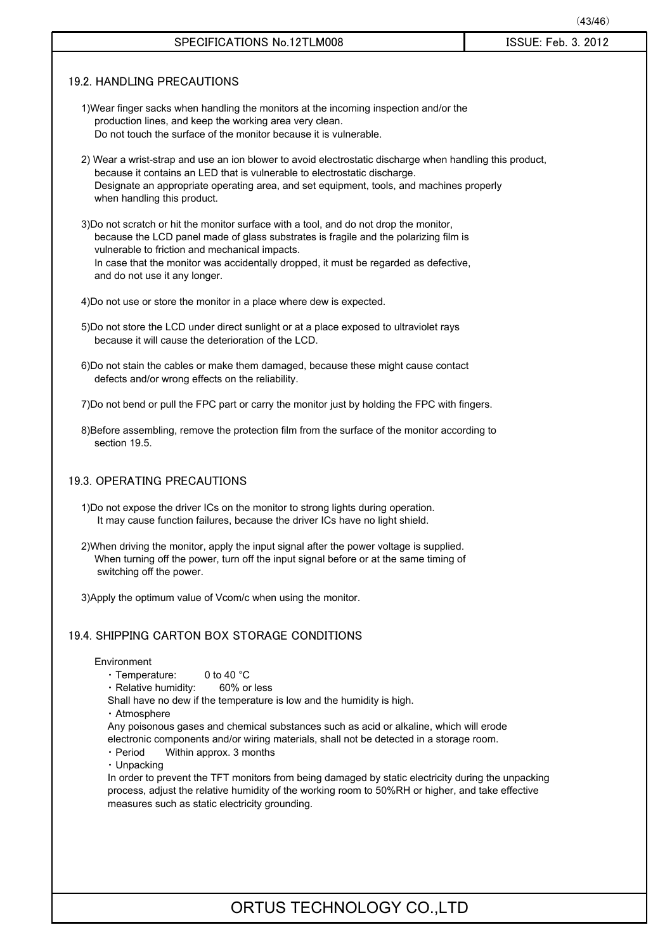### $(43/46)$

### 㪪㪧㪜㪚㪠㪝㪠㪚㪘㪫㪠㪦㪥㪪㩷㪥㫆㪅㪈㪉㪫㪣㪤㪇㪇㪏 㪠㪪㪪㪬㪜㪑㩷㪝㪼㪹㪅㩷㪊㪅㩷㪉㪇㪈㪉

### 19.2. HANDLING PRECAUTIONS

- 1)Wear finger sacks when handling the monitors at the incoming inspection and/or the production lines, and keep the working area very clean. Do not touch the surface of the monitor because it is vulnerable.
- 2) Wear a wrist-strap and use an ion blower to avoid electrostatic discharge when handling this product, because it contains an LED that is vulnerable to electrostatic discharge. Designate an appropriate operating area, and set equipment, tools, and machines properly when handling this product.
- 3)Do not scratch or hit the monitor surface with a tool, and do not drop the monitor, because the LCD panel made of glass substrates is fragile and the polarizing film is vulnerable to friction and mechanical impacts. In case that the monitor was accidentally dropped, it must be regarded as defective, and do not use it any longer.

4)Do not use or store the monitor in a place where dew is expected.

- 5)Do not store the LCD under direct sunlight or at a place exposed to ultraviolet rays because it will cause the deterioration of the LCD.
- 6)Do not stain the cables or make them damaged, because these might cause contact defects and/or wrong effects on the reliability.

7)Do not bend or pull the FPC part or carry the monitor just by holding the FPC with fingers.

8)Before assembling, remove the protection film from the surface of the monitor according to section 19.5.

### 19.3. OPERATING PRECAUTIONS

- 1)Do not expose the driver ICs on the monitor to strong lights during operation. It may cause function failures, because the driver ICs have no light shield.
- 2)When driving the monitor, apply the input signal after the power voltage is supplied. When turning off the power, turn off the input signal before or at the same timing of switching off the power.

3)Apply the optimum value of Vcom/c when using the monitor.

### 19.4. SHIPPING CARTON BOX STORAGE CONDITIONS

### Environment

䊶 Temperature: 0 to 40 °C

**⋅ Relative humidity: 60% or less** 

Shall have no dew if the temperature is low and the humidity is high.

- 䊶 Atmosphere
- Any poisonous gases and chemical substances such as acid or alkaline, which will erode electronic components and/or wiring materials, shall not be detected in a storage room.
- Period Within approx. 3 months
- 䊶 Unpacking

In order to prevent the TFT monitors from being damaged by static electricity during the unpacking process, adjust the relative humidity of the working room to 50%RH or higher, and take effective measures such as static electricity grounding.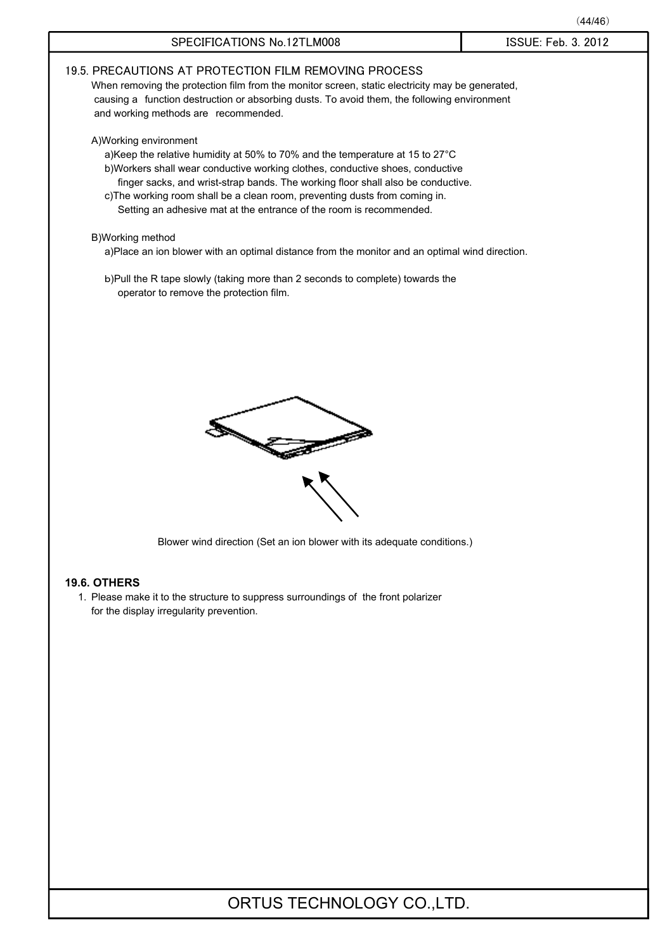|                                                                                                                                                                                                                                                                                                                                                                                                                                   | (44/46)             |
|-----------------------------------------------------------------------------------------------------------------------------------------------------------------------------------------------------------------------------------------------------------------------------------------------------------------------------------------------------------------------------------------------------------------------------------|---------------------|
| SPECIFICATIONS No.12TLM008                                                                                                                                                                                                                                                                                                                                                                                                        | ISSUE: Feb. 3. 2012 |
| 19.5. PRECAUTIONS AT PROTECTION FILM REMOVING PROCESS<br>When removing the protection film from the monitor screen, static electricity may be generated,<br>causing a function destruction or absorbing dusts. To avoid them, the following environment<br>and working methods are recommended.                                                                                                                                   |                     |
| A) Working environment<br>a)Keep the relative humidity at 50% to 70% and the temperature at 15 to 27°C<br>b)Workers shall wear conductive working clothes, conductive shoes, conductive<br>finger sacks, and wrist-strap bands. The working floor shall also be conductive.<br>c) The working room shall be a clean room, preventing dusts from coming in.<br>Setting an adhesive mat at the entrance of the room is recommended. |                     |
| B)Working method<br>a)Place an ion blower with an optimal distance from the monitor and an optimal wind direction.                                                                                                                                                                                                                                                                                                                |                     |
| b)Pull the R tape slowly (taking more than 2 seconds to complete) towards the<br>operator to remove the protection film.                                                                                                                                                                                                                                                                                                          |                     |
| Blower wind direction (Set an ion blower with its adequate conditions.)                                                                                                                                                                                                                                                                                                                                                           |                     |
|                                                                                                                                                                                                                                                                                                                                                                                                                                   |                     |
| <b>19.6. OTHERS</b><br>1. Please make it to the structure to suppress surroundings of the front polarizer<br>for the display irregularity prevention.                                                                                                                                                                                                                                                                             |                     |
|                                                                                                                                                                                                                                                                                                                                                                                                                                   |                     |
|                                                                                                                                                                                                                                                                                                                                                                                                                                   |                     |
|                                                                                                                                                                                                                                                                                                                                                                                                                                   |                     |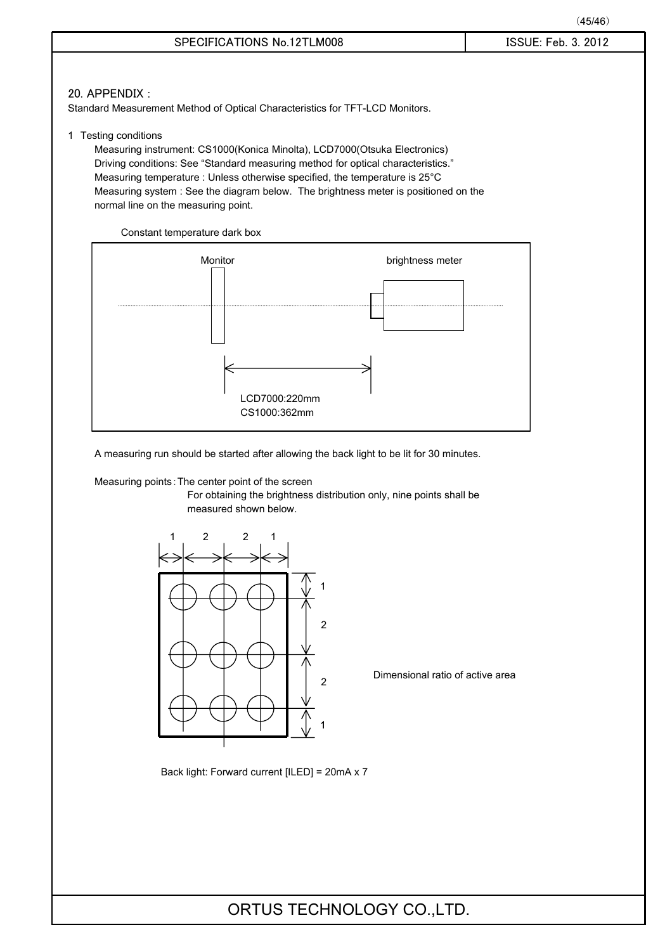### 20. APPENDIX :

Standard Measurement Method of Optical Characteristics for TFT-LCD Monitors.

1 Testing conditions

Measuring instrument: CS1000(Konica Minolta), LCD7000(Otsuka Electronics) Driving conditions: See "Standard measuring method for optical characteristics." Measuring temperature : Unless otherwise specified, the temperature is 25°C Measuring system : See the diagram below. The brightness meter is positioned on the normal line on the measuring point.





A measuring run should be started after allowing the back light to be lit for 30 minutes.

Measuring points: The center point of the screen

For obtaining the brightness distribution only, nine points shall be measured shown below.



Dimensional ratio of active area

Back light: Forward current [ILED] = 20mA x 7